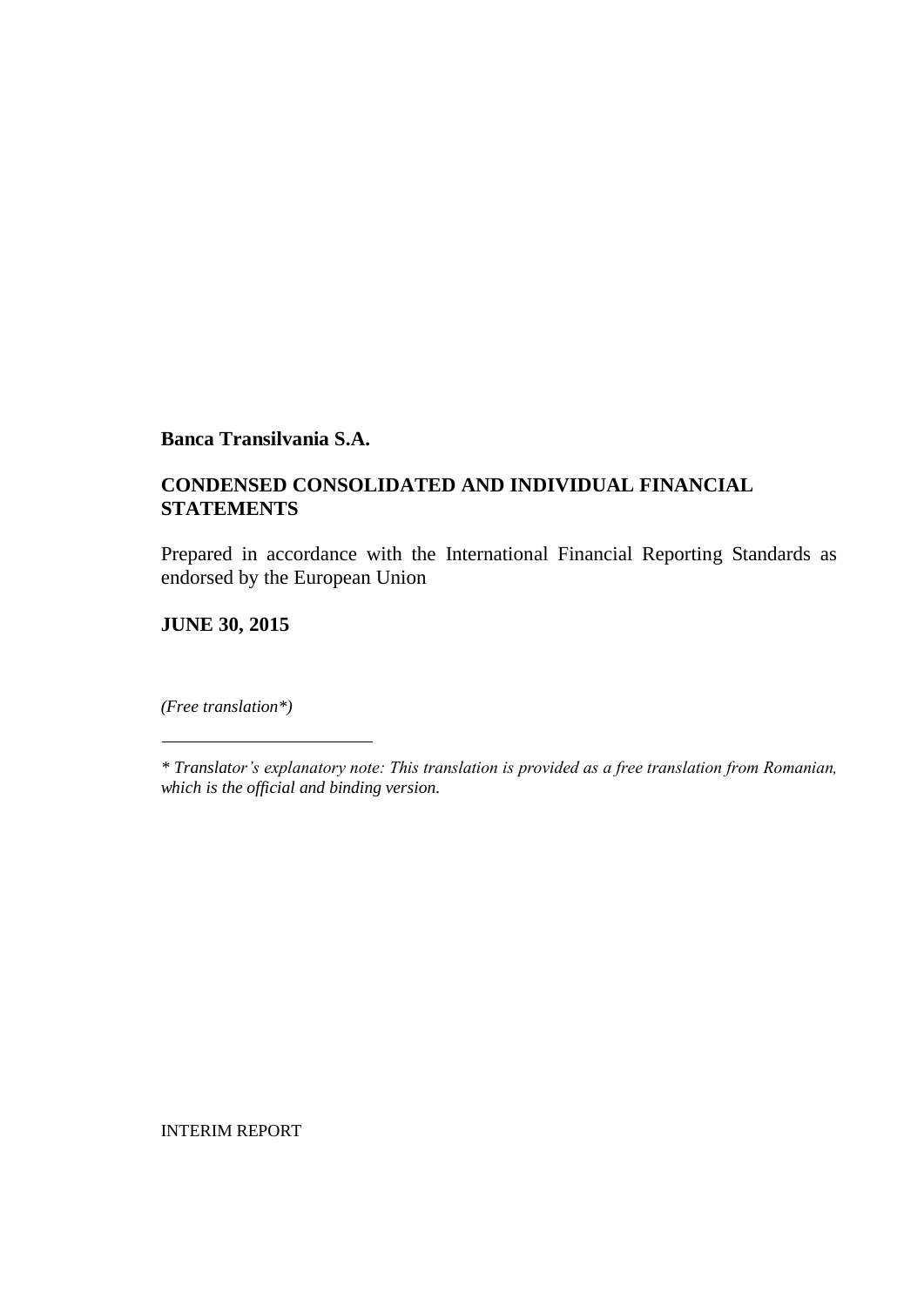### **CONDENSED CONSOLIDATED AND INDIVIDUAL FINANCIAL STATEMENTS**

Prepared in accordance with the International Financial Reporting Standards as endorsed by the European Union

**JUNE 30, 2015**

*(Free translation\*)*

INTERIM REPORT

*<sup>\*</sup> Translator's explanatory note: This translation is provided as a free translation from Romanian, which is the official and binding version.*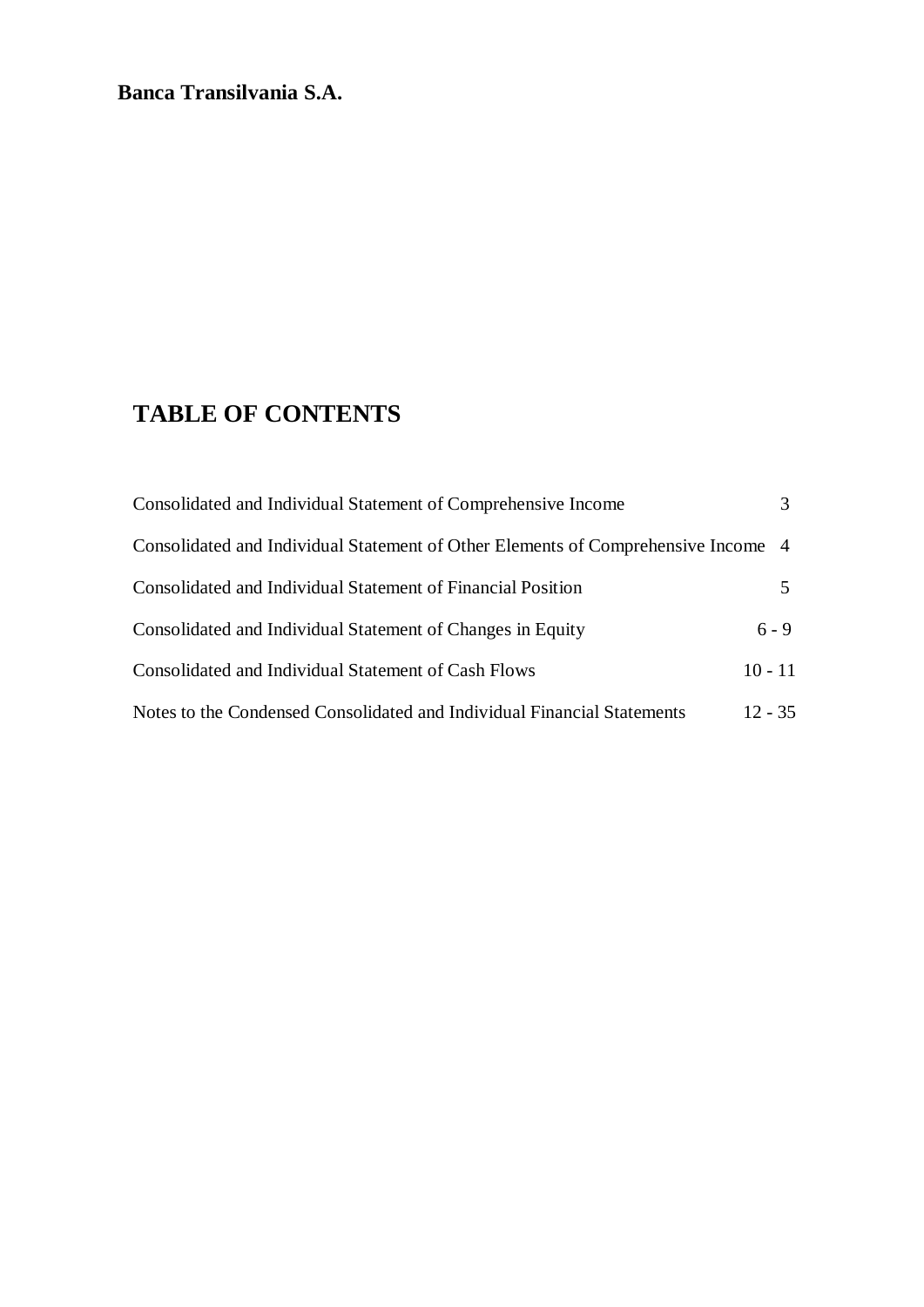# **TABLE OF CONTENTS**

| Consolidated and Individual Statement of Comprehensive Income                     |           |
|-----------------------------------------------------------------------------------|-----------|
| Consolidated and Individual Statement of Other Elements of Comprehensive Income 4 |           |
| Consolidated and Individual Statement of Financial Position                       |           |
| Consolidated and Individual Statement of Changes in Equity                        | $6 - 9$   |
| Consolidated and Individual Statement of Cash Flows                               | $10 - 11$ |
| Notes to the Condensed Consolidated and Individual Financial Statements           | $12 - 35$ |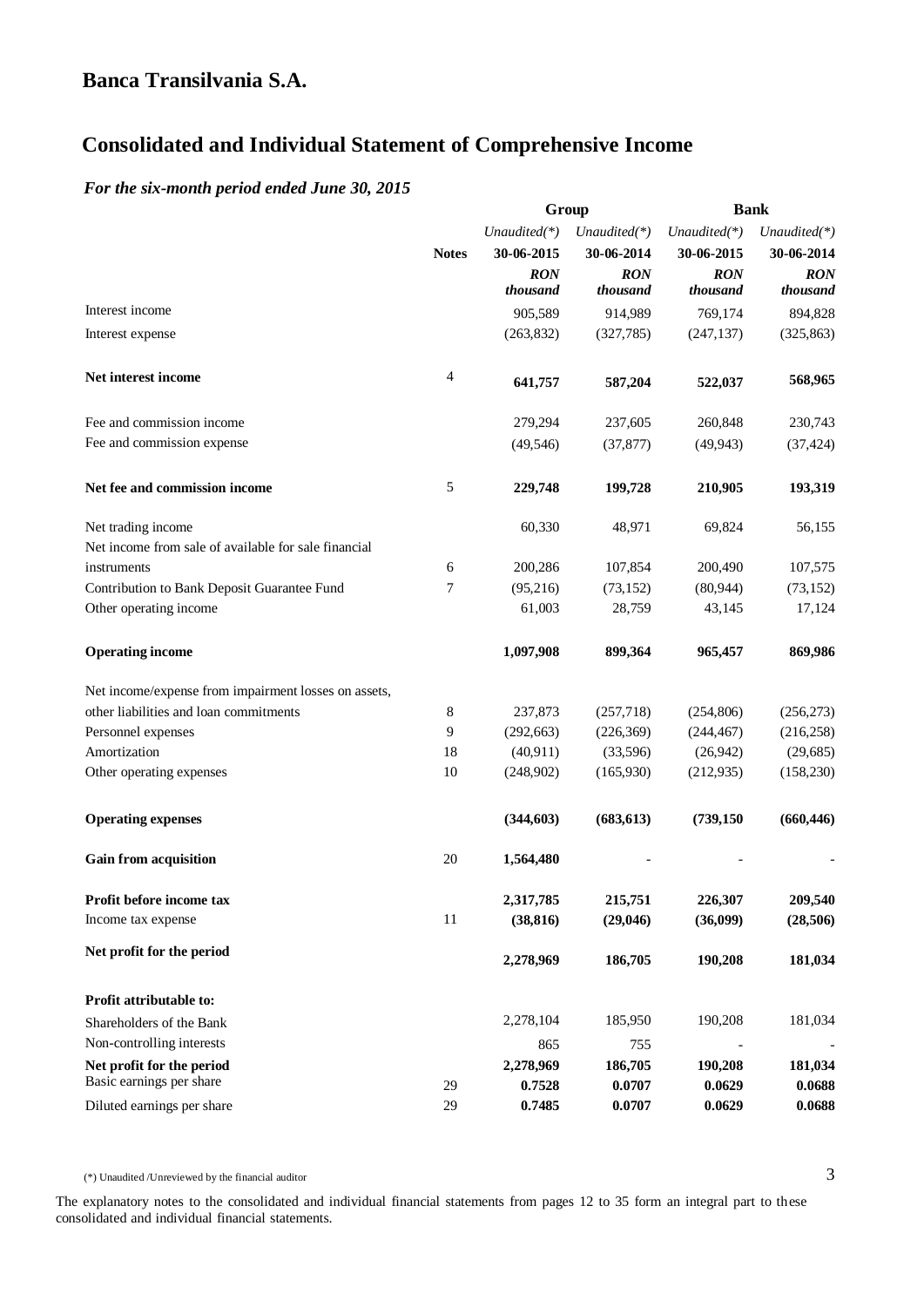# **Consolidated and Individual Statement of Comprehensive Income**

#### *For the six-month period ended June 30, 2015*

|                                                                            |              | Group        |                 |              | <b>Bank</b>     |  |
|----------------------------------------------------------------------------|--------------|--------------|-----------------|--------------|-----------------|--|
|                                                                            |              | Unaudited(*) | Unaudited $(*)$ | Unaudited(*) | Unaudited $(*)$ |  |
|                                                                            | <b>Notes</b> | 30-06-2015   | 30-06-2014      | 30-06-2015   | 30-06-2014      |  |
|                                                                            |              | <b>RON</b>   | <b>RON</b>      | <b>RON</b>   | <b>RON</b>      |  |
|                                                                            |              | thousand     | thousand        | thousand     | thousand        |  |
| Interest income                                                            |              | 905,589      | 914,989         | 769,174      | 894,828         |  |
| Interest expense                                                           |              | (263, 832)   | (327,785)       | (247, 137)   | (325, 863)      |  |
| Net interest income                                                        | 4            | 641,757      | 587,204         | 522,037      | 568,965         |  |
| Fee and commission income                                                  |              | 279,294      | 237,605         | 260,848      | 230,743         |  |
| Fee and commission expense                                                 |              | (49, 546)    | (37, 877)       | (49, 943)    | (37, 424)       |  |
| Net fee and commission income                                              | 5            | 229,748      | 199,728         | 210,905      | 193,319         |  |
| Net trading income<br>Net income from sale of available for sale financial |              | 60,330       | 48,971          | 69,824       | 56,155          |  |
| instruments                                                                | 6            | 200,286      | 107,854         | 200,490      | 107,575         |  |
| Contribution to Bank Deposit Guarantee Fund                                | 7            | (95,216)     | (73, 152)       | (80, 944)    | (73, 152)       |  |
| Other operating income                                                     |              | 61,003       | 28,759          | 43,145       | 17,124          |  |
|                                                                            |              |              |                 |              |                 |  |
| <b>Operating income</b>                                                    |              | 1,097,908    | 899,364         | 965,457      | 869,986         |  |
| Net income/expense from impairment losses on assets,                       |              |              |                 |              |                 |  |
| other liabilities and loan commitments                                     | 8            | 237,873      | (257,718)       | (254, 806)   | (256, 273)      |  |
| Personnel expenses                                                         | 9            | (292, 663)   | (226, 369)      | (244, 467)   | (216, 258)      |  |
| Amortization                                                               | 18           | (40, 911)    | (33,596)        | (26,942)     | (29, 685)       |  |
| Other operating expenses                                                   | 10           | (248,902)    | (165,930)       | (212, 935)   | (158, 230)      |  |
| <b>Operating expenses</b>                                                  |              | (344, 603)   | (683, 613)      | (739, 150)   | (660, 446)      |  |
| <b>Gain from acquisition</b>                                               | 20           | 1,564,480    |                 |              |                 |  |
| Profit before income tax                                                   |              | 2,317,785    | 215,751         | 226,307      | 209,540         |  |
| Income tax expense                                                         | 11           | (38, 816)    | (29,046)        | (36,099)     | (28, 506)       |  |
| Net profit for the period                                                  |              | 2,278,969    | 186,705         | 190,208      | 181,034         |  |
| Profit attributable to:                                                    |              |              |                 |              |                 |  |
| Shareholders of the Bank                                                   |              | 2,278,104    | 185,950         | 190,208      | 181,034         |  |
| Non-controlling interests                                                  |              | 865          | 755             |              |                 |  |
| Net profit for the period                                                  |              | 2,278,969    | 186,705         | 190,208      | 181,034         |  |
| Basic earnings per share                                                   | 29           | 0.7528       | 0.0707          | 0.0629       | 0.0688          |  |
| Diluted earnings per share                                                 | 29           | 0.7485       | 0.0707          | 0.0629       | 0.0688          |  |

(\*) Unaudited /Unreviewed by the financial auditor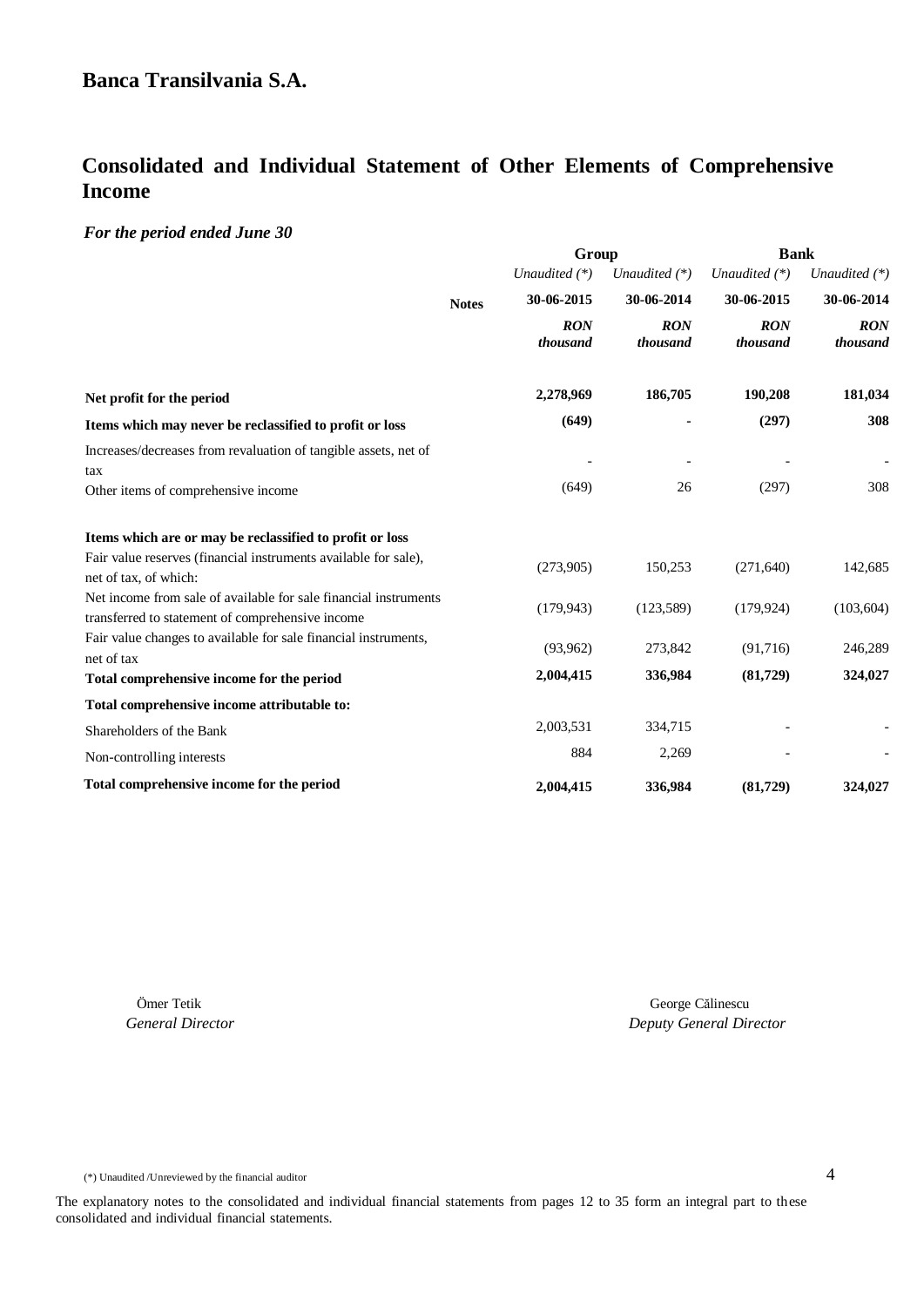# **Consolidated and Individual Statement of Other Elements of Comprehensive Income**

#### *For the period ended June 30*

|                                                                                                                      |              | Group                  |                        | <b>Bank</b>            |                        |  |
|----------------------------------------------------------------------------------------------------------------------|--------------|------------------------|------------------------|------------------------|------------------------|--|
|                                                                                                                      |              | Unaudited $(*)$        | Unaudited $(*)$        | Unaudited $(*)$        | Unaudited (*)          |  |
|                                                                                                                      | <b>Notes</b> | 30-06-2015             | 30-06-2014             | 30-06-2015             | 30-06-2014             |  |
|                                                                                                                      |              | <b>RON</b><br>thousand | <b>RON</b><br>thousand | <b>RON</b><br>thousand | <b>RON</b><br>thousand |  |
| Net profit for the period                                                                                            |              | 2,278,969              | 186,705                | 190,208                | 181,034                |  |
| Items which may never be reclassified to profit or loss                                                              |              | (649)                  |                        | (297)                  | 308                    |  |
| Increases/decreases from revaluation of tangible assets, net of<br>tax                                               |              |                        |                        |                        |                        |  |
| Other items of comprehensive income                                                                                  |              | (649)                  | 26                     | (297)                  | 308                    |  |
| Items which are or may be reclassified to profit or loss                                                             |              |                        |                        |                        |                        |  |
| Fair value reserves (financial instruments available for sale),<br>net of tax, of which:                             |              | (273,905)              | 150,253                | (271, 640)             | 142,685                |  |
| Net income from sale of available for sale financial instruments<br>transferred to statement of comprehensive income |              | (179, 943)             | (123, 589)             | (179, 924)             | (103, 604)             |  |
| Fair value changes to available for sale financial instruments,<br>net of tax                                        |              | (93,962)               | 273,842                | (91,716)               | 246,289                |  |
| Total comprehensive income for the period                                                                            |              | 2,004,415              | 336,984                | (81,729)               | 324,027                |  |
| Total comprehensive income attributable to:                                                                          |              |                        |                        |                        |                        |  |
| Shareholders of the Bank                                                                                             |              | 2,003,531              | 334,715                |                        |                        |  |
| Non-controlling interests                                                                                            |              | 884                    | 2,269                  |                        |                        |  |
| Total comprehensive income for the period                                                                            |              | 2,004,415              | 336,984                | (81,729)               | 324,027                |  |

 Ömer Tetik George Călinescu *General Director Deputy General Director*

(\*) Unaudited /Unreviewed by the financial auditor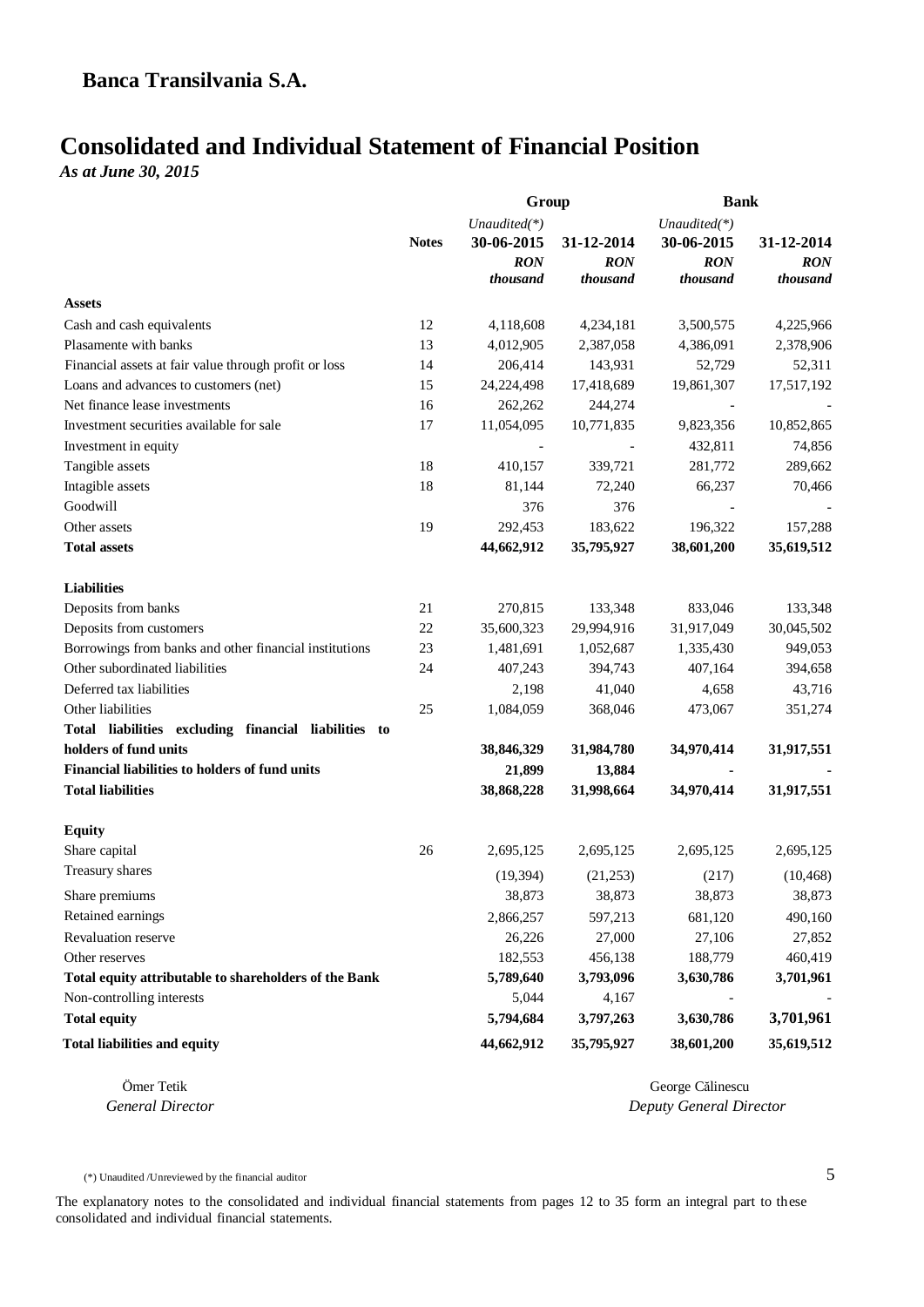# **Consolidated and Individual Statement of Financial Position**

*As at June 30, 2015*

|                                                        |              | Group                      |                        | <b>Bank</b>                |                        |  |
|--------------------------------------------------------|--------------|----------------------------|------------------------|----------------------------|------------------------|--|
|                                                        | <b>Notes</b> | Unaudited(*)<br>30-06-2015 | 31-12-2014             | Unaudited(*)<br>30-06-2015 | 31-12-2014             |  |
|                                                        |              | <b>RON</b><br>thousand     | <b>RON</b><br>thousand | <b>RON</b><br>thousand     | <b>RON</b><br>thousand |  |
| <b>Assets</b>                                          |              |                            |                        |                            |                        |  |
| Cash and cash equivalents                              | 12           | 4,118,608                  | 4,234,181              | 3,500,575                  | 4,225,966              |  |
| Plasamente with banks                                  | 13           | 4,012,905                  | 2,387,058              | 4,386,091                  | 2,378,906              |  |
| Financial assets at fair value through profit or loss  | 14           | 206,414                    | 143,931                | 52,729                     | 52,311                 |  |
| Loans and advances to customers (net)                  | 15           | 24,224,498                 | 17,418,689             | 19,861,307                 | 17,517,192             |  |
| Net finance lease investments                          | 16           | 262,262                    | 244,274                |                            |                        |  |
| Investment securities available for sale               | 17           | 11,054,095                 | 10,771,835             | 9,823,356                  | 10,852,865             |  |
| Investment in equity                                   |              |                            |                        | 432,811                    | 74,856                 |  |
| Tangible assets                                        | 18           | 410,157                    | 339,721                | 281,772                    | 289,662                |  |
| Intagible assets                                       | 18           | 81,144                     | 72,240                 | 66,237                     | 70,466                 |  |
| Goodwill                                               |              | 376                        | 376                    |                            |                        |  |
| Other assets                                           | 19           | 292,453                    | 183,622                | 196,322                    | 157,288                |  |
| <b>Total assets</b>                                    |              | 44,662,912                 | 35,795,927             | 38,601,200                 | 35,619,512             |  |
| <b>Liabilities</b>                                     |              |                            |                        |                            |                        |  |
| Deposits from banks                                    | 21           | 270,815                    | 133,348                | 833,046                    | 133,348                |  |
| Deposits from customers                                | 22           | 35,600,323                 | 29,994,916             | 31,917,049                 | 30,045,502             |  |
| Borrowings from banks and other financial institutions | 23           | 1,481,691                  | 1,052,687              | 1,335,430                  | 949,053                |  |
| Other subordinated liabilities                         | 24           | 407,243                    | 394,743                | 407,164                    | 394,658                |  |
| Deferred tax liabilities                               |              | 2,198                      | 41,040                 | 4,658                      | 43,716                 |  |
| Other liabilities                                      | 25           | 1,084,059                  | 368,046                | 473,067                    | 351,274                |  |
| Total liabilities excluding financial liabilities to   |              |                            |                        |                            |                        |  |
| holders of fund units                                  |              | 38,846,329                 | 31,984,780             | 34,970,414                 | 31,917,551             |  |
| <b>Financial liabilities to holders of fund units</b>  |              | 21,899                     | 13,884                 |                            |                        |  |
| <b>Total liabilities</b>                               |              | 38,868,228                 | 31,998,664             | 34,970,414                 | 31,917,551             |  |
| <b>Equity</b>                                          |              |                            |                        |                            |                        |  |
| Share capital                                          | 26           | 2,695,125                  | 2,695,125              | 2,695,125                  | 2,695,125              |  |
| Treasury shares                                        |              | (19, 394)                  | (21,253)               | (217)                      | (10, 468)              |  |
| Share premiums                                         |              | 38,873                     | 38,873                 | 38,873                     | 38,873                 |  |
| Retained earnings                                      |              | 2,866,257                  | 597,213                | 681,120                    | 490,160                |  |
| Revaluation reserve                                    |              | 26,226                     | 27,000                 | 27,106                     | 27,852                 |  |
| Other reserves                                         |              | 182,553                    | 456,138                | 188,779                    | 460,419                |  |
| Total equity attributable to shareholders of the Bank  |              | 5,789,640                  | 3,793,096              | 3,630,786                  | 3,701,961              |  |
| Non-controlling interests                              |              | 5,044                      | 4,167                  |                            |                        |  |
| <b>Total equity</b>                                    |              | 5,794,684                  | 3,797,263              | 3,630,786                  | 3,701,961              |  |
| <b>Total liabilities and equity</b>                    |              | 44,662,912                 | 35,795,927             | 38,601,200                 | 35,619,512             |  |

Ömer Tetik George Călinescu  *General Director Deputy General Director*

(\*) Unaudited /Unreviewed by the financial auditor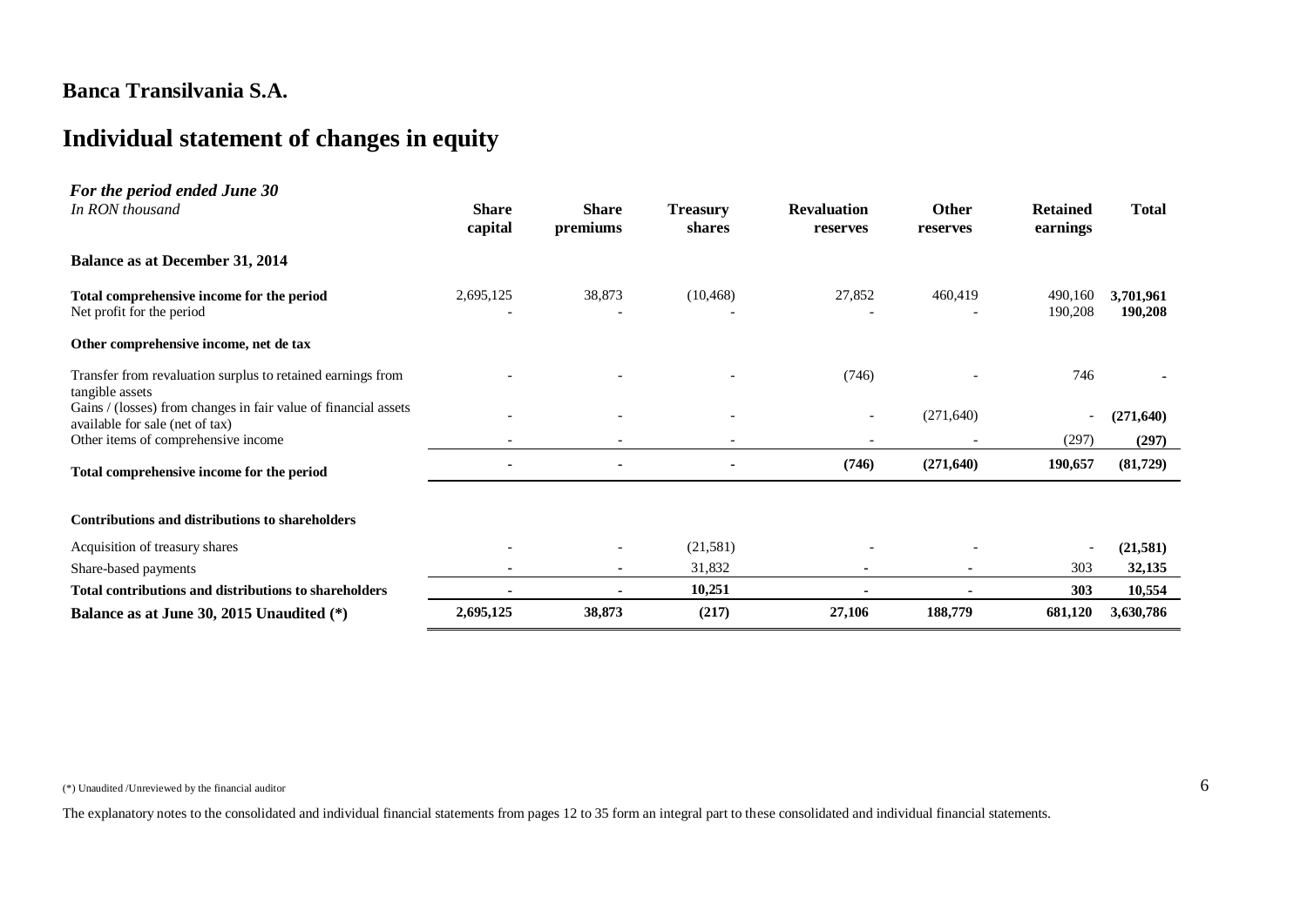# **Individual statement of changes in equity**

| For the period ended June 30<br>In RON thousand                                                    | <b>Share</b><br>capital | <b>Share</b><br>premiums | <b>Treasury</b><br>shares | <b>Revaluation</b><br>reserves | <b>Other</b><br>reserves | <b>Retained</b><br>earnings | <b>Total</b>         |
|----------------------------------------------------------------------------------------------------|-------------------------|--------------------------|---------------------------|--------------------------------|--------------------------|-----------------------------|----------------------|
| <b>Balance as at December 31, 2014</b>                                                             |                         |                          |                           |                                |                          |                             |                      |
| Total comprehensive income for the period<br>Net profit for the period                             | 2,695,125               | 38,873                   | (10, 468)                 | 27,852                         | 460,419                  | 490,160<br>190,208          | 3,701,961<br>190,208 |
| Other comprehensive income, net de tax                                                             |                         |                          |                           |                                |                          |                             |                      |
| Transfer from revaluation surplus to retained earnings from<br>tangible assets                     |                         |                          |                           | (746)                          |                          | 746                         |                      |
| Gains / (losses) from changes in fair value of financial assets<br>available for sale (net of tax) |                         |                          |                           | $\overline{\phantom{0}}$       | (271, 640)               | $\overline{\phantom{a}}$    | (271, 640)           |
| Other items of comprehensive income                                                                |                         |                          |                           | $\overline{\phantom{a}}$       |                          | (297)                       | (297)                |
| Total comprehensive income for the period                                                          |                         |                          |                           | (746)                          | (271, 640)               | 190,657                     | (81, 729)            |
| <b>Contributions and distributions to shareholders</b>                                             |                         |                          |                           |                                |                          |                             |                      |
| Acquisition of treasury shares                                                                     |                         |                          | (21,581)                  |                                |                          | $\overline{\phantom{0}}$    | (21, 581)            |
| Share-based payments                                                                               |                         |                          | 31,832                    |                                |                          | 303                         | 32,135               |
| <b>Total contributions and distributions to shareholders</b>                                       |                         |                          | 10,251                    |                                |                          | 303                         | 10,554               |
| Balance as at June 30, 2015 Unaudited (*)                                                          | 2,695,125               | 38,873                   | (217)                     | 27,106                         | 188,779                  | 681,120                     | 3,630,786            |

(\*) Unaudited /Unreviewed by the financial auditor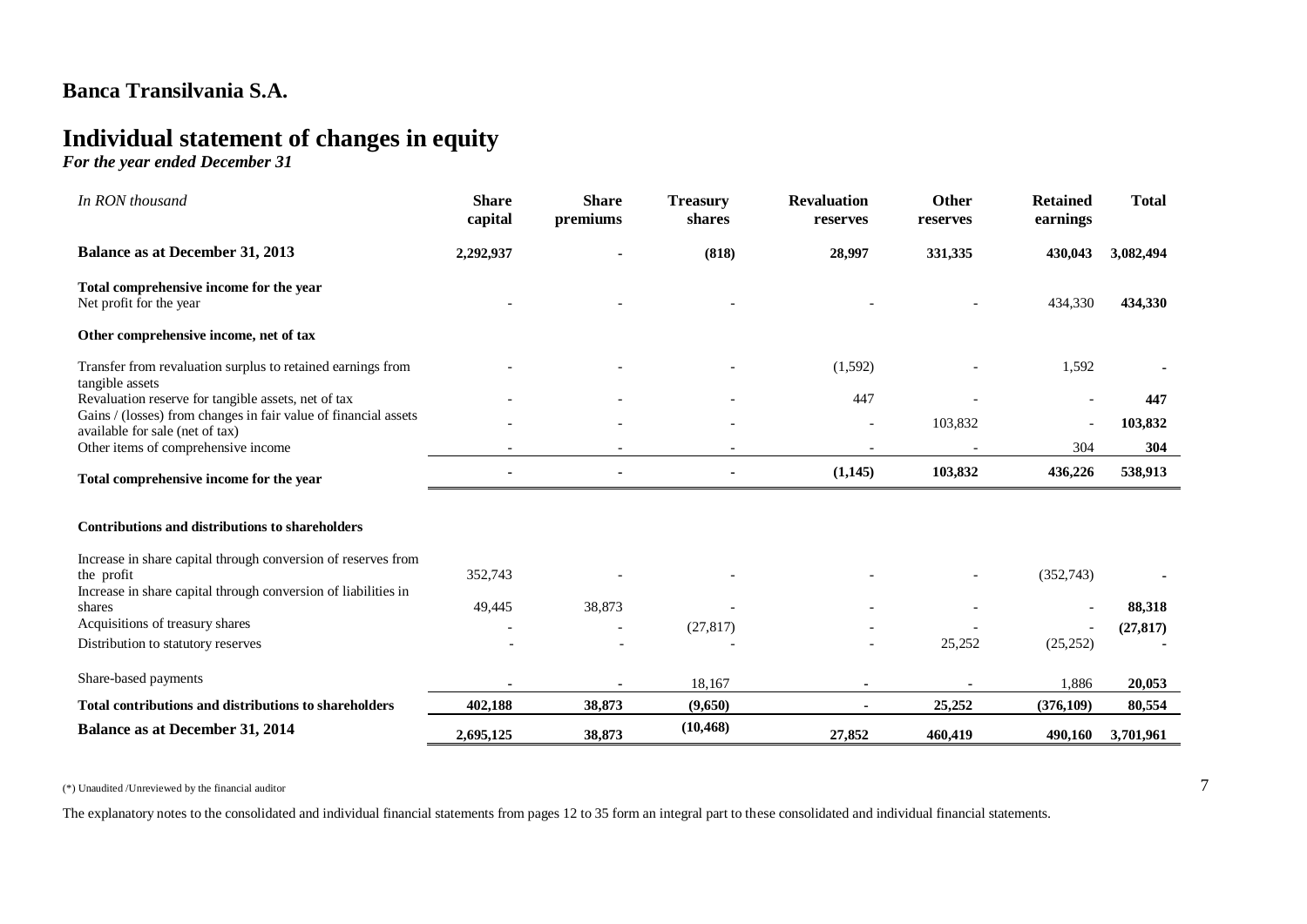# **Individual statement of changes in equity**

*For the year ended December 31*

| In RON thousand                                                                                    | <b>Share</b><br>capital | <b>Share</b><br>premiums | <b>Treasury</b><br>shares | <b>Revaluation</b><br>reserves | Other<br>reserves | <b>Retained</b><br>earnings | <b>Total</b> |
|----------------------------------------------------------------------------------------------------|-------------------------|--------------------------|---------------------------|--------------------------------|-------------------|-----------------------------|--------------|
| <b>Balance as at December 31, 2013</b>                                                             | 2,292,937               |                          | (818)                     | 28,997                         | 331,335           | 430,043                     | 3,082,494    |
| Total comprehensive income for the year<br>Net profit for the year                                 |                         |                          |                           |                                |                   | 434,330                     | 434,330      |
| Other comprehensive income, net of tax                                                             |                         |                          |                           |                                |                   |                             |              |
| Transfer from revaluation surplus to retained earnings from<br>tangible assets                     |                         |                          |                           | (1,592)                        |                   | 1,592                       |              |
| Revaluation reserve for tangible assets, net of tax                                                |                         |                          |                           | 447                            |                   |                             | 447          |
| Gains / (losses) from changes in fair value of financial assets<br>available for sale (net of tax) |                         |                          |                           |                                | 103,832           |                             | 103,832      |
| Other items of comprehensive income                                                                |                         |                          |                           |                                |                   | 304                         | 304          |
| Total comprehensive income for the year                                                            |                         |                          | $\blacksquare$            | (1,145)                        | 103,832           | 436,226                     | 538,913      |
| <b>Contributions and distributions to shareholders</b>                                             |                         |                          |                           |                                |                   |                             |              |
| Increase in share capital through conversion of reserves from<br>the profit                        | 352,743                 |                          |                           |                                |                   | (352,743)                   |              |
| Increase in share capital through conversion of liabilities in<br>shares                           | 49,445                  | 38,873                   |                           |                                |                   |                             | 88,318       |
| Acquisitions of treasury shares                                                                    |                         |                          | (27, 817)                 |                                |                   |                             | (27, 817)    |
| Distribution to statutory reserves                                                                 |                         |                          |                           |                                | 25,252            | (25, 252)                   |              |
| Share-based payments                                                                               |                         |                          | 18,167                    |                                |                   | 1,886                       | 20,053       |
| <b>Total contributions and distributions to shareholders</b>                                       | 402,188                 | 38,873                   | (9,650)                   |                                | 25,252            | (376, 109)                  | 80,554       |
| <b>Balance as at December 31, 2014</b>                                                             | 2,695,125               | 38,873                   | (10, 468)                 | 27,852                         | 460,419           | 490,160                     | 3,701,961    |

 $(*)$  Unaudited /Unreviewed by the financial auditor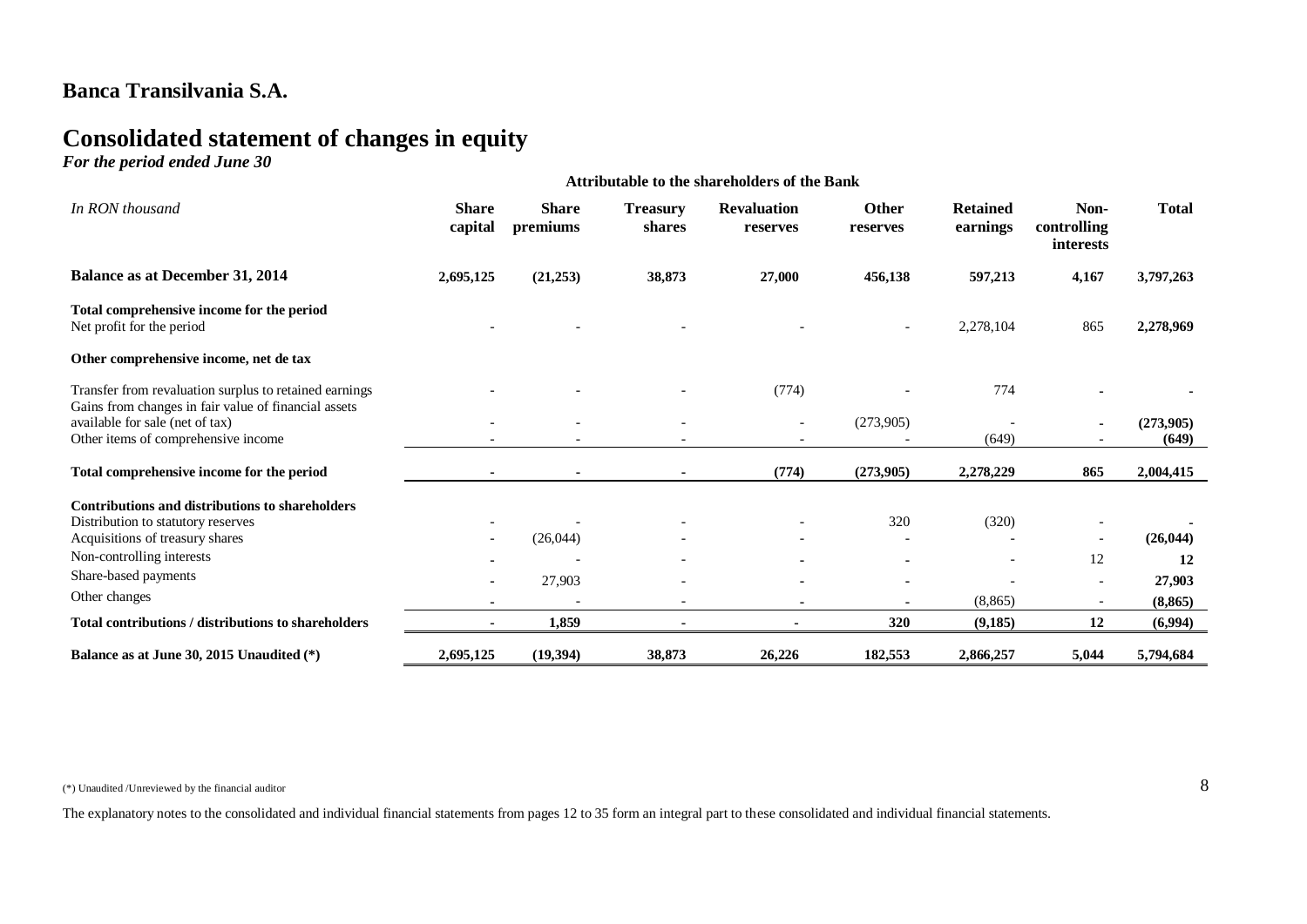# **Consolidated statement of changes in equity**

*For the period ended June 30*

| or me period ended same so                                                                                                     | <b>Attributable to the shareholders of the Bank</b> |                          |                           |                                |                          |                             |                                  |                    |  |
|--------------------------------------------------------------------------------------------------------------------------------|-----------------------------------------------------|--------------------------|---------------------------|--------------------------------|--------------------------|-----------------------------|----------------------------------|--------------------|--|
| In RON thousand                                                                                                                | <b>Share</b><br>capital                             | <b>Share</b><br>premiums | <b>Treasury</b><br>shares | <b>Revaluation</b><br>reserves | <b>Other</b><br>reserves | <b>Retained</b><br>earnings | Non-<br>controlling<br>interests | <b>Total</b>       |  |
| <b>Balance as at December 31, 2014</b>                                                                                         | 2,695,125                                           | (21,253)                 | 38,873                    | 27,000                         | 456,138                  | 597,213                     | 4,167                            | 3,797,263          |  |
| Total comprehensive income for the period<br>Net profit for the period                                                         |                                                     |                          |                           |                                |                          | 2,278,104                   | 865                              | 2,278,969          |  |
| Other comprehensive income, net de tax                                                                                         |                                                     |                          |                           |                                |                          |                             |                                  |                    |  |
| Transfer from revaluation surplus to retained earnings                                                                         |                                                     |                          |                           | (774)                          |                          | 774                         |                                  |                    |  |
| Gains from changes in fair value of financial assets<br>available for sale (net of tax)<br>Other items of comprehensive income |                                                     |                          |                           | $\overline{\phantom{a}}$       | (273,905)                | (649)                       |                                  | (273,905)<br>(649) |  |
| Total comprehensive income for the period                                                                                      |                                                     |                          |                           | (774)                          | (273,905)                | 2,278,229                   | 865                              | 2,004,415          |  |
| <b>Contributions and distributions to shareholders</b>                                                                         |                                                     |                          |                           |                                |                          |                             |                                  |                    |  |
| Distribution to statutory reserves                                                                                             |                                                     |                          |                           |                                | 320                      | (320)                       |                                  |                    |  |
| Acquisitions of treasury shares                                                                                                |                                                     | (26, 044)                |                           |                                |                          |                             |                                  | (26, 044)          |  |
| Non-controlling interests                                                                                                      |                                                     |                          |                           |                                |                          |                             | 12                               | 12                 |  |
| Share-based payments                                                                                                           |                                                     | 27,903                   | $\overline{\phantom{0}}$  |                                | $\blacksquare$           |                             |                                  | 27,903             |  |
| Other changes                                                                                                                  | $\blacksquare$                                      |                          | $\overline{\phantom{a}}$  | ۰                              |                          | (8, 865)                    |                                  | (8, 865)           |  |
| Total contributions / distributions to shareholders                                                                            |                                                     | 1,859                    |                           |                                | 320                      | (9, 185)                    | 12                               | (6,994)            |  |
| Balance as at June 30, 2015 Unaudited (*)                                                                                      | 2,695,125                                           | (19,394)                 | 38,873                    | 26,226                         | 182,553                  | 2,866,257                   | 5,044                            | 5,794,684          |  |

 $(*)$  Unaudited /Unreviewed by the financial auditor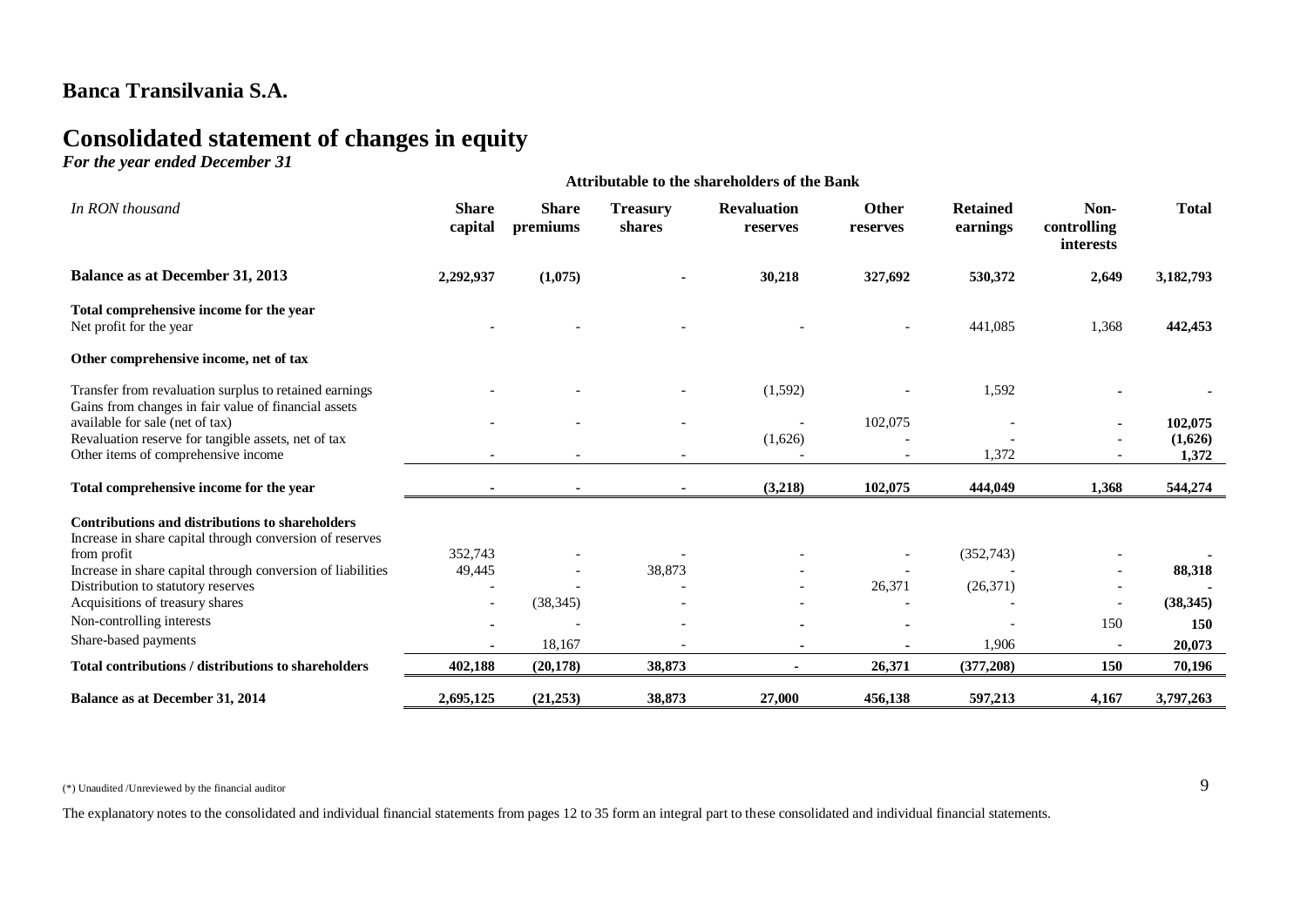# **Consolidated statement of changes in equity**

*For the year ended December 31*

|                                                                                                                    |                          |                          |                           | <b>Attributable to the shareholders of the Bank</b> |                          |                             |                                                      |              |
|--------------------------------------------------------------------------------------------------------------------|--------------------------|--------------------------|---------------------------|-----------------------------------------------------|--------------------------|-----------------------------|------------------------------------------------------|--------------|
| In RON thousand                                                                                                    | <b>Share</b><br>capital  | <b>Share</b><br>premiums | <b>Treasury</b><br>shares | <b>Revaluation</b><br>reserves                      | Other<br>reserves        | <b>Retained</b><br>earnings | Non-<br>controlling<br>interests                     | <b>Total</b> |
| <b>Balance as at December 31, 2013</b>                                                                             | 2,292,937                | (1,075)                  |                           | 30,218                                              | 327,692                  | 530,372                     | 2,649                                                | 3,182,793    |
| Total comprehensive income for the year<br>Net profit for the year                                                 |                          |                          |                           |                                                     |                          | 441,085                     | 1,368                                                | 442,453      |
| Other comprehensive income, net of tax                                                                             |                          |                          |                           |                                                     |                          |                             |                                                      |              |
| Transfer from revaluation surplus to retained earnings<br>Gains from changes in fair value of financial assets     |                          |                          |                           | (1,592)                                             |                          | 1,592                       |                                                      |              |
| available for sale (net of tax)                                                                                    |                          |                          |                           | $\overline{\phantom{a}}$                            | 102,075                  |                             |                                                      | 102,075      |
| Revaluation reserve for tangible assets, net of tax                                                                |                          |                          |                           | (1,626)                                             |                          |                             |                                                      | (1,626)      |
| Other items of comprehensive income                                                                                |                          |                          |                           |                                                     | $\overline{\phantom{0}}$ | 1,372                       |                                                      | 1,372        |
| Total comprehensive income for the year                                                                            | $\blacksquare$           | $\blacksquare$           | $\sim$                    | (3,218)                                             | 102,075                  | 444,049                     | 1,368                                                | 544,274      |
| <b>Contributions and distributions to shareholders</b><br>Increase in share capital through conversion of reserves |                          |                          |                           |                                                     |                          |                             |                                                      |              |
| from profit                                                                                                        | 352,743                  |                          |                           |                                                     |                          | (352,743)                   |                                                      |              |
| Increase in share capital through conversion of liabilities                                                        | 49,445                   |                          | 38,873                    |                                                     |                          |                             |                                                      | 88,318       |
| Distribution to statutory reserves<br>Acquisitions of treasury shares                                              | $\overline{\phantom{a}}$ | (38, 345)                |                           | $\overline{\phantom{a}}$                            | 26,371                   | (26,371)                    | $\overline{\phantom{a}}$<br>$\overline{\phantom{a}}$ | (38, 345)    |
| Non-controlling interests                                                                                          |                          |                          |                           |                                                     |                          |                             | 150                                                  | 150          |
| Share-based payments                                                                                               |                          |                          |                           |                                                     |                          |                             |                                                      |              |
|                                                                                                                    |                          | 18,167                   |                           | $\blacksquare$                                      |                          | 1,906                       | $\overline{\phantom{a}}$                             | 20,073       |
| Total contributions / distributions to shareholders                                                                | 402,188                  | (20, 178)                | 38,873                    |                                                     | 26,371                   | (377, 208)                  | 150                                                  | 70,196       |
| Balance as at December 31, 2014                                                                                    | 2,695,125                | (21, 253)                | 38,873                    | 27,000                                              | 456,138                  | 597,213                     | 4,167                                                | 3,797,263    |

 $(*)$  Unaudited /Unreviewed by the financial auditor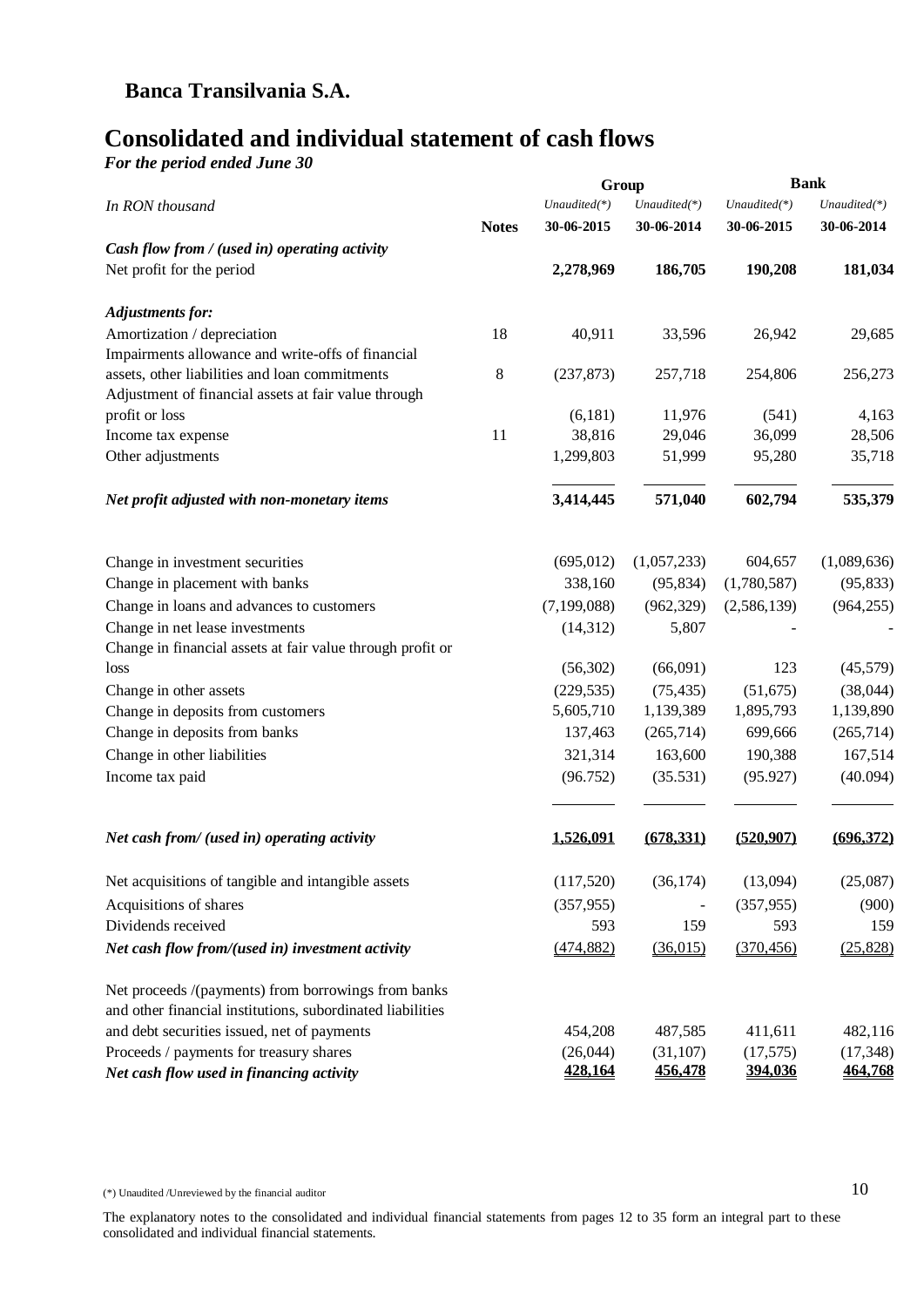# **Consolidated and individual statement of cash flows**

*For the period ended June 30*

|                                                                                     |              | Group                      |                             |                             | <b>Bank</b>                 |
|-------------------------------------------------------------------------------------|--------------|----------------------------|-----------------------------|-----------------------------|-----------------------------|
| In RON thousand                                                                     |              | Unaudited(*)               | Unaudited(*)                | $Unaudited(*)$              | $Unaudited(*)$              |
|                                                                                     | <b>Notes</b> | 30-06-2015                 | 30-06-2014                  | 30-06-2015                  | 30-06-2014                  |
| Cash flow from / (used in) operating activity                                       |              |                            |                             |                             |                             |
| Net profit for the period                                                           |              | 2,278,969                  | 186,705                     | 190,208                     | 181,034                     |
| <b>Adjustments for:</b>                                                             |              |                            |                             |                             |                             |
| Amortization / depreciation                                                         | 18           | 40,911                     | 33,596                      | 26,942                      | 29,685                      |
| Impairments allowance and write-offs of financial                                   |              |                            |                             |                             |                             |
| assets, other liabilities and loan commitments                                      | 8            | (237, 873)                 | 257,718                     | 254,806                     | 256,273                     |
| Adjustment of financial assets at fair value through                                |              |                            |                             |                             |                             |
| profit or loss                                                                      |              | (6,181)                    | 11,976                      | (541)                       | 4,163                       |
| Income tax expense                                                                  | 11           | 38,816                     | 29,046                      | 36,099                      | 28,506                      |
| Other adjustments                                                                   |              | 1,299,803                  | 51,999                      | 95,280                      | 35,718                      |
| Net profit adjusted with non-monetary items                                         |              | 3,414,445                  | 571,040                     | 602,794                     | 535,379                     |
| Change in investment securities                                                     |              | (695, 012)                 | (1,057,233)                 | 604,657                     | (1,089,636)                 |
| Change in placement with banks                                                      |              | 338,160                    | (95, 834)                   | (1,780,587)                 | (95, 833)                   |
|                                                                                     |              | (7, 199, 088)              |                             |                             |                             |
| Change in loans and advances to customers                                           |              |                            | (962, 329)                  | (2,586,139)                 | (964, 255)                  |
| Change in net lease investments                                                     |              | (14,312)                   | 5,807                       |                             |                             |
| Change in financial assets at fair value through profit or<br>loss                  |              | (56,302)                   | (66,091)                    | 123                         | (45,579)                    |
| Change in other assets                                                              |              | (229, 535)                 | (75, 435)                   | (51, 675)                   | (38,044)                    |
| Change in deposits from customers                                                   |              | 5,605,710                  | 1,139,389                   | 1,895,793                   | 1,139,890                   |
| Change in deposits from banks                                                       |              | 137,463                    | (265,714)                   | 699,666                     | (265,714)                   |
|                                                                                     |              | 321,314                    | 163,600                     | 190,388                     | 167,514                     |
| Change in other liabilities                                                         |              |                            |                             |                             |                             |
| Income tax paid                                                                     |              | (96.752)                   | (35.531)                    | (95.927)                    | (40.094)                    |
| Net cash from/ (used in) operating activity                                         |              | 1,526,091                  | (678, 331)                  | (520, 907)                  | (696.372)                   |
|                                                                                     |              |                            |                             |                             |                             |
| Net acquisitions of tangible and intangible assets                                  |              | (117,520)                  | (36, 174)                   | (13,094)                    | (25,087)                    |
| Acquisitions of shares                                                              |              | (357, 955)                 |                             | (357, 955)                  | (900)                       |
| Dividends received                                                                  |              | 593                        | 159                         | 593                         | 159                         |
| Net cash flow from/(used in) investment activity                                    |              | (474, 882)                 | (36,015)                    | (370, 456)                  | (25,828)                    |
| Net proceeds /(payments) from borrowings from banks                                 |              |                            |                             |                             |                             |
| and other financial institutions, subordinated liabilities                          |              |                            |                             |                             |                             |
| and debt securities issued, net of payments                                         |              | 454,208                    | 487,585                     | 411,611                     | 482,116                     |
| Proceeds / payments for treasury shares<br>Net cash flow used in financing activity |              | (26,044)<br><u>428,164</u> | (31, 107)<br><u>456,478</u> | (17, 575)<br><u>394,036</u> | (17, 348)<br><u>464,768</u> |

(\*) Unaudited /Unreviewed by the financial auditor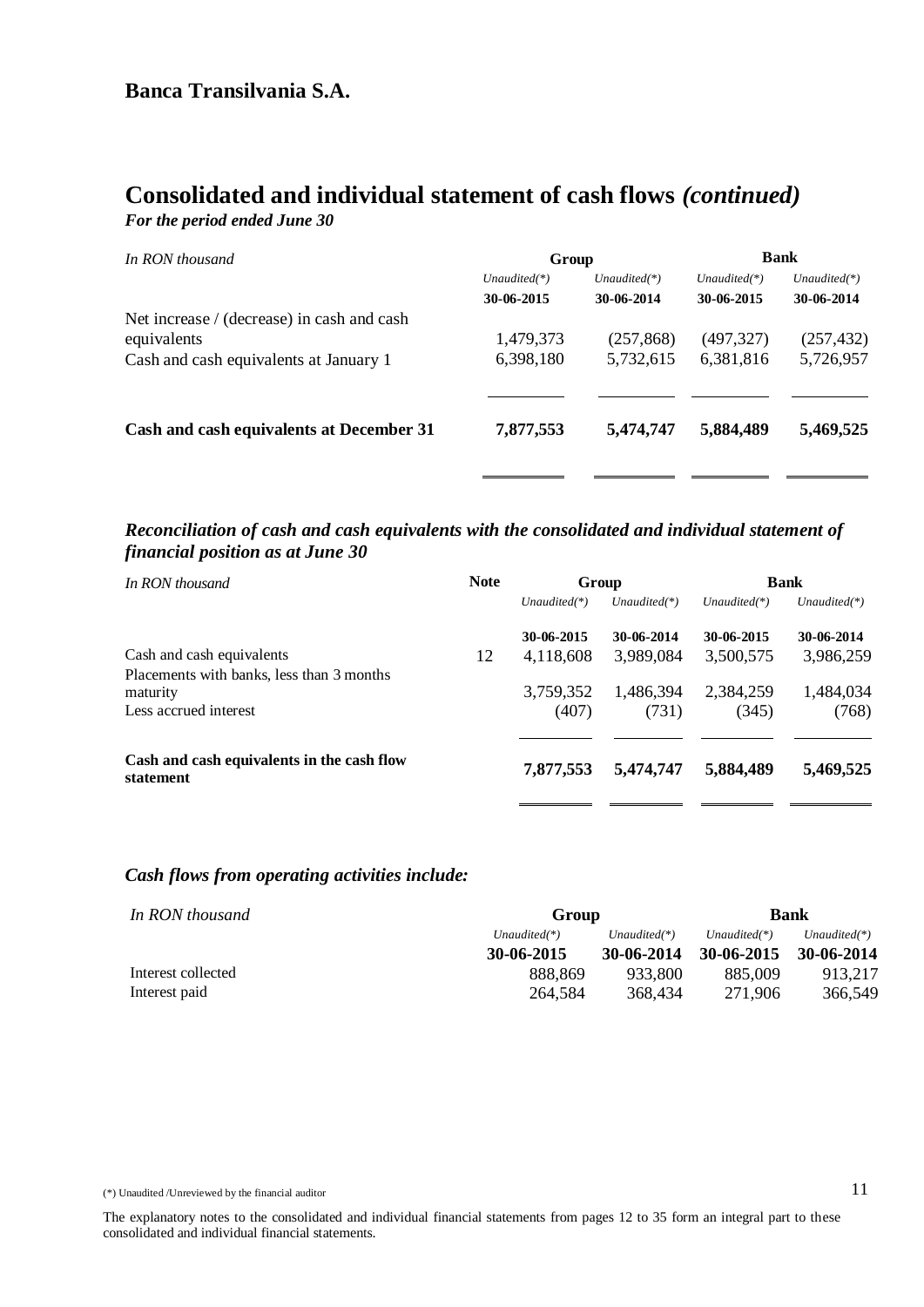### **Consolidated and individual statement of cash flows** *(continued) For the period ended June 30*

| In RON thousand                            | Group           |                 | <b>Bank</b>     |                 |
|--------------------------------------------|-----------------|-----------------|-----------------|-----------------|
|                                            | Unaudited $(*)$ | Unaudited $(*)$ | Unaudited $(*)$ | Unaudited $(*)$ |
|                                            | 30-06-2015      | 30-06-2014      | 30-06-2015      | 30-06-2014      |
| Net increase / (decrease) in cash and cash |                 |                 |                 |                 |
| equivalents                                | 1,479,373       | (257, 868)      | (497, 327)      | (257, 432)      |
| Cash and cash equivalents at January 1     | 6,398,180       | 5,732,615       | 6,381,816       | 5,726,957       |
|                                            |                 |                 |                 |                 |
| Cash and cash equivalents at December 31   | 7,877,553       | 5,474,747       | 5,884,489       | 5,469,525       |
|                                            |                 |                 |                 |                 |

#### *Reconciliation of cash and cash equivalents with the consolidated and individual statement of financial position as at June 30*

| In RON thousand                                                                | <b>Note</b> | Group              |                    |                    | <b>Bank</b>        |
|--------------------------------------------------------------------------------|-------------|--------------------|--------------------|--------------------|--------------------|
|                                                                                |             | $Unaudited(*)$     | $Unaudited(*)$     | $Unaudited(*)$     | $Unaudited(*)$     |
|                                                                                |             | 30-06-2015         | 30-06-2014         | 30-06-2015         | 30-06-2014         |
| Cash and cash equivalents                                                      | 12          | 4,118,608          | 3,989,084          | 3,500,575          | 3,986,259          |
| Placements with banks, less than 3 months<br>maturity<br>Less accrued interest |             | 3,759,352<br>(407) | 1,486,394<br>(731) | 2,384,259<br>(345) | 1,484,034<br>(768) |
| Cash and cash equivalents in the cash flow<br>statement                        |             | 7,877,553          | 5,474,747          | 5,884,489          | 5,469,525          |

#### *Cash flows from operating activities include:*

| In RON thousand    | <b>Bank</b><br>Group |                 |                 |                 |
|--------------------|----------------------|-----------------|-----------------|-----------------|
|                    | $Unaudited(*)$       | Unaudited $(*)$ | Unaudited $(*)$ | Unaudited $(*)$ |
|                    | 30-06-2015           | 30-06-2014      | 30-06-2015      | 30-06-2014      |
| Interest collected | 888.869              | 933.800         | 885,009         | 913.217         |
| Interest paid      | 264,584              | 368,434         | 271,906         | 366,549         |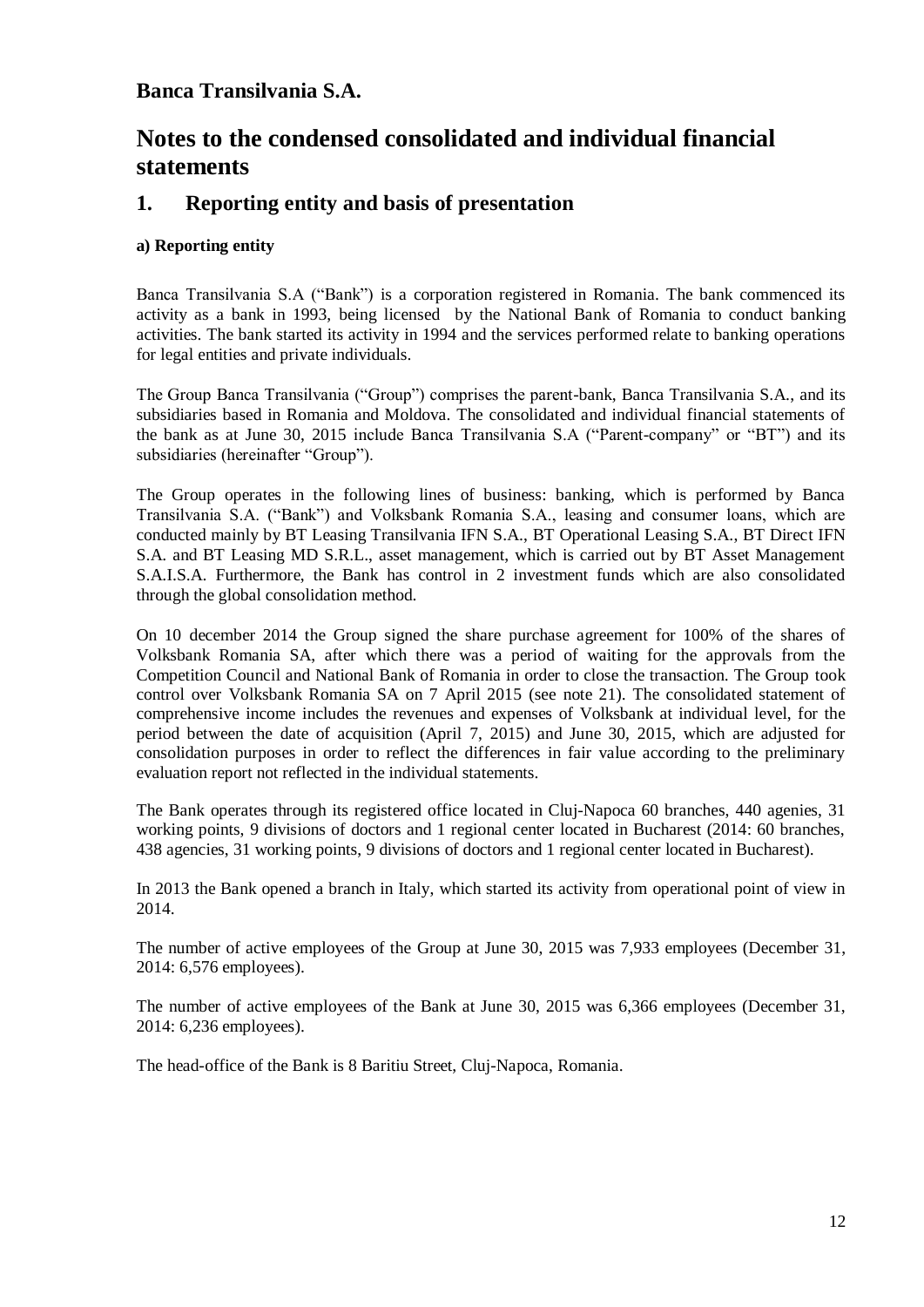# **Notes to the condensed consolidated and individual financial statements**

### **1. Reporting entity and basis of presentation**

#### **a) Reporting entity**

Banca Transilvania S.A ("Bank") is a corporation registered in Romania. The bank commenced its activity as a bank in 1993, being licensed by the National Bank of Romania to conduct banking activities. The bank started its activity in 1994 and the services performed relate to banking operations for legal entities and private individuals.

The Group Banca Transilvania ("Group") comprises the parent-bank, Banca Transilvania S.A., and its subsidiaries based in Romania and Moldova. The consolidated and individual financial statements of the bank as at June 30, 2015 include Banca Transilvania S.A ("Parent-company" or "BT") and its subsidiaries (hereinafter "Group").

The Group operates in the following lines of business: banking, which is performed by Banca Transilvania S.A. ("Bank") and Volksbank Romania S.A., leasing and consumer loans, which are conducted mainly by BT Leasing Transilvania IFN S.A., BT Operational Leasing S.A., BT Direct IFN S.A. and BT Leasing MD S.R.L., asset management, which is carried out by BT Asset Management S.A.I.S.A. Furthermore, the Bank has control in 2 investment funds which are also consolidated through the global consolidation method.

On 10 december 2014 the Group signed the share purchase agreement for 100% of the shares of Volksbank Romania SA, after which there was a period of waiting for the approvals from the Competition Council and National Bank of Romania in order to close the transaction. The Group took control over Volksbank Romania SA on 7 April 2015 (see note 21). The consolidated statement of comprehensive income includes the revenues and expenses of Volksbank at individual level, for the period between the date of acquisition (April 7, 2015) and June 30, 2015, which are adjusted for consolidation purposes in order to reflect the differences in fair value according to the preliminary evaluation report not reflected in the individual statements.

The Bank operates through its registered office located in Cluj-Napoca 60 branches, 440 agenies, 31 working points, 9 divisions of doctors and 1 regional center located in Bucharest (2014: 60 branches, 438 agencies, 31 working points, 9 divisions of doctors and 1 regional center located in Bucharest).

In 2013 the Bank opened a branch in Italy, which started its activity from operational point of view in 2014.

The number of active employees of the Group at June 30, 2015 was 7,933 employees (December 31, 2014: 6,576 employees).

The number of active employees of the Bank at June 30, 2015 was 6,366 employees (December 31, 2014: 6,236 employees).

The head-office of the Bank is 8 Baritiu Street, Cluj-Napoca, Romania.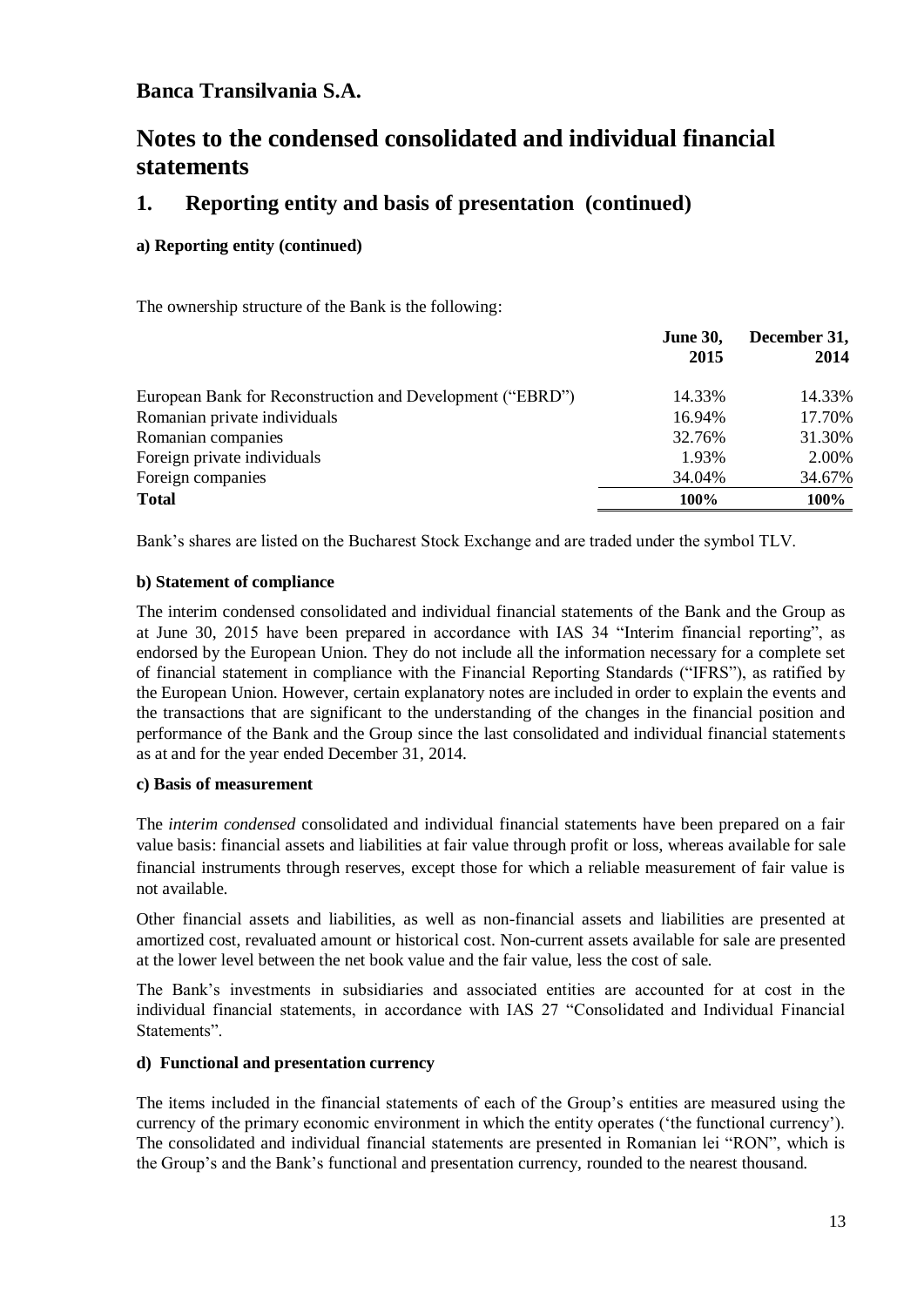# **Notes to the condensed consolidated and individual financial statements**

### **1. Reporting entity and basis of presentation (continued)**

#### **a) Reporting entity (continued)**

The ownership structure of the Bank is the following:

|                                                           | <b>June 30,</b><br>2015 | December 31,<br>2014 |
|-----------------------------------------------------------|-------------------------|----------------------|
|                                                           |                         |                      |
| European Bank for Reconstruction and Development ("EBRD") | 14.33%                  | 14.33%               |
| Romanian private individuals                              | 16.94%                  | 17.70%               |
| Romanian companies                                        | 32.76%                  | 31.30%               |
| Foreign private individuals                               | 1.93%                   | 2.00%                |
| Foreign companies                                         | 34.04%                  | 34.67%               |
| <b>Total</b>                                              | 100%                    | 100%                 |

Bank's shares are listed on the Bucharest Stock Exchange and are traded under the symbol TLV.

#### **b) Statement of compliance**

The interim condensed consolidated and individual financial statements of the Bank and the Group as at June 30, 2015 have been prepared in accordance with IAS 34 "Interim financial reporting", as endorsed by the European Union. They do not include all the information necessary for a complete set of financial statement in compliance with the Financial Reporting Standards ("IFRS"), as ratified by the European Union. However, certain explanatory notes are included in order to explain the events and the transactions that are significant to the understanding of the changes in the financial position and performance of the Bank and the Group since the last consolidated and individual financial statements as at and for the year ended December 31, 2014.

#### **c) Basis of measurement**

The *interim condensed* consolidated and individual financial statements have been prepared on a fair value basis: financial assets and liabilities at fair value through profit or loss, whereas available for sale financial instruments through reserves, except those for which a reliable measurement of fair value is not available.

Other financial assets and liabilities, as well as non-financial assets and liabilities are presented at amortized cost, revaluated amount or historical cost. Non-current assets available for sale are presented at the lower level between the net book value and the fair value, less the cost of sale.

The Bank's investments in subsidiaries and associated entities are accounted for at cost in the individual financial statements, in accordance with IAS 27 "Consolidated and Individual Financial Statements".

#### **d) Functional and presentation currency**

The items included in the financial statements of each of the Group's entities are measured using the currency of the primary economic environment in which the entity operates ('the functional currency'). The consolidated and individual financial statements are presented in Romanian lei "RON", which is the Group's and the Bank's functional and presentation currency, rounded to the nearest thousand.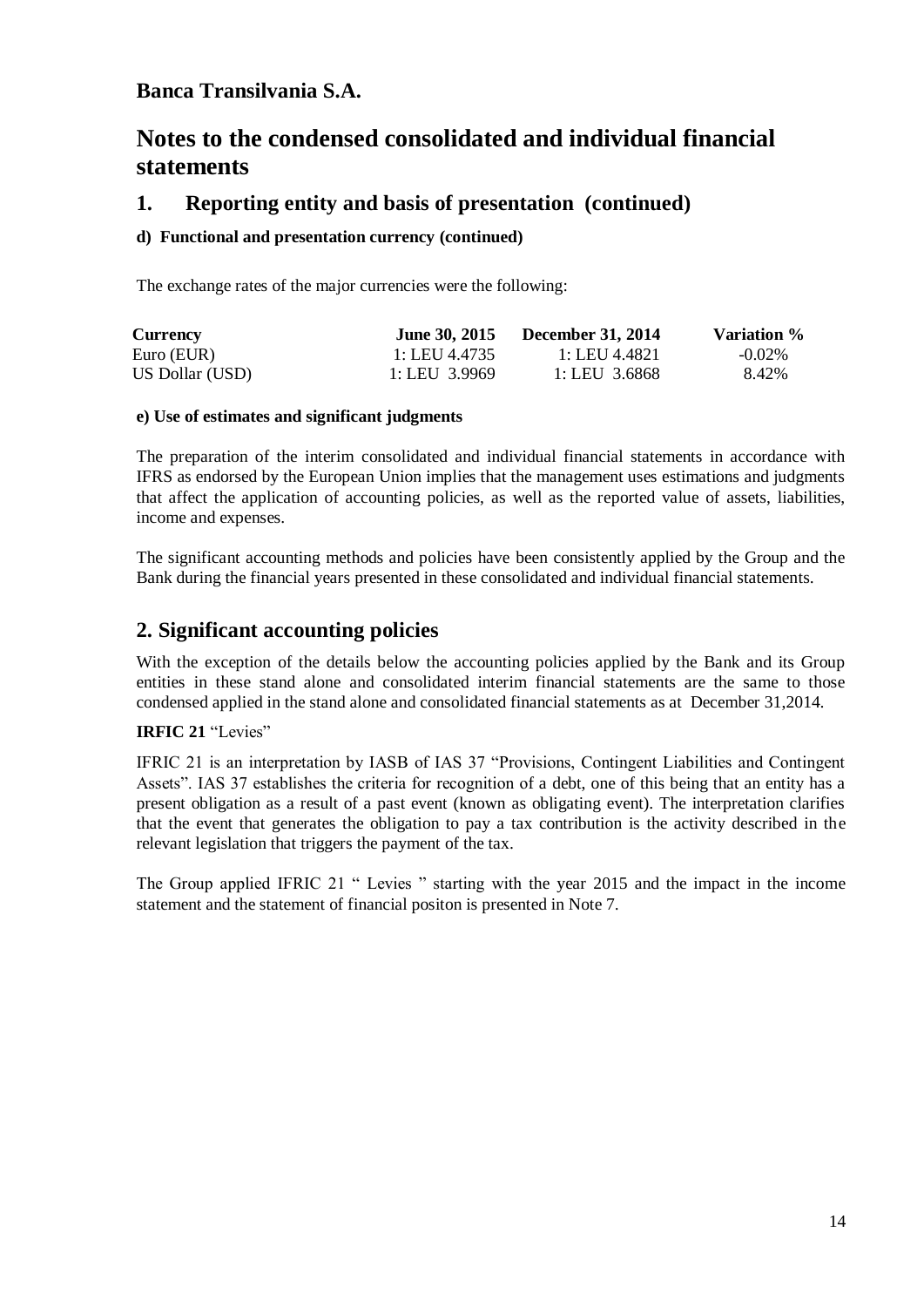# **Notes to the condensed consolidated and individual financial statements**

### **1. Reporting entity and basis of presentation (continued)**

#### **d) Functional and presentation currency (continued)**

The exchange rates of the major currencies were the following:

| <b>Currency</b> | <b>June 30, 2015</b> | <b>December 31, 2014</b> | Variation % |
|-----------------|----------------------|--------------------------|-------------|
| Euro (EUR)      | 1: LEU 4.4735        | 1: LEU 4.4821            | $-0.02\%$   |
| US Dollar (USD) | 1: LEU 3.9969        | 1: LEU 3.6868            | 8.42%       |

#### **e) Use of estimates and significant judgments**

The preparation of the interim consolidated and individual financial statements in accordance with IFRS as endorsed by the European Union implies that the management uses estimations and judgments that affect the application of accounting policies, as well as the reported value of assets, liabilities, income and expenses.

The significant accounting methods and policies have been consistently applied by the Group and the Bank during the financial years presented in these consolidated and individual financial statements.

### **2. Significant accounting policies**

With the exception of the details below the accounting policies applied by the Bank and its Group entities in these stand alone and consolidated interim financial statements are the same to those condensed applied in the stand alone and consolidated financial statements as at December 31,2014.

#### **IRFIC 21** "Levies"

IFRIC 21 is an interpretation by IASB of IAS 37 "Provisions, Contingent Liabilities and Contingent Assets". IAS 37 establishes the criteria for recognition of a debt, one of this being that an entity has a present obligation as a result of a past event (known as obligating event). The interpretation clarifies that the event that generates the obligation to pay a tax contribution is the activity described in the relevant legislation that triggers the payment of the tax.

The Group applied IFRIC 21 " Levies " starting with the year 2015 and the impact in the income statement and the statement of financial positon is presented in Note 7.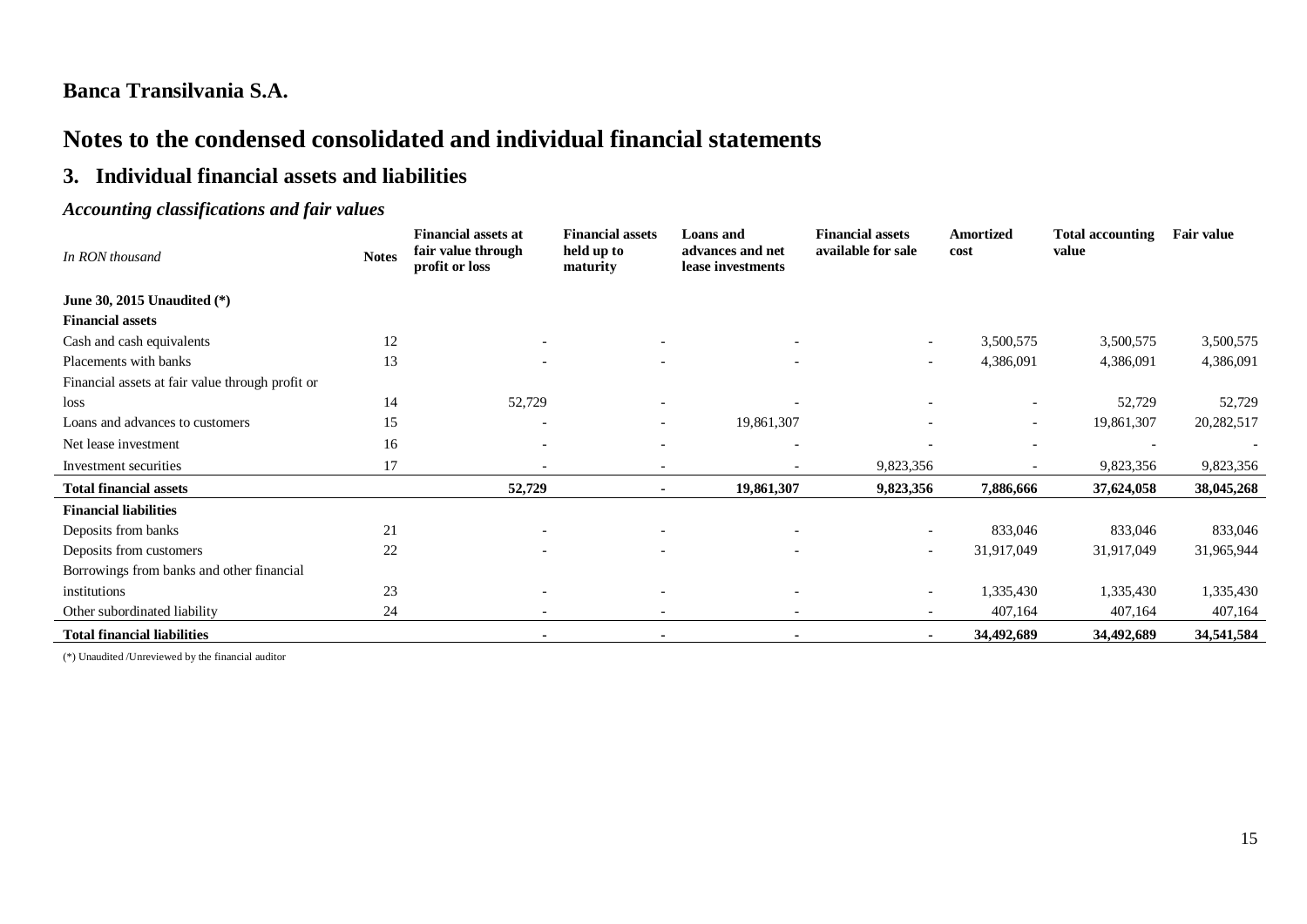# **Notes to the condensed consolidated and individual financial statements**

### **3. Individual financial assets and liabilities**

### *Accounting classifications and fair values*

| In RON thousand                                  | <b>Notes</b> | <b>Financial assets at</b><br>fair value through<br>profit or loss | <b>Financial assets</b><br>held up to<br>maturity | <b>Loans</b> and<br>advances and net<br>lease investments | <b>Financial assets</b><br>available for sale | <b>Amortized</b><br>cost | <b>Total accounting</b><br>value | <b>Fair value</b> |
|--------------------------------------------------|--------------|--------------------------------------------------------------------|---------------------------------------------------|-----------------------------------------------------------|-----------------------------------------------|--------------------------|----------------------------------|-------------------|
| June 30, 2015 Unaudited (*)                      |              |                                                                    |                                                   |                                                           |                                               |                          |                                  |                   |
| <b>Financial assets</b>                          |              |                                                                    |                                                   |                                                           |                                               |                          |                                  |                   |
| Cash and cash equivalents                        | 12           | $\overline{\phantom{a}}$                                           |                                                   |                                                           | $\overline{\phantom{a}}$                      | 3,500,575                | 3,500,575                        | 3,500,575         |
| Placements with banks                            | 13           |                                                                    | $\overline{\phantom{0}}$                          |                                                           | $\overline{\phantom{0}}$                      | 4,386,091                | 4,386,091                        | 4,386,091         |
| Financial assets at fair value through profit or |              |                                                                    |                                                   |                                                           |                                               |                          |                                  |                   |
| loss                                             | 14           | 52,729                                                             |                                                   |                                                           |                                               |                          | 52,729                           | 52,729            |
| Loans and advances to customers                  | 15           |                                                                    | $\overline{\phantom{a}}$                          | 19,861,307                                                |                                               |                          | 19,861,307                       | 20,282,517        |
| Net lease investment                             | 16           |                                                                    |                                                   |                                                           |                                               |                          |                                  |                   |
| Investment securities                            | 17           | $\overline{\phantom{a}}$                                           | $\overline{\phantom{a}}$                          |                                                           | 9,823,356                                     |                          | 9,823,356                        | 9,823,356         |
| <b>Total financial assets</b>                    |              | 52,729                                                             | $\blacksquare$                                    | 19,861,307                                                | 9,823,356                                     | 7,886,666                | 37,624,058                       | 38,045,268        |
| <b>Financial liabilities</b>                     |              |                                                                    |                                                   |                                                           |                                               |                          |                                  |                   |
| Deposits from banks                              | 21           |                                                                    |                                                   |                                                           | $\overline{\phantom{a}}$                      | 833,046                  | 833,046                          | 833,046           |
| Deposits from customers                          | 22           |                                                                    |                                                   |                                                           | $\overline{\phantom{a}}$                      | 31,917,049               | 31,917,049                       | 31,965,944        |
| Borrowings from banks and other financial        |              |                                                                    |                                                   |                                                           |                                               |                          |                                  |                   |
| institutions                                     | 23           |                                                                    |                                                   |                                                           | $\overline{\phantom{a}}$                      | 1,335,430                | 1,335,430                        | 1,335,430         |
| Other subordinated liability                     | 24           |                                                                    |                                                   |                                                           |                                               | 407,164                  | 407,164                          | 407,164           |
| <b>Total financial liabilities</b>               |              |                                                                    |                                                   |                                                           | $\blacksquare$                                | 34,492,689               | 34,492,689                       | 34,541,584        |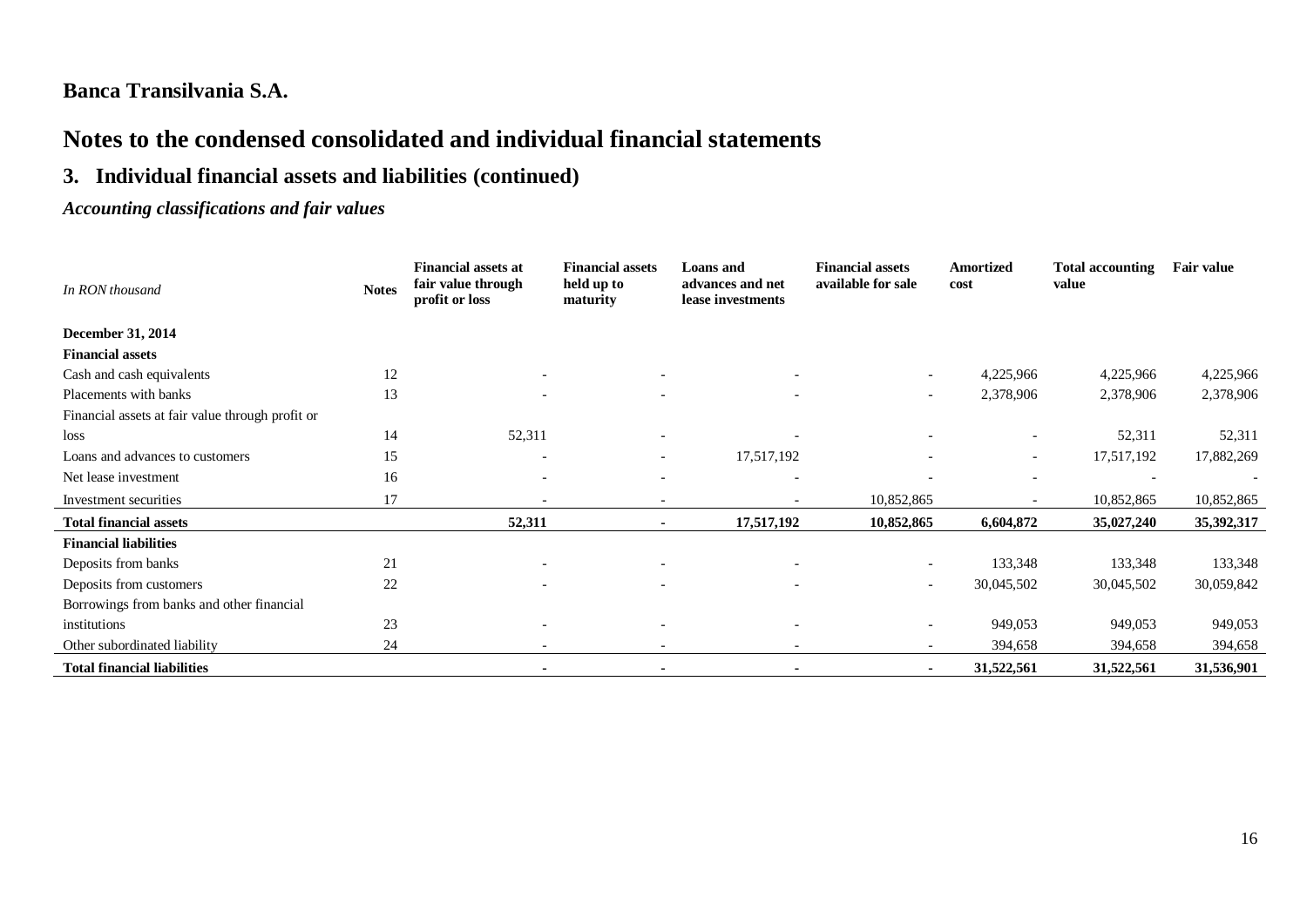# **Notes to the condensed consolidated and individual financial statements**

# **3. Individual financial assets and liabilities (continued)**

### *Accounting classifications and fair values*

| In RON thousand                                  | <b>Notes</b> | <b>Financial assets at</b><br>fair value through<br>profit or loss | <b>Financial assets</b><br>held up to<br>maturity | <b>Loans</b> and<br>advances and net<br>lease investments | <b>Financial assets</b><br>available for sale | <b>Amortized</b><br>cost | <b>Total accounting</b><br>value | <b>Fair value</b> |
|--------------------------------------------------|--------------|--------------------------------------------------------------------|---------------------------------------------------|-----------------------------------------------------------|-----------------------------------------------|--------------------------|----------------------------------|-------------------|
| December 31, 2014                                |              |                                                                    |                                                   |                                                           |                                               |                          |                                  |                   |
| <b>Financial assets</b>                          |              |                                                                    |                                                   |                                                           |                                               |                          |                                  |                   |
| Cash and cash equivalents                        | 12           | $\overline{\phantom{a}}$                                           |                                                   |                                                           | $\overline{\phantom{a}}$                      | 4,225,966                | 4,225,966                        | 4,225,966         |
| Placements with banks                            | 13           |                                                                    | $\overline{\phantom{a}}$                          | $\overline{\phantom{0}}$                                  | $\overline{\phantom{a}}$                      | 2,378,906                | 2,378,906                        | 2,378,906         |
| Financial assets at fair value through profit or |              |                                                                    |                                                   |                                                           |                                               |                          |                                  |                   |
| loss                                             | 14           | 52,311                                                             |                                                   |                                                           |                                               | $\overline{\phantom{a}}$ | 52,311                           | 52,311            |
| Loans and advances to customers                  | 15           | $\overline{\phantom{a}}$                                           | $\overline{\phantom{a}}$                          | 17,517,192                                                |                                               | $\overline{\phantom{a}}$ | 17,517,192                       | 17,882,269        |
| Net lease investment                             | 16           | $\overline{\phantom{a}}$                                           |                                                   |                                                           |                                               | $\overline{\phantom{0}}$ |                                  |                   |
| Investment securities                            | 17           |                                                                    |                                                   |                                                           | 10,852,865                                    |                          | 10,852,865                       | 10,852,865        |
| <b>Total financial assets</b>                    |              | 52,311                                                             |                                                   | 17,517,192                                                | 10,852,865                                    | 6,604,872                | 35,027,240                       | 35,392,317        |
| <b>Financial liabilities</b>                     |              |                                                                    |                                                   |                                                           |                                               |                          |                                  |                   |
| Deposits from banks                              | 21           | $\overline{\phantom{a}}$                                           |                                                   |                                                           |                                               | 133,348                  | 133,348                          | 133,348           |
| Deposits from customers                          | 22           |                                                                    |                                                   |                                                           | $\overline{\phantom{a}}$                      | 30,045,502               | 30,045,502                       | 30,059,842        |
| Borrowings from banks and other financial        |              |                                                                    |                                                   |                                                           |                                               |                          |                                  |                   |
| institutions                                     | 23           |                                                                    |                                                   |                                                           |                                               | 949,053                  | 949,053                          | 949,053           |
| Other subordinated liability                     | 24           | $\overline{\phantom{0}}$                                           |                                                   |                                                           |                                               | 394,658                  | 394,658                          | 394,658           |
| <b>Total financial liabilities</b>               |              |                                                                    |                                                   |                                                           |                                               | 31,522,561               | 31,522,561                       | 31,536,901        |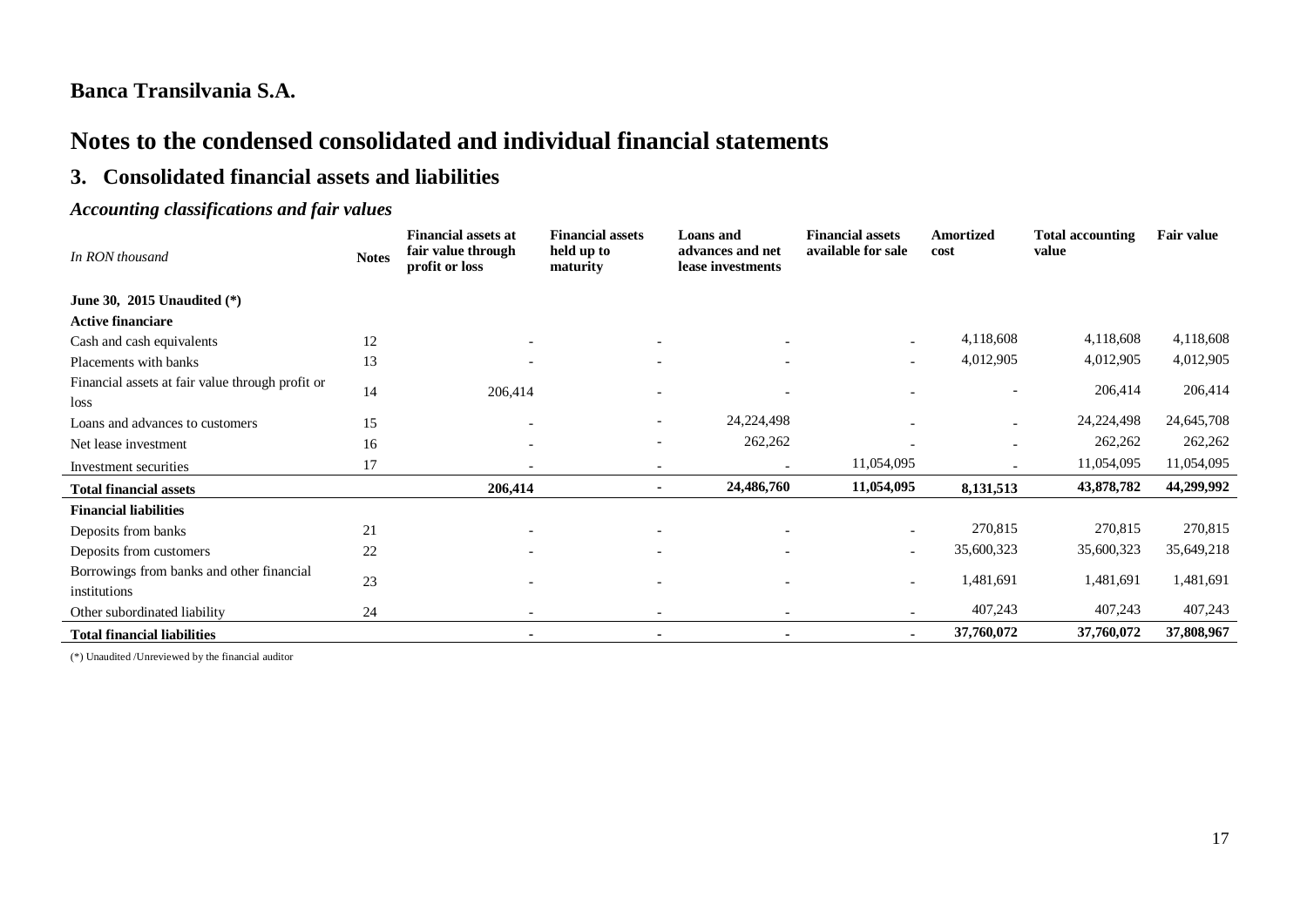# **Notes to the condensed consolidated and individual financial statements**

### **3. Consolidated financial assets and liabilities**

### *Accounting classifications and fair values*

| In RON thousand                                           | <b>Notes</b> | <b>Financial assets at</b><br>fair value through<br>profit or loss | <b>Financial assets</b><br>held up to<br>maturity | <b>Loans</b> and<br>advances and net<br>lease investments | <b>Financial assets</b><br>available for sale | <b>Amortized</b><br>cost | <b>Total accounting</b><br>value | Fair value |
|-----------------------------------------------------------|--------------|--------------------------------------------------------------------|---------------------------------------------------|-----------------------------------------------------------|-----------------------------------------------|--------------------------|----------------------------------|------------|
| June 30, 2015 Unaudited $(*)$                             |              |                                                                    |                                                   |                                                           |                                               |                          |                                  |            |
| <b>Active financiare</b>                                  |              |                                                                    |                                                   |                                                           |                                               |                          |                                  |            |
| Cash and cash equivalents                                 | 12           |                                                                    |                                                   |                                                           | $\overline{\phantom{0}}$                      | 4,118,608                | 4,118,608                        | 4,118,608  |
| Placements with banks                                     | 13           |                                                                    |                                                   |                                                           |                                               | 4,012,905                | 4,012,905                        | 4,012,905  |
| Financial assets at fair value through profit or<br>loss  | 14           | 206,414                                                            |                                                   |                                                           |                                               |                          | 206,414                          | 206,414    |
| Loans and advances to customers                           | 15           | $\overline{\phantom{a}}$                                           |                                                   | 24, 224, 498                                              |                                               |                          | 24, 224, 498                     | 24,645,708 |
| Net lease investment                                      | 16           |                                                                    |                                                   | 262,262                                                   |                                               |                          | 262,262                          | 262,262    |
| Investment securities                                     | 17           |                                                                    |                                                   |                                                           | 11,054,095                                    |                          | 11,054,095                       | 11,054,095 |
| <b>Total financial assets</b>                             |              | 206,414                                                            |                                                   | 24,486,760                                                | 11,054,095                                    | 8,131,513                | 43,878,782                       | 44,299,992 |
| <b>Financial liabilities</b>                              |              |                                                                    |                                                   |                                                           |                                               |                          |                                  |            |
| Deposits from banks                                       | 21           |                                                                    |                                                   |                                                           |                                               | 270,815                  | 270,815                          | 270,815    |
| Deposits from customers                                   | 22           |                                                                    | $\overline{\phantom{0}}$                          |                                                           | $\overline{\phantom{0}}$                      | 35,600,323               | 35,600,323                       | 35,649,218 |
| Borrowings from banks and other financial<br>institutions | 23           |                                                                    |                                                   |                                                           |                                               | 1,481,691                | 1,481,691                        | 1,481,691  |
| Other subordinated liability                              | 24           |                                                                    |                                                   |                                                           |                                               | 407,243                  | 407,243                          | 407,243    |
| <b>Total financial liabilities</b>                        |              |                                                                    |                                                   |                                                           |                                               | 37,760,072               | 37,760,072                       | 37,808,967 |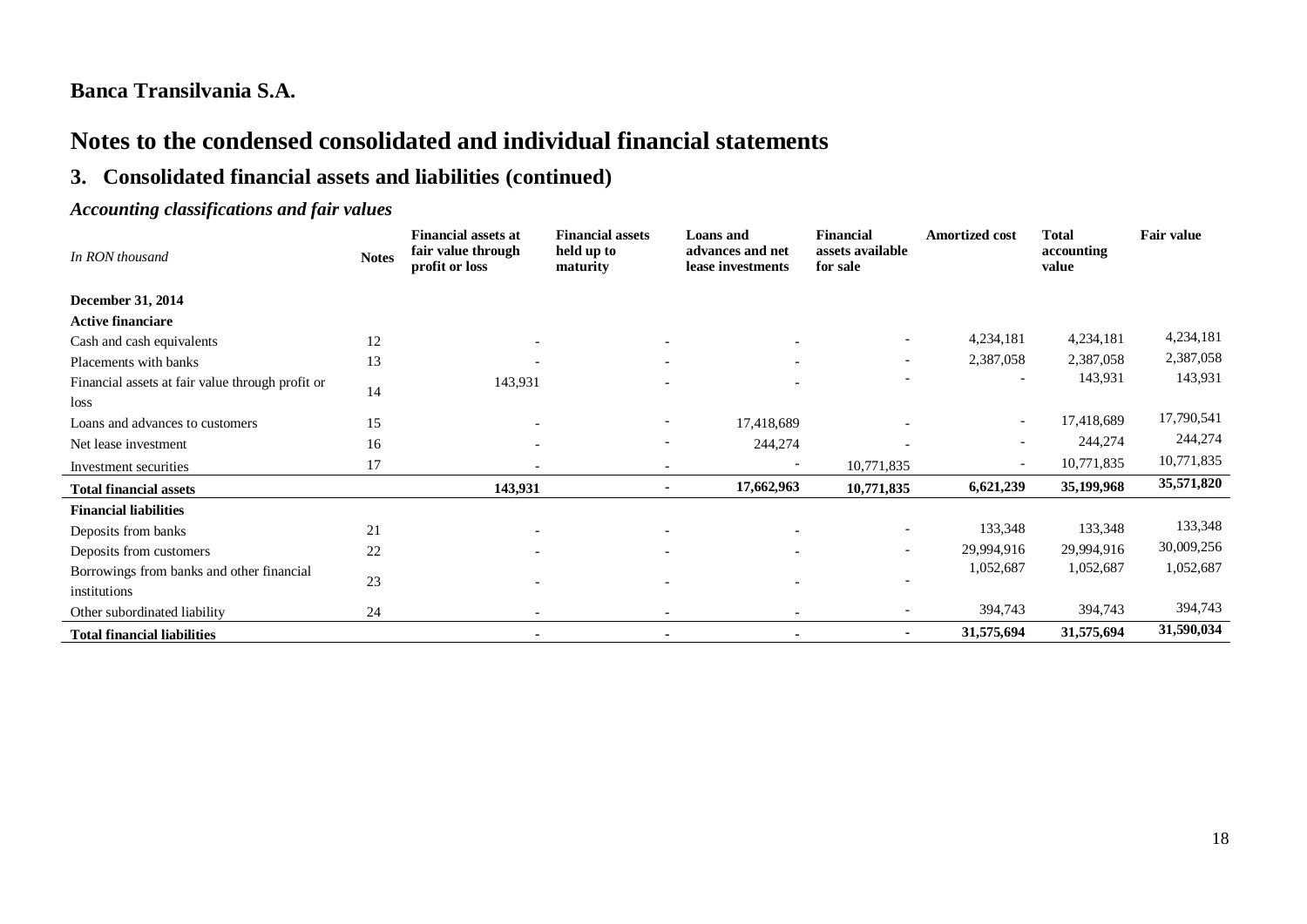# **Notes to the condensed consolidated and individual financial statements**

# **3. Consolidated financial assets and liabilities (continued)**

### *Accounting classifications and fair values*

| In RON thousand                                          | <b>Notes</b> | <b>Financial assets at</b><br>fair value through<br>profit or loss | <b>Financial assets</b><br>held up to<br>maturity | <b>Loans</b> and<br>advances and net<br>lease investments | <b>Financial</b><br>assets available<br>for sale | <b>Amortized cost</b>    | <b>Total</b><br>accounting<br>value | Fair value |
|----------------------------------------------------------|--------------|--------------------------------------------------------------------|---------------------------------------------------|-----------------------------------------------------------|--------------------------------------------------|--------------------------|-------------------------------------|------------|
| December 31, 2014                                        |              |                                                                    |                                                   |                                                           |                                                  |                          |                                     |            |
| <b>Active financiare</b>                                 |              |                                                                    |                                                   |                                                           |                                                  |                          |                                     |            |
| Cash and cash equivalents                                | 12           |                                                                    |                                                   |                                                           | $\overline{\phantom{a}}$                         | 4,234,181                | 4,234,181                           | 4,234,181  |
| Placements with banks                                    | 13           |                                                                    |                                                   |                                                           | $\overline{\phantom{0}}$                         | 2,387,058                | 2,387,058                           | 2,387,058  |
| Financial assets at fair value through profit or<br>loss | 14           | 143,931                                                            |                                                   |                                                           |                                                  | $\overline{\phantom{a}}$ | 143,931                             | 143,931    |
| Loans and advances to customers                          | 15           | $\overline{\phantom{a}}$                                           |                                                   | 17,418,689                                                |                                                  | $\overline{\phantom{a}}$ | 17,418,689                          | 17,790,541 |
| Net lease investment                                     | 16           | $\overline{\phantom{a}}$                                           |                                                   | 244,274                                                   |                                                  | $\overline{\phantom{a}}$ | 244,274                             | 244,274    |
| Investment securities                                    | 17           |                                                                    |                                                   |                                                           | 10,771,835                                       | $\overline{\phantom{a}}$ | 10,771,835                          | 10,771,835 |
| <b>Total financial assets</b>                            |              | 143,931                                                            |                                                   | 17,662,963                                                | 10,771,835                                       | 6,621,239                | 35,199,968                          | 35,571,820 |
| <b>Financial liabilities</b>                             |              |                                                                    |                                                   |                                                           |                                                  |                          |                                     |            |
| Deposits from banks                                      | 21           |                                                                    |                                                   |                                                           | $\overline{\phantom{0}}$                         | 133,348                  | 133,348                             | 133,348    |
| Deposits from customers                                  | 22           | $\overline{\phantom{a}}$                                           |                                                   |                                                           | $\overline{\phantom{0}}$                         | 29,994,916               | 29,994,916                          | 30,009,256 |
| Borrowings from banks and other financial                |              |                                                                    |                                                   |                                                           |                                                  | 1,052,687                | 1,052,687                           | 1,052,687  |
| institutions                                             | 23           |                                                                    |                                                   |                                                           |                                                  |                          |                                     |            |
| Other subordinated liability                             | 24           | $\overline{\phantom{a}}$                                           |                                                   | $\overline{\phantom{a}}$                                  |                                                  | 394,743                  | 394,743                             | 394,743    |
| <b>Total financial liabilities</b>                       |              | $\blacksquare$                                                     |                                                   |                                                           |                                                  | 31,575,694               | 31,575,694                          | 31,590,034 |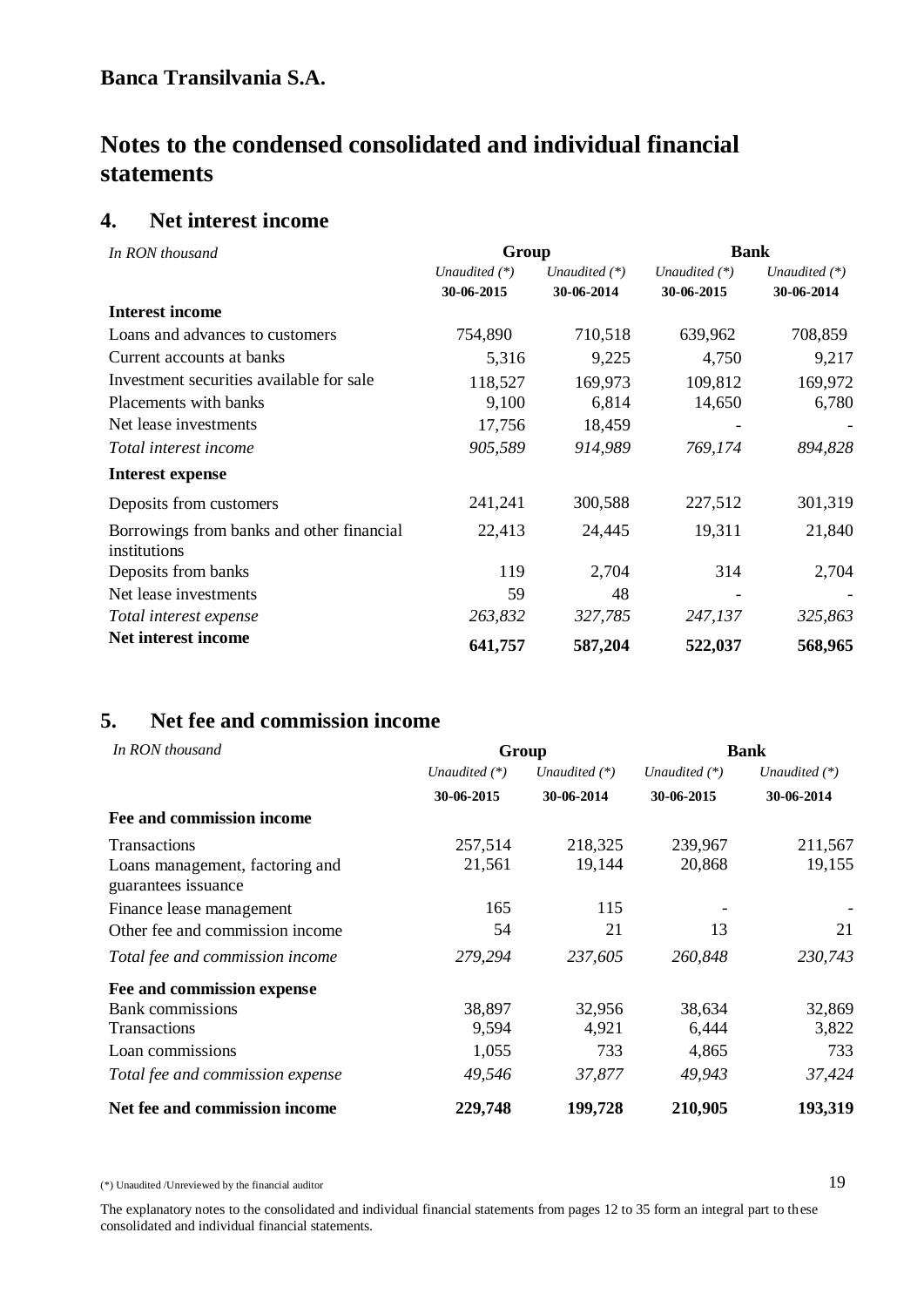### **4. Net interest income**

| In RON thousand                                           | Group         |                 | <b>Bank</b>     |                 |  |
|-----------------------------------------------------------|---------------|-----------------|-----------------|-----------------|--|
|                                                           | Unaudited (*) | Unaudited $(*)$ | Unaudited $(*)$ | Unaudited $(*)$ |  |
|                                                           | 30-06-2015    | 30-06-2014      | 30-06-2015      | 30-06-2014      |  |
| <b>Interest income</b>                                    |               |                 |                 |                 |  |
| Loans and advances to customers                           | 754,890       | 710,518         | 639,962         | 708,859         |  |
| Current accounts at banks                                 | 5,316         | 9,225           | 4,750           | 9,217           |  |
| Investment securities available for sale                  | 118,527       | 169,973         | 109,812         | 169,972         |  |
| Placements with banks                                     | 9,100         | 6,814           | 14,650          | 6,780           |  |
| Net lease investments                                     | 17,756        | 18,459          |                 |                 |  |
| Total interest income                                     | 905,589       | 914,989         | 769,174         | 894,828         |  |
| Interest expense                                          |               |                 |                 |                 |  |
| Deposits from customers                                   | 241,241       | 300,588         | 227,512         | 301,319         |  |
| Borrowings from banks and other financial<br>institutions | 22,413        | 24,445          | 19,311          | 21,840          |  |
| Deposits from banks                                       | 119           | 2,704           | 314             | 2,704           |  |
| Net lease investments                                     | 59            | 48              |                 |                 |  |
| Total interest expense                                    | 263,832       | 327,785         | 247,137         | 325,863         |  |
| Net interest income                                       | 641,757       | 587,204         | 522,037         | 568,965         |  |

# **5. Net fee and commission income**

| In RON thousand                                        |                 | Group           | <b>Bank</b>     |                 |  |
|--------------------------------------------------------|-----------------|-----------------|-----------------|-----------------|--|
|                                                        | Unaudited $(*)$ | Unaudited $(*)$ | Unaudited $(*)$ | Unaudited $(*)$ |  |
|                                                        | 30-06-2015      | 30-06-2014      | 30-06-2015      | 30-06-2014      |  |
| Fee and commission income                              |                 |                 |                 |                 |  |
| <b>Transactions</b>                                    | 257,514         | 218,325         | 239,967         | 211,567         |  |
| Loans management, factoring and<br>guarantees issuance | 21,561          | 19,144          | 20,868          | 19,155          |  |
| Finance lease management                               | 165             | 115             |                 |                 |  |
| Other fee and commission income                        | 54              | 21              | 13              | 21              |  |
| Total fee and commission income                        | 279,294         | 237,605         | 260,848         | 230,743         |  |
| Fee and commission expense                             |                 |                 |                 |                 |  |
| <b>Bank</b> commissions                                | 38,897          | 32,956          | 38,634          | 32,869          |  |
| <b>Transactions</b>                                    | 9,594           | 4,921           | 6,444           | 3,822           |  |
| Loan commissions                                       | 1,055           | 733             | 4,865           | 733             |  |
| Total fee and commission expense                       | 49,546          | 37,877          | 49,943          | 37,424          |  |
| Net fee and commission income                          | 229,748         | 199,728         | 210,905         | 193,319         |  |

(\*) Unaudited /Unreviewed by the financial auditor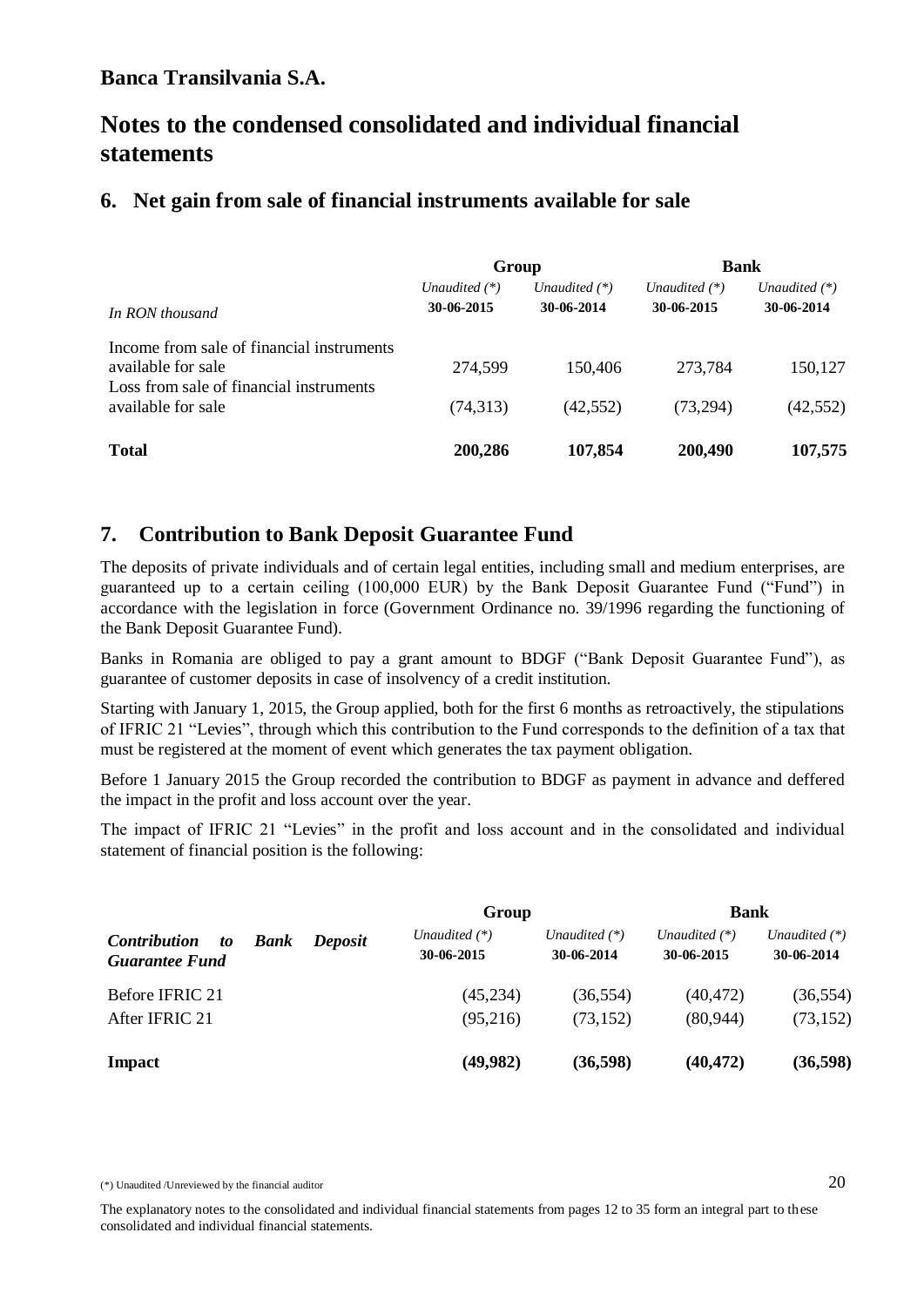# **Notes to the condensed consolidated and individual financial statements**

### **6. Net gain from sale of financial instruments available for sale**

|                                                                                                            | Group                         |                               | <b>Bank</b>                   |                               |  |
|------------------------------------------------------------------------------------------------------------|-------------------------------|-------------------------------|-------------------------------|-------------------------------|--|
| In RON thousand                                                                                            | Unaudited $(*)$<br>30-06-2015 | Unaudited $(*)$<br>30-06-2014 | Unaudited $(*)$<br>30-06-2015 | Unaudited $(*)$<br>30-06-2014 |  |
| Income from sale of financial instruments<br>available for sale<br>Loss from sale of financial instruments | 274,599                       | 150,406                       | 273,784                       | 150,127                       |  |
| available for sale                                                                                         | (74,313)                      | (42, 552)                     | (73, 294)                     | (42, 552)                     |  |
| <b>Total</b>                                                                                               | 200,286                       | 107,854                       | 200,490                       | 107,575                       |  |

### **7. Contribution to Bank Deposit Guarantee Fund**

The deposits of private individuals and of certain legal entities, including small and medium enterprises, are guaranteed up to a certain ceiling (100,000 EUR) by the Bank Deposit Guarantee Fund ("Fund") in accordance with the legislation in force (Government Ordinance no. 39/1996 regarding the functioning of the Bank Deposit Guarantee Fund).

Banks in Romania are obliged to pay a grant amount to BDGF ("Bank Deposit Guarantee Fund"), as guarantee of customer deposits in case of insolvency of a credit institution.

Starting with January 1, 2015, the Group applied, both for the first 6 months as retroactively, the stipulations of IFRIC 21 "Levies", through which this contribution to the Fund corresponds to the definition of a tax that must be registered at the moment of event which generates the tax payment obligation.

Before 1 January 2015 the Group recorded the contribution to BDGF as payment in advance and deffered the impact in the profit and loss account over the year.

The impact of IFRIC 21 "Levies" in the profit and loss account and in the consolidated and individual statement of financial position is the following:

|                                                    |             |                | Group                         |                               | <b>Bank</b>                   |                               |
|----------------------------------------------------|-------------|----------------|-------------------------------|-------------------------------|-------------------------------|-------------------------------|
| <i>Contribution</i><br>to<br><b>Guarantee Fund</b> | <b>Bank</b> | <b>Deposit</b> | Unaudited $(*)$<br>30-06-2015 | Unaudited $(*)$<br>30-06-2014 | Unaudited $(*)$<br>30-06-2015 | Unaudited $(*)$<br>30-06-2014 |
| Before IFRIC 21                                    |             |                | (45, 234)                     | (36, 554)                     | (40, 472)                     | (36, 554)                     |
| After IFRIC 21                                     |             |                | (95,216)                      | (73, 152)                     | (80, 944)                     | (73, 152)                     |
| Impact                                             |             |                | (49,982)                      | (36, 598)                     | (40, 472)                     | (36,598)                      |

<sup>(\*)</sup> Unaudited /Unreviewed by the financial auditor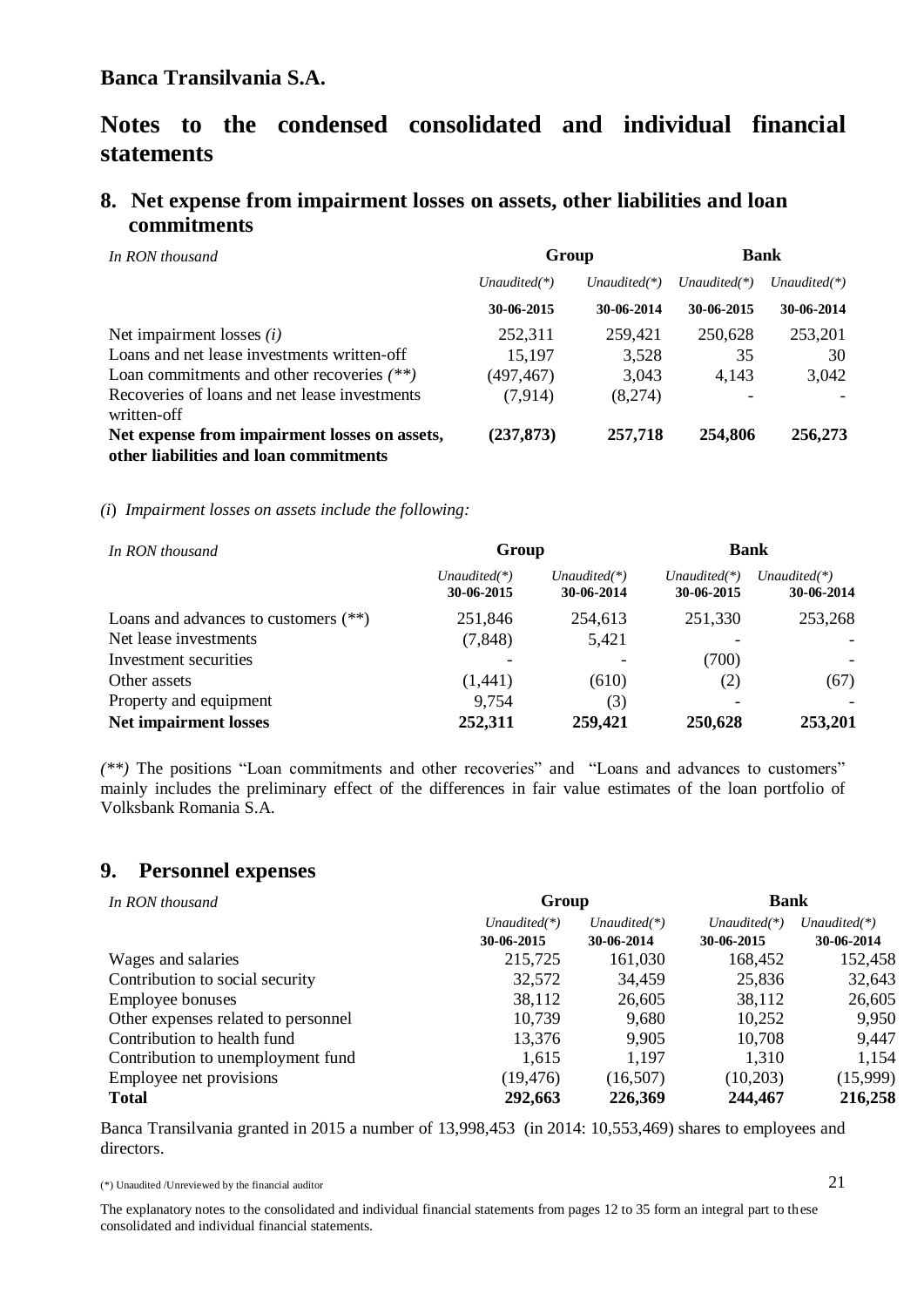## **8. Net expense from impairment losses on assets, other liabilities and loan commitments**

| In RON thousand                                              |                 | Group           | <b>Bank</b>     |                 |  |
|--------------------------------------------------------------|-----------------|-----------------|-----------------|-----------------|--|
|                                                              | Unaudited $(*)$ | Unaudited $(*)$ | Unaudited $(*)$ | Unaudited $(*)$ |  |
|                                                              | 30-06-2015      | 30-06-2014      | 30-06-2015      | 30-06-2014      |  |
| Net impairment losses $(i)$                                  | 252,311         | 259,421         | 250,628         | 253,201         |  |
| Loans and net lease investments written-off                  | 15,197          | 3,528           | 35              | 30              |  |
| Loan commitments and other recoveries $(**)$                 | (497, 467)      | 3,043           | 4,143           | 3,042           |  |
| Recoveries of loans and net lease investments<br>written-off | (7,914)         | (8,274)         |                 |                 |  |
| Net expense from impairment losses on assets,                | (237, 873)      | 257,718         | 254,806         | 256,273         |  |
| other liabilities and loan commitments                       |                 |                 |                 |                 |  |

#### *(i*) *Impairment losses on assets include the following:*

| In RON thousand                        | Group                        |                              | <b>Bank</b>                   |                               |  |
|----------------------------------------|------------------------------|------------------------------|-------------------------------|-------------------------------|--|
|                                        | $Unaudited(*)$<br>30-06-2015 | $Unaudited(*)$<br>30-06-2014 | Unaudited $(*)$<br>30-06-2015 | Unaudited $(*)$<br>30-06-2014 |  |
| Loans and advances to customers $(**)$ | 251,846                      | 254,613                      | 251,330                       | 253,268                       |  |
| Net lease investments                  | (7, 848)                     | 5,421                        |                               |                               |  |
| Investment securities                  |                              |                              | (700)                         |                               |  |
| Other assets                           | (1,441)                      | (610)                        | (2)                           | (67)                          |  |
| Property and equipment                 | 9,754                        | (3)                          |                               |                               |  |
| <b>Net impairment losses</b>           | 252,311                      | 259,421                      | 250,628                       | 253,201                       |  |

*(\*\*)* The positions "Loan commitments and other recoveries" and "Loans and advances to customers" mainly includes the preliminary effect of the differences in fair value estimates of the loan portfolio of Volksbank Romania S.A.

### **9. Personnel expenses**

| In RON thousand                     | Group           |                 | <b>Bank</b>     |                 |
|-------------------------------------|-----------------|-----------------|-----------------|-----------------|
|                                     | Unaudited $(*)$ | Unaudited $(*)$ | Unaudited $(*)$ | Unaudited $(*)$ |
|                                     | 30-06-2015      | 30-06-2014      | 30-06-2015      | 30-06-2014      |
| Wages and salaries                  | 215,725         | 161,030         | 168,452         | 152,458         |
| Contribution to social security     | 32,572          | 34,459          | 25,836          | 32,643          |
| <b>Employee bonuses</b>             | 38,112          | 26,605          | 38,112          | 26,605          |
| Other expenses related to personnel | 10,739          | 9,680           | 10,252          | 9,950           |
| Contribution to health fund         | 13,376          | 9,905           | 10,708          | 9,447           |
| Contribution to unemployment fund   | 1,615           | 1,197           | 1,310           | 1,154           |
| Employee net provisions             | (19, 476)       | (16, 507)       | (10,203)        | (15,999)        |
| <b>Total</b>                        | 292,663         | 226,369         | 244,467         | 216,258         |

Banca Transilvania granted in 2015 a number of 13,998,453 (in 2014: 10,553,469) shares to employees and directors.

(\*) Unaudited /Unreviewed by the financial auditor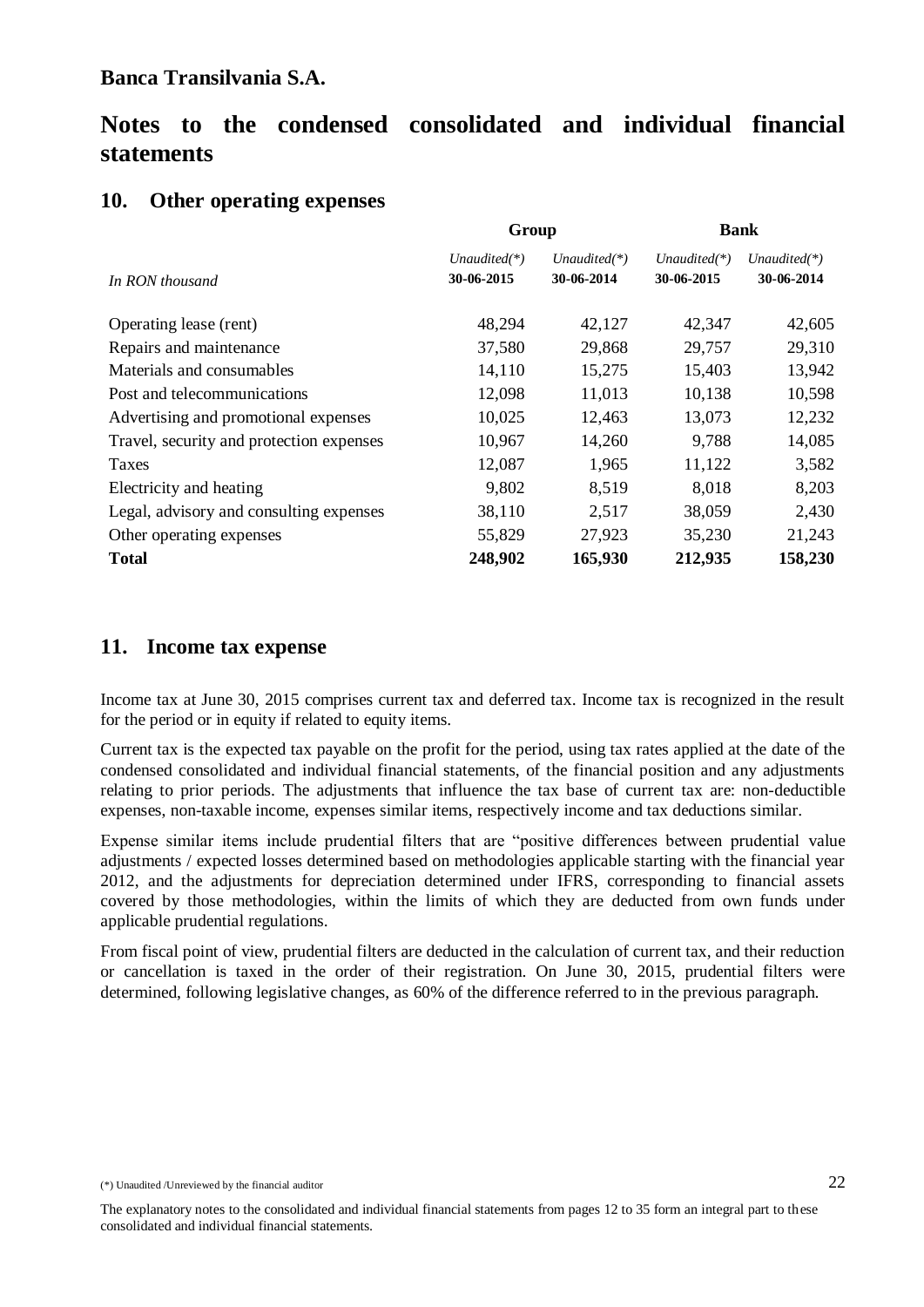# **Notes to the condensed consolidated and individual financial statements**

# **10. Other operating expenses**

|                                          | Group                        |                               | <b>Bank</b>                   |                               |  |
|------------------------------------------|------------------------------|-------------------------------|-------------------------------|-------------------------------|--|
| In RON thousand                          | $Unaudited(*)$<br>30-06-2015 | Unaudited $(*)$<br>30-06-2014 | Unaudited $(*)$<br>30-06-2015 | Unaudited $(*)$<br>30-06-2014 |  |
| Operating lease (rent)                   | 48,294                       | 42,127                        | 42,347                        | 42,605                        |  |
| Repairs and maintenance                  | 37,580                       | 29,868                        | 29,757                        | 29,310                        |  |
| Materials and consumables                | 14,110                       | 15,275                        | 15,403                        | 13,942                        |  |
| Post and telecommunications              | 12,098                       | 11,013                        | 10,138                        | 10,598                        |  |
| Advertising and promotional expenses     | 10,025                       | 12,463                        | 13,073                        | 12,232                        |  |
| Travel, security and protection expenses | 10,967                       | 14,260                        | 9,788                         | 14,085                        |  |
| Taxes                                    | 12,087                       | 1,965                         | 11,122                        | 3,582                         |  |
| Electricity and heating                  | 9,802                        | 8,519                         | 8,018                         | 8,203                         |  |
| Legal, advisory and consulting expenses  | 38,110                       | 2,517                         | 38,059                        | 2,430                         |  |
| Other operating expenses                 | 55,829                       | 27,923                        | 35,230                        | 21,243                        |  |
| <b>Total</b>                             | 248,902                      | 165,930                       | 212,935                       | 158,230                       |  |

### **11.****Income tax expense**

Income tax at June 30, 2015 comprises current tax and deferred tax. Income tax is recognized in the result for the period or in equity if related to equity items.

Current tax is the expected tax payable on the profit for the period, using tax rates applied at the date of the condensed consolidated and individual financial statements, of the financial position and any adjustments relating to prior periods. The adjustments that influence the tax base of current tax are: non-deductible expenses, non-taxable income, expenses similar items, respectively income and tax deductions similar.

Expense similar items include prudential filters that are "positive differences between prudential value adjustments / expected losses determined based on methodologies applicable starting with the financial year 2012, and the adjustments for depreciation determined under IFRS, corresponding to financial assets covered by those methodologies, within the limits of which they are deducted from own funds under applicable prudential regulations.

From fiscal point of view, prudential filters are deducted in the calculation of current tax, and their reduction or cancellation is taxed in the order of their registration. On June 30, 2015, prudential filters were determined, following legislative changes, as 60% of the difference referred to in the previous paragraph.

<sup>(\*)</sup> Unaudited /Unreviewed by the financial auditor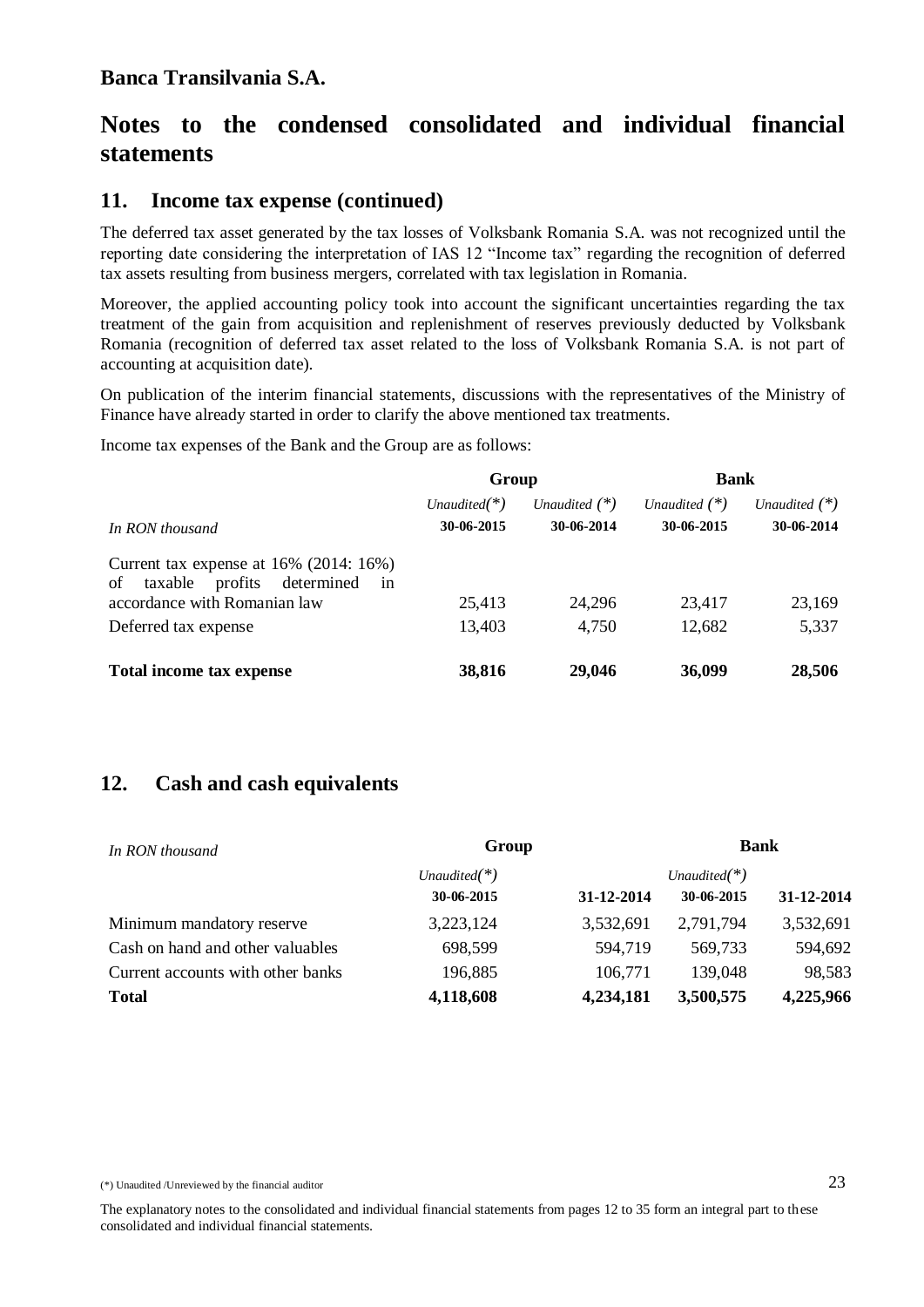# **11.****Income tax expense (continued)**

The deferred tax asset generated by the tax losses of Volksbank Romania S.A. was not recognized until the reporting date considering the interpretation of IAS 12 "Income tax" regarding the recognition of deferred tax assets resulting from business mergers, correlated with tax legislation in Romania.

Moreover, the applied accounting policy took into account the significant uncertainties regarding the tax treatment of the gain from acquisition and replenishment of reserves previously deducted by Volksbank Romania (recognition of deferred tax asset related to the loss of Volksbank Romania S.A. is not part of accounting at acquisition date).

On publication of the interim financial statements, discussions with the representatives of the Ministry of Finance have already started in order to clarify the above mentioned tax treatments.

Income tax expenses of the Bank and the Group are as follows:

|                                                                                               | Group           |                 | <b>Bank</b>     |                 |
|-----------------------------------------------------------------------------------------------|-----------------|-----------------|-----------------|-----------------|
|                                                                                               | Unaudited $(*)$ | Unaudited $(*)$ | Unaudited $(*)$ | Unaudited $(*)$ |
| In RON thousand                                                                               | 30-06-2015      | 30-06-2014      | 30-06-2015      | 30-06-2014      |
| Current tax expense at $16\%$ (2014: $16\%$ )<br>determined<br>profits<br>taxable<br>of<br>in |                 |                 |                 |                 |
| accordance with Romanian law                                                                  | 25,413          | 24,296          | 23,417          | 23,169          |
| Deferred tax expense                                                                          | 13,403          | 4,750           | 12,682          | 5,337           |
| Total income tax expense                                                                      | 38,816          | 29,046          | 36,099          | 28,506          |

# **12. Cash and cash equivalents**

| In RON thousand                   | Group           |            | <b>Bank</b>     |            |  |
|-----------------------------------|-----------------|------------|-----------------|------------|--|
|                                   | Unaudited $(*)$ |            | Unaudited $(*)$ |            |  |
|                                   | 30-06-2015      | 31-12-2014 | 30-06-2015      | 31-12-2014 |  |
| Minimum mandatory reserve         | 3,223,124       | 3,532,691  | 2,791,794       | 3,532,691  |  |
| Cash on hand and other valuables  | 698,599         | 594,719    | 569,733         | 594,692    |  |
| Current accounts with other banks | 196,885         | 106,771    | 139,048         | 98,583     |  |
| <b>Total</b>                      | 4,118,608       | 4,234,181  | 3,500,575       | 4,225,966  |  |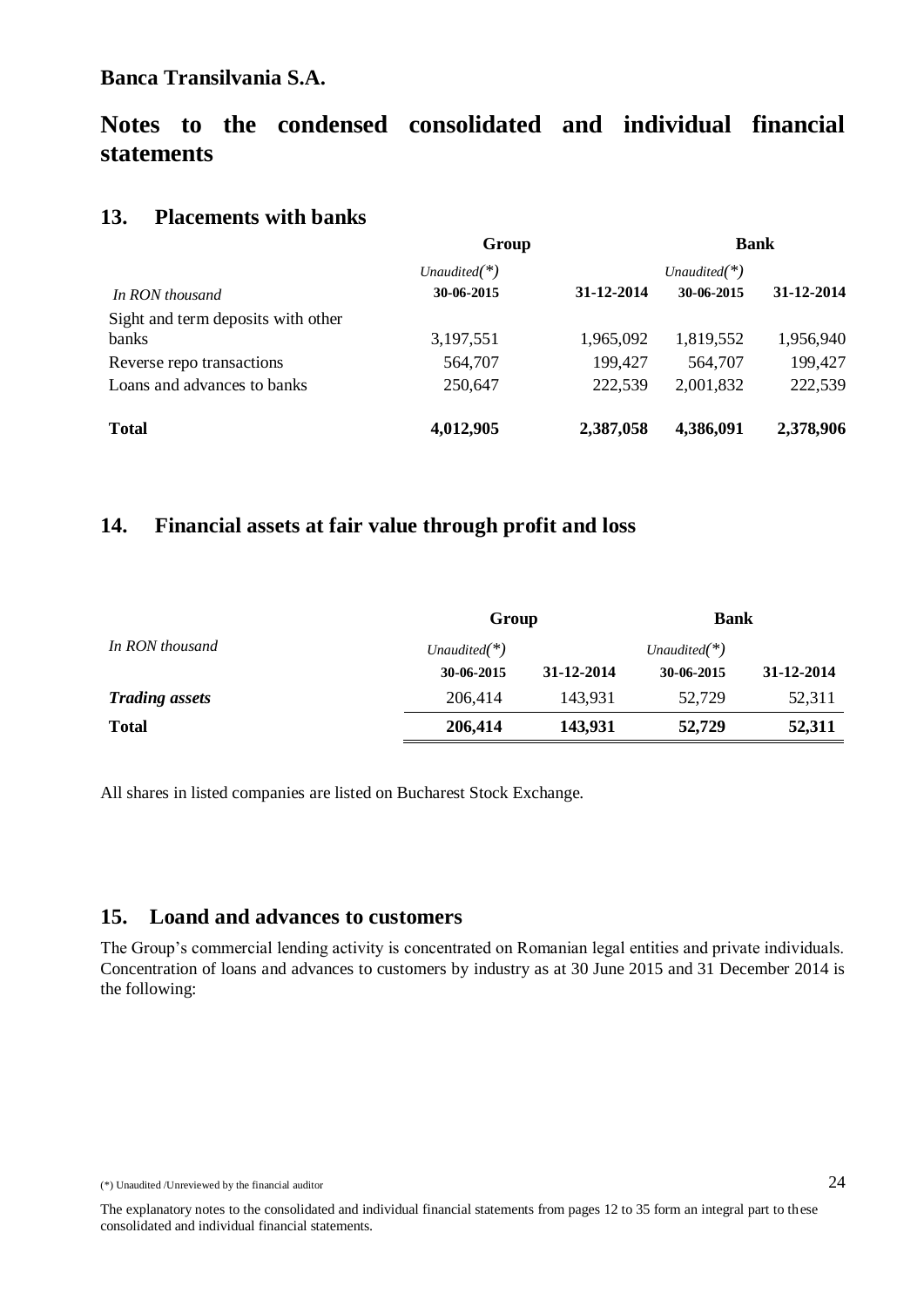# **Notes to the condensed consolidated and individual financial statements**

### **13. Placements with banks**

|                                    | Group           |            | <b>Bank</b>     |            |
|------------------------------------|-----------------|------------|-----------------|------------|
|                                    | Unaudited $(*)$ |            | Unaudited $(*)$ |            |
| In RON thousand                    | 30-06-2015      | 31-12-2014 | 30-06-2015      | 31-12-2014 |
| Sight and term deposits with other |                 |            |                 |            |
| banks                              | 3,197,551       | 1,965,092  | 1,819,552       | 1,956,940  |
| Reverse repo transactions          | 564,707         | 199,427    | 564,707         | 199,427    |
| Loans and advances to banks        | 250,647         | 222,539    | 2,001,832       | 222,539    |
| <b>Total</b>                       | 4,012,905       | 2,387,058  | 4,386,091       | 2,378,906  |

### **14. Financial assets at fair value through profit and loss**

|                       | Group           |            | <b>Bank</b>     |            |
|-----------------------|-----------------|------------|-----------------|------------|
| In RON thousand       | Unaudited $(*)$ |            | Unaudited $(*)$ |            |
|                       | 30-06-2015      | 31-12-2014 | 30-06-2015      | 31-12-2014 |
| <b>Trading assets</b> | 206,414         | 143.931    | 52.729          | 52,311     |
| <b>Total</b>          | 206,414         | 143,931    | 52,729          | 52,311     |

All shares in listed companies are listed on Bucharest Stock Exchange.

### **15. Loand and advances to customers**

The Group's commercial lending activity is concentrated on Romanian legal entities and private individuals. Concentration of loans and advances to customers by industry as at 30 June 2015 and 31 December 2014 is the following:

<sup>(\*)</sup> Unaudited /Unreviewed by the financial auditor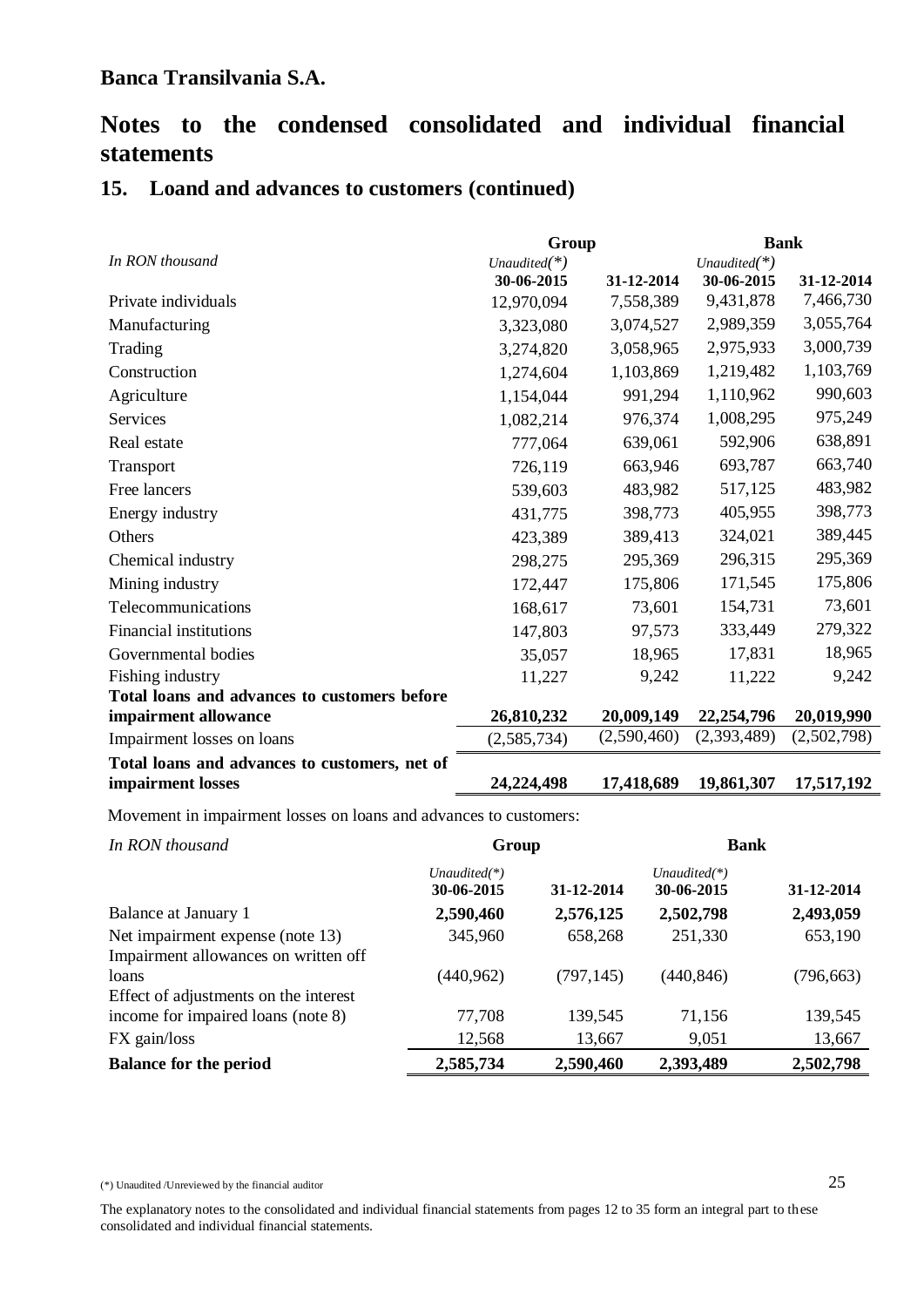### **15. Loand and advances to customers (continued)**

|                                               | Group           |             | <b>Bank</b>  |             |
|-----------------------------------------------|-----------------|-------------|--------------|-------------|
| In RON thousand                               | Unaudited $(*)$ |             | Unaudited(*) |             |
|                                               | 30-06-2015      | 31-12-2014  | 30-06-2015   | 31-12-2014  |
| Private individuals                           | 12,970,094      | 7,558,389   | 9,431,878    | 7,466,730   |
| Manufacturing                                 | 3,323,080       | 3,074,527   | 2,989,359    | 3,055,764   |
| Trading                                       | 3,274,820       | 3,058,965   | 2,975,933    | 3,000,739   |
| Construction                                  | 1,274,604       | 1,103,869   | 1,219,482    | 1,103,769   |
| Agriculture                                   | 1,154,044       | 991,294     | 1,110,962    | 990,603     |
| Services                                      | 1,082,214       | 976,374     | 1,008,295    | 975,249     |
| Real estate                                   | 777,064         | 639,061     | 592,906      | 638,891     |
| Transport                                     | 726,119         | 663,946     | 693,787      | 663,740     |
| Free lancers                                  | 539,603         | 483,982     | 517,125      | 483,982     |
| Energy industry                               | 431,775         | 398,773     | 405,955      | 398,773     |
| Others                                        | 423,389         | 389,413     | 324,021      | 389,445     |
| Chemical industry                             | 298,275         | 295,369     | 296,315      | 295,369     |
| Mining industry                               | 172,447         | 175,806     | 171,545      | 175,806     |
| Telecommunications                            | 168,617         | 73,601      | 154,731      | 73,601      |
| Financial institutions                        | 147,803         | 97,573      | 333,449      | 279,322     |
| Governmental bodies                           | 35,057          | 18,965      | 17,831       | 18,965      |
| Fishing industry                              | 11,227          | 9,242       | 11,222       | 9,242       |
| Total loans and advances to customers before  |                 |             |              |             |
| impairment allowance                          | 26,810,232      | 20,009,149  | 22,254,796   | 20,019,990  |
| Impairment losses on loans                    | (2, 585, 734)   | (2,590,460) | (2,393,489)  | (2,502,798) |
| Total loans and advances to customers, net of |                 |             |              |             |
| impairment losses                             | 24,224,498      | 17,418,689  | 19,861,307   | 17,517,192  |

Movement in impairment losses on loans and advances to customers:

| In RON thousand                       | Group                         |            | <b>Bank</b>                   |            |
|---------------------------------------|-------------------------------|------------|-------------------------------|------------|
|                                       | Unaudited $(*)$<br>30-06-2015 | 31-12-2014 | Unaudited $(*)$<br>30-06-2015 | 31-12-2014 |
| Balance at January 1                  | 2,590,460                     | 2,576,125  | 2,502,798                     | 2,493,059  |
| Net impairment expense (note 13)      | 345,960                       | 658,268    | 251,330                       | 653,190    |
| Impairment allowances on written off  |                               |            |                               |            |
| loans                                 | (440, 962)                    | (797, 145) | (440, 846)                    | (796, 663) |
| Effect of adjustments on the interest |                               |            |                               |            |
| income for impaired loans (note 8)    | 77,708                        | 139,545    | 71,156                        | 139,545    |
| FX gain/loss                          | 12,568                        | 13,667     | 9,051                         | 13,667     |
| <b>Balance for the period</b>         | 2,585,734                     | 2,590,460  | 2,393,489                     | 2,502,798  |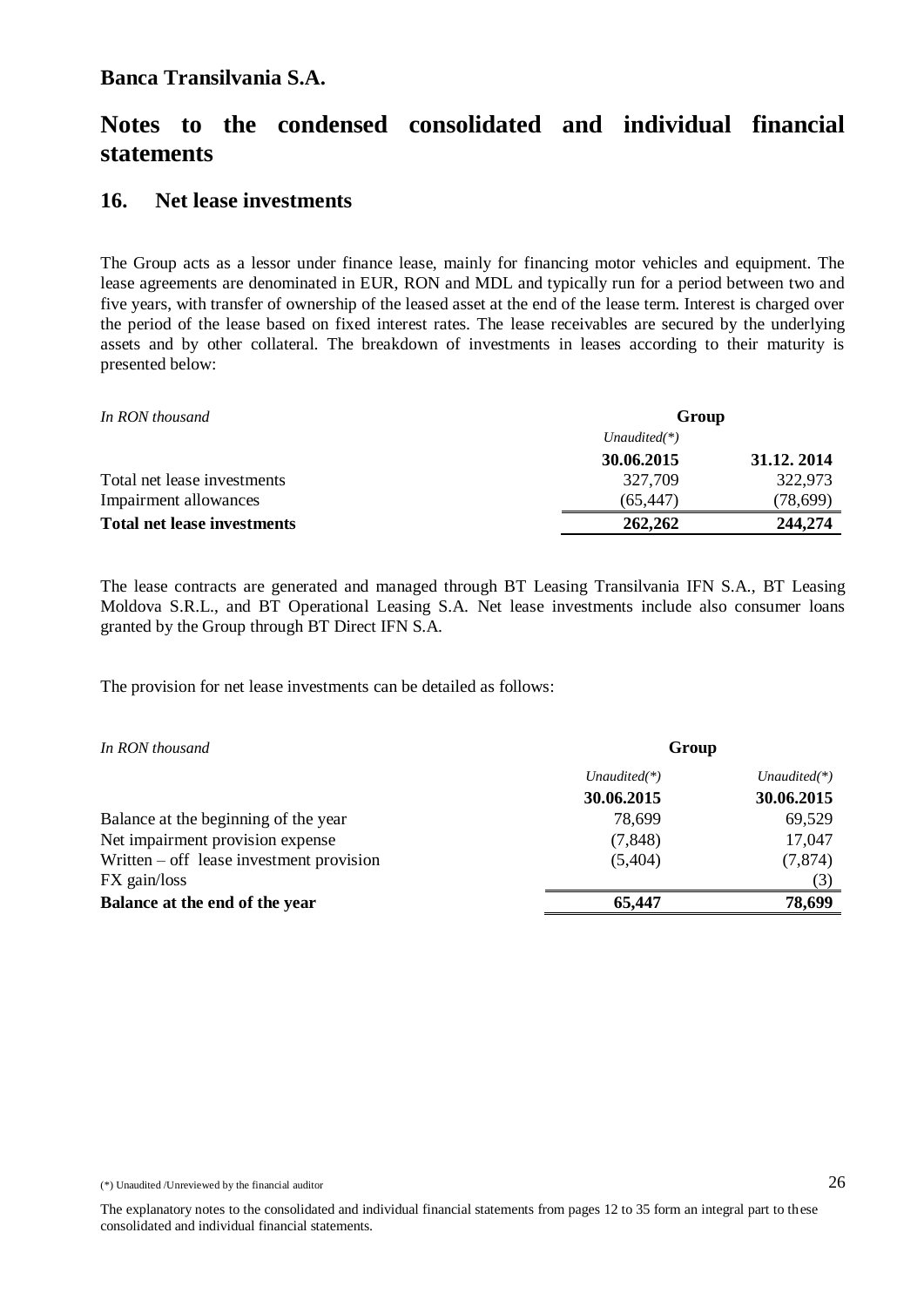# **Notes to the condensed consolidated and individual financial statements**

### **16. Net lease investments**

The Group acts as a lessor under finance lease, mainly for financing motor vehicles and equipment. The lease agreements are denominated in EUR, RON and MDL and typically run for a period between two and five years, with transfer of ownership of the leased asset at the end of the lease term. Interest is charged over the period of the lease based on fixed interest rates. The lease receivables are secured by the underlying assets and by other collateral. The breakdown of investments in leases according to their maturity is presented below:

| In RON thousand                    |                 | Group      |  |  |
|------------------------------------|-----------------|------------|--|--|
|                                    | Unaudited $(*)$ |            |  |  |
|                                    | 30.06.2015      | 31.12.2014 |  |  |
| Total net lease investments        | 327,709         | 322,973    |  |  |
| Impairment allowances              | (65.447)        | (78,699)   |  |  |
| <b>Total net lease investments</b> | 262,262         | 244,274    |  |  |

The lease contracts are generated and managed through BT Leasing Transilvania IFN S.A., BT Leasing Moldova S.R.L., and BT Operational Leasing S.A. Net lease investments include also consumer loans granted by the Group through BT Direct IFN S.A.

The provision for net lease investments can be detailed as follows:

| In RON thousand                            | Group           |                 |  |
|--------------------------------------------|-----------------|-----------------|--|
|                                            | Unaudited $(*)$ | Unaudited $(*)$ |  |
|                                            | 30.06.2015      | 30.06.2015      |  |
| Balance at the beginning of the year       | 78,699          | 69,529          |  |
| Net impairment provision expense           | (7, 848)        | 17,047          |  |
| Written $-$ off lease investment provision | (5,404)         | (7,874)         |  |
| FX gain/loss                               |                 | (3)             |  |
| Balance at the end of the year             | 65,447          | 78,699          |  |
|                                            |                 |                 |  |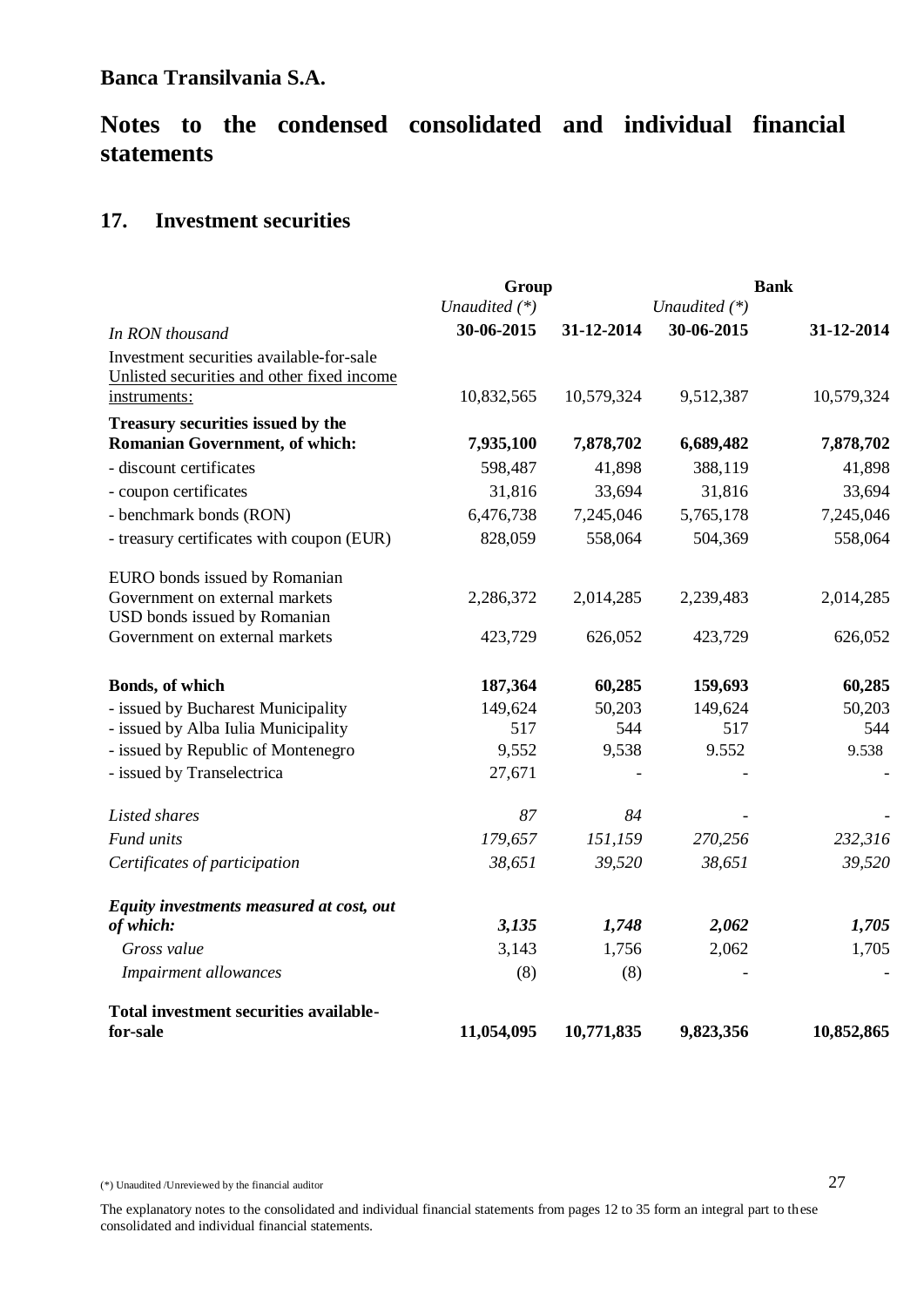# **Notes to the condensed consolidated and individual financial statements**

# **17. Investment securities**

|                                                                           | Group           |            |                 | <b>Bank</b>   |
|---------------------------------------------------------------------------|-----------------|------------|-----------------|---------------|
|                                                                           | Unaudited $(*)$ |            | Unaudited $(*)$ |               |
| In RON thousand                                                           | 30-06-2015      | 31-12-2014 | 30-06-2015      | 31-12-2014    |
| Investment securities available-for-sale                                  |                 |            |                 |               |
| Unlisted securities and other fixed income                                |                 |            |                 |               |
| instruments:                                                              | 10,832,565      | 10,579,324 | 9,512,387       | 10,579,324    |
| Treasury securities issued by the                                         |                 |            |                 |               |
| Romanian Government, of which:                                            | 7,935,100       | 7,878,702  | 6,689,482       | 7,878,702     |
| - discount certificates                                                   | 598,487         | 41,898     | 388,119         | 41,898        |
| - coupon certificates                                                     | 31,816          | 33,694     | 31,816          | 33,694        |
| - benchmark bonds (RON)                                                   | 6,476,738       | 7,245,046  | 5,765,178       | 7,245,046     |
| - treasury certificates with coupon (EUR)                                 | 828,059         | 558,064    | 504,369         | 558,064       |
| EURO bonds issued by Romanian                                             |                 |            |                 |               |
| Government on external markets<br>USD bonds issued by Romanian            | 2,286,372       | 2,014,285  | 2,239,483       | 2,014,285     |
| Government on external markets                                            | 423,729         | 626,052    | 423,729         | 626,052       |
| Bonds, of which                                                           | 187,364         | 60,285     | 159,693         | 60,285        |
|                                                                           | 149,624         | 50,203     | 149,624         |               |
| - issued by Bucharest Municipality<br>- issued by Alba Iulia Municipality | 517             | 544        | 517             | 50,203<br>544 |
| - issued by Republic of Montenegro                                        | 9,552           | 9,538      | 9.552           | 9.538         |
| - issued by Transelectrica                                                | 27,671          |            |                 |               |
| Listed shares                                                             | 87              | 84         |                 |               |
| Fund units                                                                | 179,657         | 151,159    | 270,256         | 232,316       |
| Certificates of participation                                             | 38,651          | 39,520     | 38,651          | 39,520        |
| Equity investments measured at cost, out                                  |                 |            |                 |               |
| of which:                                                                 | 3,135           | 1,748      | 2,062           | 1,705         |
| Gross value                                                               | 3,143           | 1,756      | 2,062           | 1,705         |
| Impairment allowances                                                     | (8)             | (8)        |                 |               |
| Total investment securities available-                                    |                 |            |                 |               |
| for-sale                                                                  | 11,054,095      | 10,771,835 | 9,823,356       | 10,852,865    |

(\*) Unaudited /Unreviewed by the financial auditor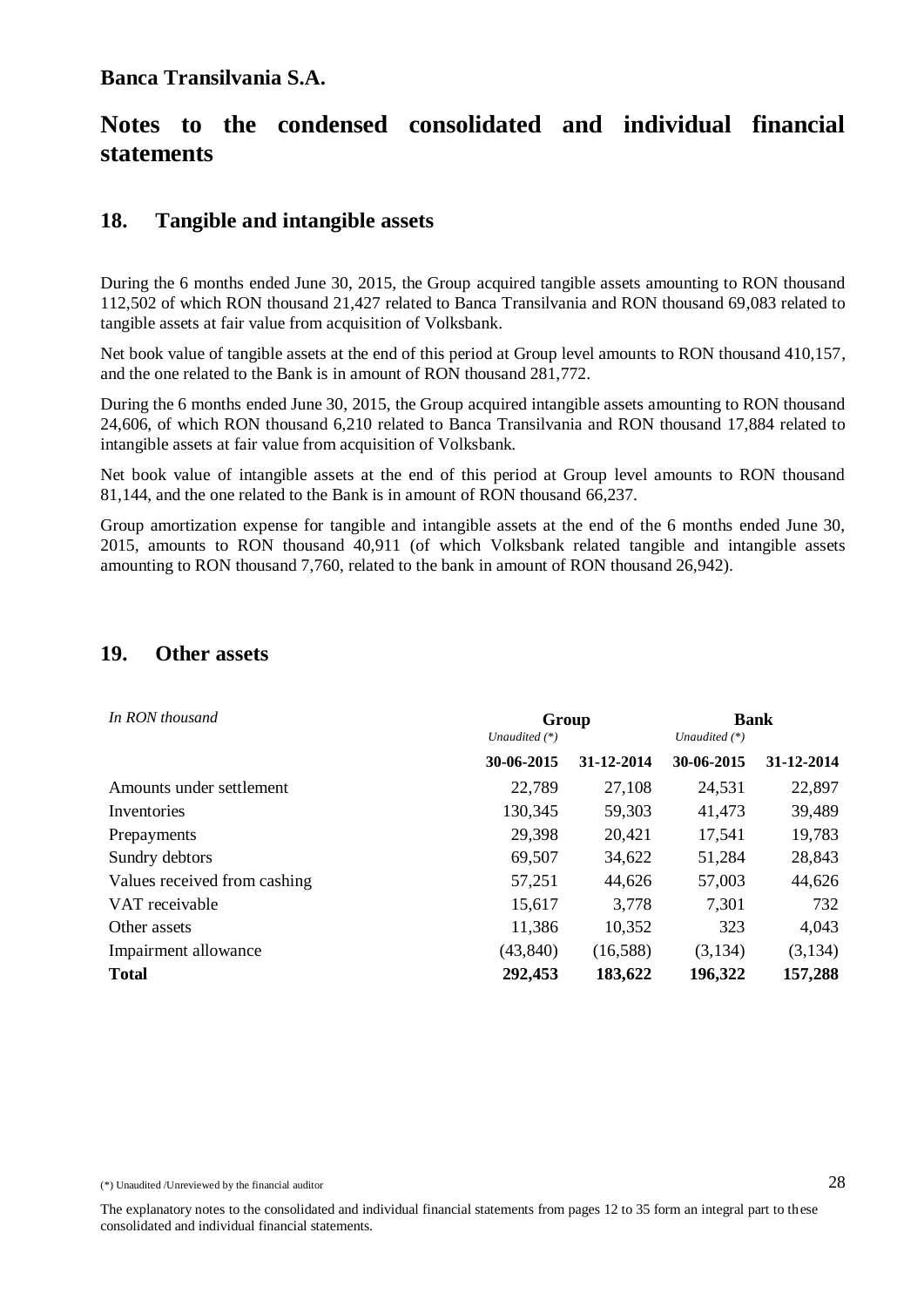### **18. Tangible and intangible assets**

During the 6 months ended June 30, 2015, the Group acquired tangible assets amounting to RON thousand 112,502 of which RON thousand 21,427 related to Banca Transilvania and RON thousand 69,083 related to tangible assets at fair value from acquisition of Volksbank.

Net book value of tangible assets at the end of this period at Group level amounts to RON thousand 410,157, and the one related to the Bank is in amount of RON thousand 281,772.

During the 6 months ended June 30, 2015, the Group acquired intangible assets amounting to RON thousand 24,606, of which RON thousand 6,210 related to Banca Transilvania and RON thousand 17,884 related to intangible assets at fair value from acquisition of Volksbank.

Net book value of intangible assets at the end of this period at Group level amounts to RON thousand 81,144, and the one related to the Bank is in amount of RON thousand 66,237.

Group amortization expense for tangible and intangible assets at the end of the 6 months ended June 30, 2015, amounts to RON thousand 40,911 (of which Volksbank related tangible and intangible assets amounting to RON thousand 7,760, related to the bank in amount of RON thousand 26,942).

### **19. Other assets**

| In RON thousand              | Group<br>Unaudited $(*)$ |            | <b>Bank</b><br>Unaudited $(*)$ |            |  |
|------------------------------|--------------------------|------------|--------------------------------|------------|--|
|                              | 30-06-2015               | 31-12-2014 | 30-06-2015                     | 31-12-2014 |  |
| Amounts under settlement     | 22,789                   | 27,108     | 24,531                         | 22,897     |  |
| Inventories                  | 130,345                  | 59,303     | 41,473                         | 39,489     |  |
| Prepayments                  | 29,398                   | 20,421     | 17,541                         | 19,783     |  |
| Sundry debtors               | 69,507                   | 34,622     | 51,284                         | 28,843     |  |
| Values received from cashing | 57,251                   | 44,626     | 57,003                         | 44,626     |  |
| VAT receivable               | 15,617                   | 3,778      | 7,301                          | 732        |  |
| Other assets                 | 11,386                   | 10,352     | 323                            | 4,043      |  |
| Impairment allowance         | (43, 840)                | (16,588)   | (3,134)                        | (3,134)    |  |
| <b>Total</b>                 | 292,453                  | 183,622    | 196,322                        | 157,288    |  |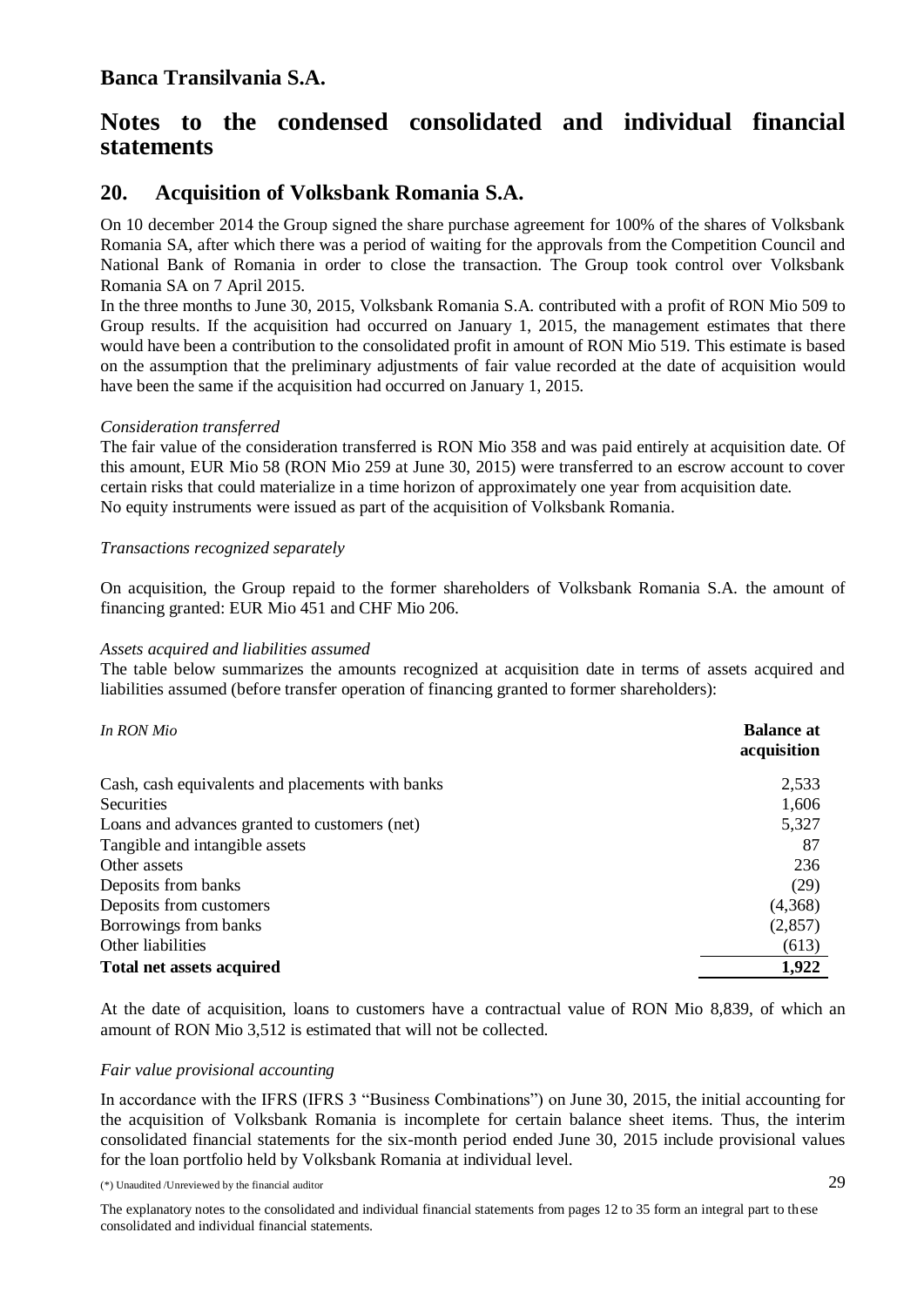### **20. Acquisition of Volksbank Romania S.A.**

On 10 december 2014 the Group signed the share purchase agreement for 100% of the shares of Volksbank Romania SA, after which there was a period of waiting for the approvals from the Competition Council and National Bank of Romania in order to close the transaction. The Group took control over Volksbank Romania SA on 7 April 2015.

In the three months to June 30, 2015, Volksbank Romania S.A. contributed with a profit of RON Mio 509 to Group results. If the acquisition had occurred on January 1, 2015, the management estimates that there would have been a contribution to the consolidated profit in amount of RON Mio 519. This estimate is based on the assumption that the preliminary adjustments of fair value recorded at the date of acquisition would have been the same if the acquisition had occurred on January 1, 2015.

#### *Consideration transferred*

The fair value of the consideration transferred is RON Mio 358 and was paid entirely at acquisition date. Of this amount, EUR Mio 58 (RON Mio 259 at June 30, 2015) were transferred to an escrow account to cover certain risks that could materialize in a time horizon of approximately one year from acquisition date. No equity instruments were issued as part of the acquisition of Volksbank Romania.

#### *Transactions recognized separately*

On acquisition, the Group repaid to the former shareholders of Volksbank Romania S.A. the amount of financing granted: EUR Mio 451 and CHF Mio 206.

#### *Assets acquired and liabilities assumed*

The table below summarizes the amounts recognized at acquisition date in terms of assets acquired and liabilities assumed (before transfer operation of financing granted to former shareholders):

| In RON Mio                                       | <b>Balance at</b><br>acquisition |
|--------------------------------------------------|----------------------------------|
| Cash, cash equivalents and placements with banks | 2,533                            |
| Securities                                       | 1,606                            |
| Loans and advances granted to customers (net)    | 5,327                            |
| Tangible and intangible assets                   | 87                               |
| Other assets                                     | 236                              |
| Deposits from banks                              | (29)                             |
| Deposits from customers                          | (4,368)                          |
| Borrowings from banks                            | (2,857)                          |
| Other liabilities                                | (613)                            |
| <b>Total net assets acquired</b>                 | 1,922                            |

At the date of acquisition, loans to customers have a contractual value of RON Mio 8,839, of which an amount of RON Mio 3,512 is estimated that will not be collected.

#### *Fair value provisional accounting*

In accordance with the IFRS (IFRS 3 "Business Combinations") on June 30, 2015, the initial accounting for the acquisition of Volksbank Romania is incomplete for certain balance sheet items. Thus, the interim consolidated financial statements for the six-month period ended June 30, 2015 include provisional values for the loan portfolio held by Volksbank Romania at individual level.

(\*) Unaudited /Unreviewed by the financial auditor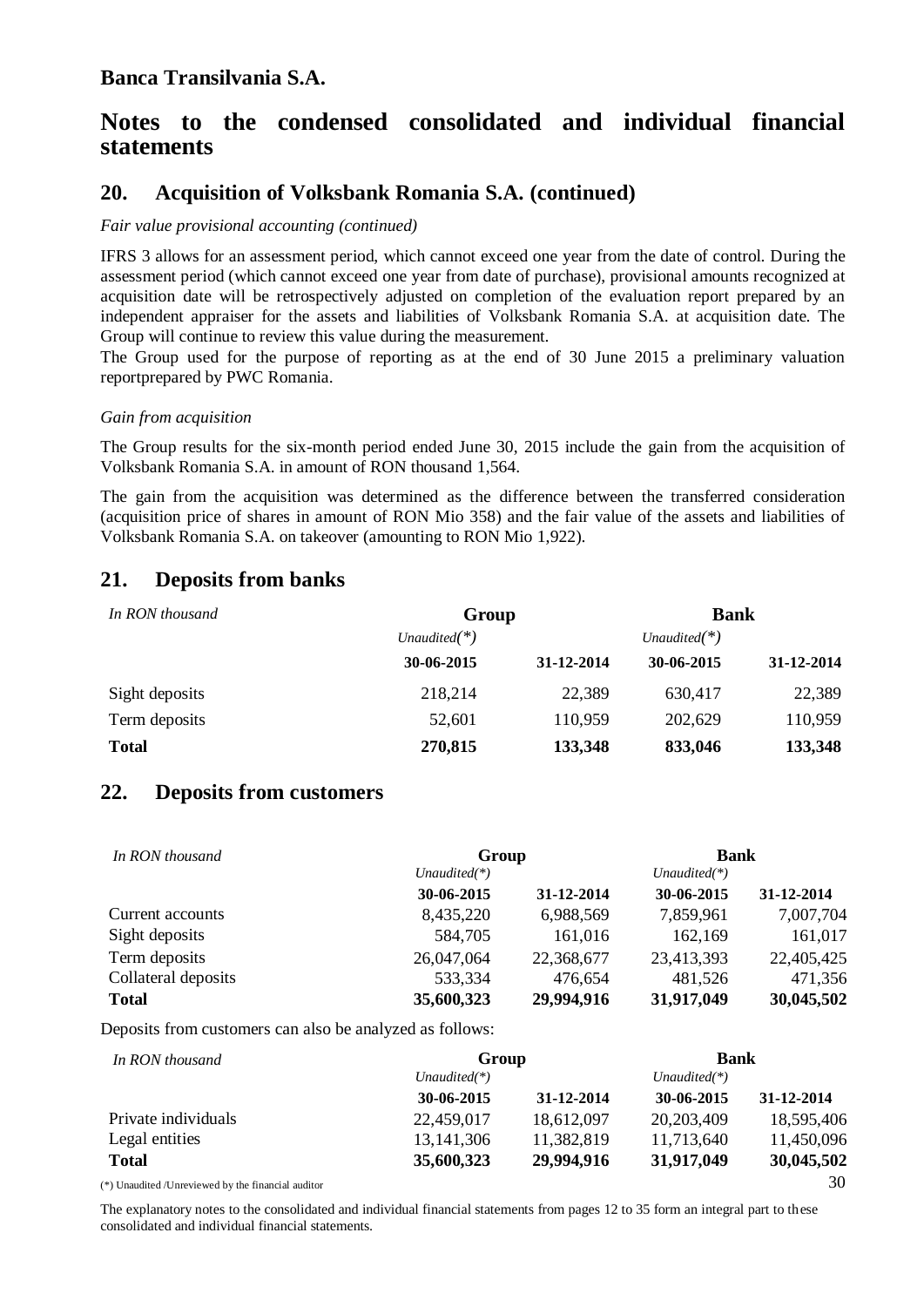### **20. Acquisition of Volksbank Romania S.A. (continued)**

#### *Fair value provisional accounting (continued)*

IFRS 3 allows for an assessment period, which cannot exceed one year from the date of control. During the assessment period (which cannot exceed one year from date of purchase), provisional amounts recognized at acquisition date will be retrospectively adjusted on completion of the evaluation report prepared by an independent appraiser for the assets and liabilities of Volksbank Romania S.A. at acquisition date. The Group will continue to review this value during the measurement.

The Group used for the purpose of reporting as at the end of 30 June 2015 a preliminary valuation reportprepared by PWC Romania.

#### *Gain from acquisition*

The Group results for the six-month period ended June 30, 2015 include the gain from the acquisition of Volksbank Romania S.A. in amount of RON thousand 1,564.

The gain from the acquisition was determined as the difference between the transferred consideration (acquisition price of shares in amount of RON Mio 358) and the fair value of the assets and liabilities of Volksbank Romania S.A. on takeover (amounting to RON Mio 1,922).

### **21. Deposits from banks**

| In RON thousand | Group           | <b>Bank</b> |                 |            |  |
|-----------------|-----------------|-------------|-----------------|------------|--|
|                 | Unaudited $(*)$ |             | Unaudited $(*)$ |            |  |
|                 | 30-06-2015      | 31-12-2014  | 30-06-2015      | 31-12-2014 |  |
| Sight deposits  | 218,214         | 22,389      | 630,417         | 22,389     |  |
| Term deposits   | 52,601          | 110,959     | 202,629         | 110,959    |  |
| <b>Total</b>    | 270,815         | 133,348     | 833,046         | 133,348    |  |

#### **22. Deposits from customers**

| In RON thousand     |                 | Group      |                 | <b>Bank</b> |  |
|---------------------|-----------------|------------|-----------------|-------------|--|
|                     | Unaudited $(*)$ |            | Unaudited $(*)$ |             |  |
|                     | 30-06-2015      | 31-12-2014 | 30-06-2015      | 31-12-2014  |  |
| Current accounts    | 8,435,220       | 6,988,569  | 7,859,961       | 7,007,704   |  |
| Sight deposits      | 584,705         | 161,016    | 162,169         | 161,017     |  |
| Term deposits       | 26,047,064      | 22,368,677 | 23,413,393      | 22,405,425  |  |
| Collateral deposits | 533,334         | 476,654    | 481,526         | 471,356     |  |
| <b>Total</b>        | 35,600,323      | 29,994,916 | 31,917,049      | 30,045,502  |  |

Deposits from customers can also be analyzed as follows:

| In RON thousand                                     | Group           |            | <b>Bank</b>     |            |
|-----------------------------------------------------|-----------------|------------|-----------------|------------|
|                                                     | Unaudited $(*)$ |            | Unaudited $(*)$ |            |
|                                                     | 30-06-2015      | 31-12-2014 | 30-06-2015      | 31-12-2014 |
| Private individuals                                 | 22,459,017      | 18,612,097 | 20,203,409      | 18,595,406 |
| Legal entities                                      | 13, 141, 306    | 11,382,819 | 11,713,640      | 11,450,096 |
| <b>Total</b>                                        | 35,600,323      | 29,994,916 | 31,917,049      | 30,045,502 |
| $(*)$ Hamdited /Hareviewed by the financial auditor |                 |            |                 | 30         |

(\*) Unaudited /Unreviewed by the financial auditor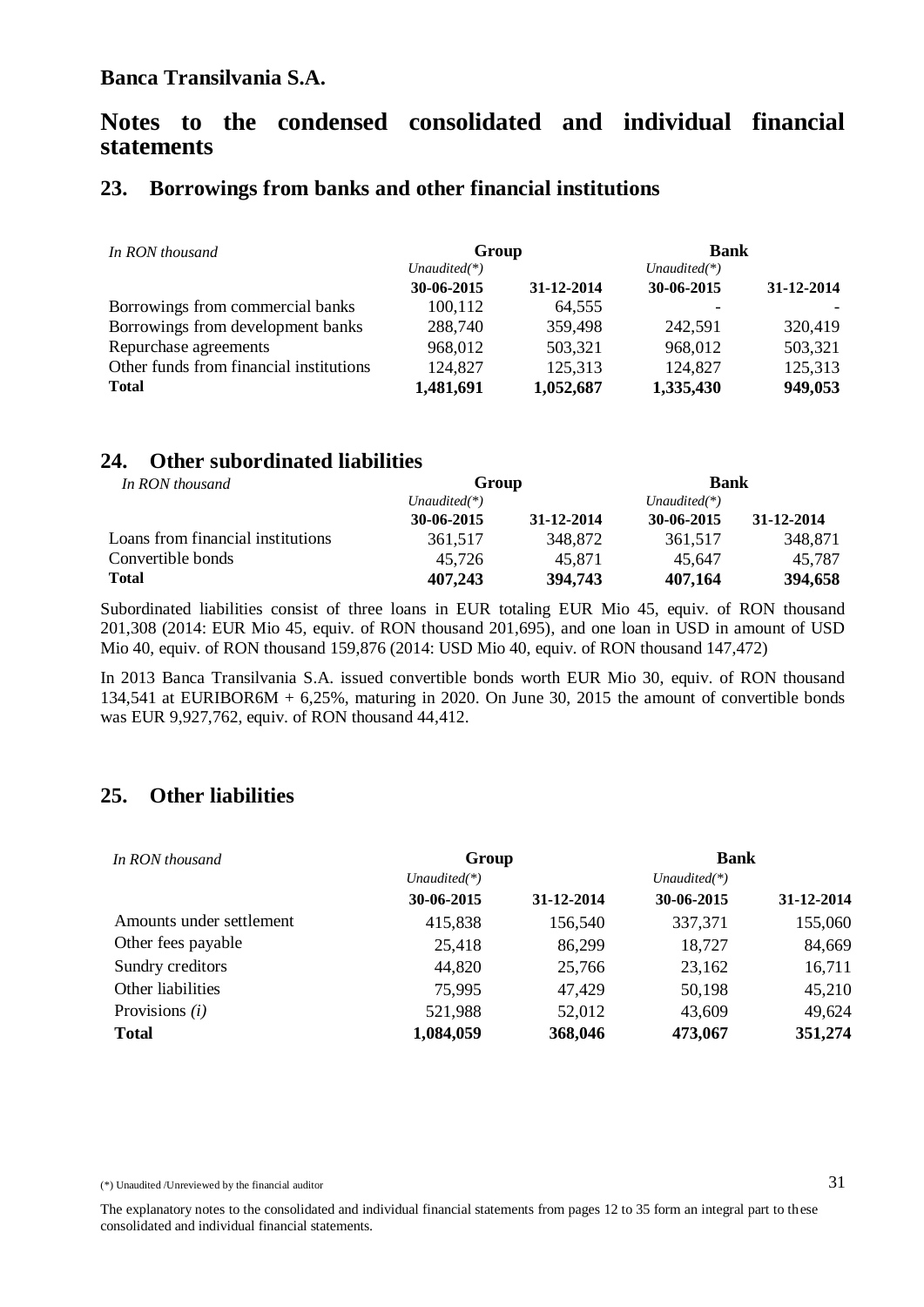### **23. Borrowings from banks and other financial institutions**

| In RON thousand                         | Group           |            | <b>Bank</b>     |            |
|-----------------------------------------|-----------------|------------|-----------------|------------|
|                                         | Unaudited $(*)$ |            | Unaudited $(*)$ |            |
|                                         | 30-06-2015      | 31-12-2014 | 30-06-2015      | 31-12-2014 |
| Borrowings from commercial banks        | 100,112         | 64,555     |                 |            |
| Borrowings from development banks       | 288,740         | 359,498    | 242,591         | 320,419    |
| Repurchase agreements                   | 968,012         | 503,321    | 968,012         | 503,321    |
| Other funds from financial institutions | 124,827         | 125,313    | 124,827         | 125,313    |
| <b>Total</b>                            | 1,481,691       | 1,052,687  | 1,335,430       | 949,053    |

### **24. Other subordinated liabilities**

| In RON thousand                   | Group           |            |                 | <b>Bank</b> |  |
|-----------------------------------|-----------------|------------|-----------------|-------------|--|
|                                   | Unaudited $(*)$ |            | Unaudited $(*)$ |             |  |
|                                   | 30-06-2015      | 31-12-2014 | 30-06-2015      | 31-12-2014  |  |
| Loans from financial institutions | 361.517         | 348,872    | 361.517         | 348.871     |  |
| Convertible bonds                 | 45.726          | 45.871     | 45.647          | 45.787      |  |
| <b>Total</b>                      | 407,243         | 394,743    | 407,164         | 394,658     |  |

Subordinated liabilities consist of three loans in EUR totaling EUR Mio 45, equiv. of RON thousand 201,308 (2014: EUR Mio 45, equiv. of RON thousand 201,695), and one loan in USD in amount of USD Mio 40, equiv. of RON thousand 159,876 (2014: USD Mio 40, equiv. of RON thousand 147,472)

In 2013 Banca Transilvania S.A. issued convertible bonds worth EUR Mio 30, equiv. of RON thousand 134,541 at EURIBOR6M + 6,25%, maturing in 2020. On June 30, 2015 the amount of convertible bonds was EUR 9,927,762, equiv. of RON thousand 44,412.

### **25. Other liabilities**

| In RON thousand          | Group           |                 | <b>Bank</b> |            |  |
|--------------------------|-----------------|-----------------|-------------|------------|--|
|                          | Unaudited $(*)$ | Unaudited $(*)$ |             |            |  |
|                          | 30-06-2015      | 31-12-2014      | 30-06-2015  | 31-12-2014 |  |
| Amounts under settlement | 415,838         | 156,540         | 337,371     | 155,060    |  |
| Other fees payable       | 25,418          | 86,299          | 18,727      | 84,669     |  |
| Sundry creditors         | 44,820          | 25,766          | 23,162      | 16,711     |  |
| Other liabilities        | 75,995          | 47,429          | 50,198      | 45,210     |  |
| Provisions $(i)$         | 521,988         | 52,012          | 43,609      | 49,624     |  |
| <b>Total</b>             | 1,084,059       | 368,046         | 473,067     | 351,274    |  |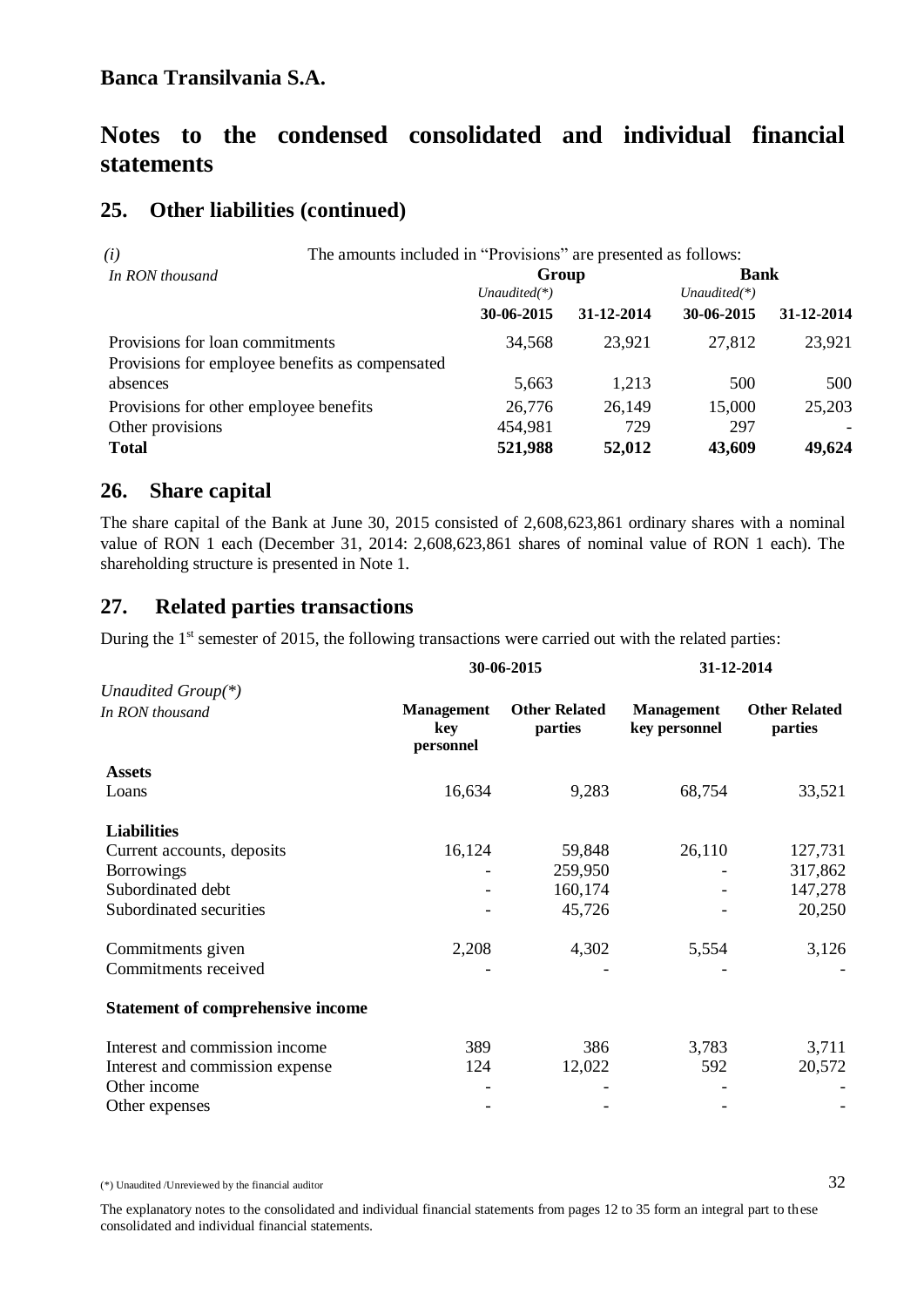# **Notes to the condensed consolidated and individual financial statements**

### **25. Other liabilities (continued)**

| The amounts included in "Provisions" are presented as follows:<br>(i) |                 |            |                 |            |
|-----------------------------------------------------------------------|-----------------|------------|-----------------|------------|
| In RON thousand                                                       | Group           |            | <b>Bank</b>     |            |
|                                                                       | Unaudited $(*)$ |            | Unaudited $(*)$ |            |
|                                                                       | 30-06-2015      | 31-12-2014 | 30-06-2015      | 31-12-2014 |
| Provisions for loan commitments                                       | 34,568          | 23,921     | 27,812          | 23,921     |
| Provisions for employee benefits as compensated                       |                 |            |                 |            |
| absences                                                              | 5,663           | 1,213      | 500             | 500        |
| Provisions for other employee benefits                                | 26,776          | 26,149     | 15,000          | 25,203     |
| Other provisions                                                      | 454,981         | 729        | 297             |            |
| <b>Total</b>                                                          | 521,988         | 52,012     | 43,609          | 49,624     |

### **26. Share capital**

The share capital of the Bank at June 30, 2015 consisted of 2,608,623,861 ordinary shares with a nominal value of RON 1 each (December 31, 2014: 2,608,623,861 shares of nominal value of RON 1 each). The shareholding structure is presented in Note 1.

### **27. Related parties transactions**

During the  $1<sup>st</sup>$  semester of 2015, the following transactions were carried out with the related parties:

|                                          |                                       | 30-06-2015                      | 31-12-2014                         |                                 |
|------------------------------------------|---------------------------------------|---------------------------------|------------------------------------|---------------------------------|
| Unaudited Group $(*)$                    |                                       |                                 |                                    |                                 |
| In RON thousand                          | <b>Management</b><br>key<br>personnel | <b>Other Related</b><br>parties | <b>Management</b><br>key personnel | <b>Other Related</b><br>parties |
| <b>Assets</b>                            |                                       |                                 |                                    |                                 |
| Loans                                    | 16,634                                | 9,283                           | 68,754                             | 33,521                          |
| <b>Liabilities</b>                       |                                       |                                 |                                    |                                 |
| Current accounts, deposits               | 16,124                                | 59,848                          | 26,110                             | 127,731                         |
| <b>Borrowings</b>                        |                                       | 259,950                         |                                    | 317,862                         |
| Subordinated debt                        |                                       | 160,174                         |                                    | 147,278                         |
| Subordinated securities                  |                                       | 45,726                          |                                    | 20,250                          |
| Commitments given                        | 2,208                                 | 4,302                           | 5,554                              | 3,126                           |
| Commitments received                     |                                       |                                 |                                    |                                 |
| <b>Statement of comprehensive income</b> |                                       |                                 |                                    |                                 |
| Interest and commission income           | 389                                   | 386                             | 3,783                              | 3,711                           |
| Interest and commission expense          | 124                                   | 12,022                          | 592                                | 20,572                          |
| Other income                             |                                       |                                 |                                    |                                 |
| Other expenses                           |                                       |                                 |                                    |                                 |
|                                          |                                       |                                 |                                    |                                 |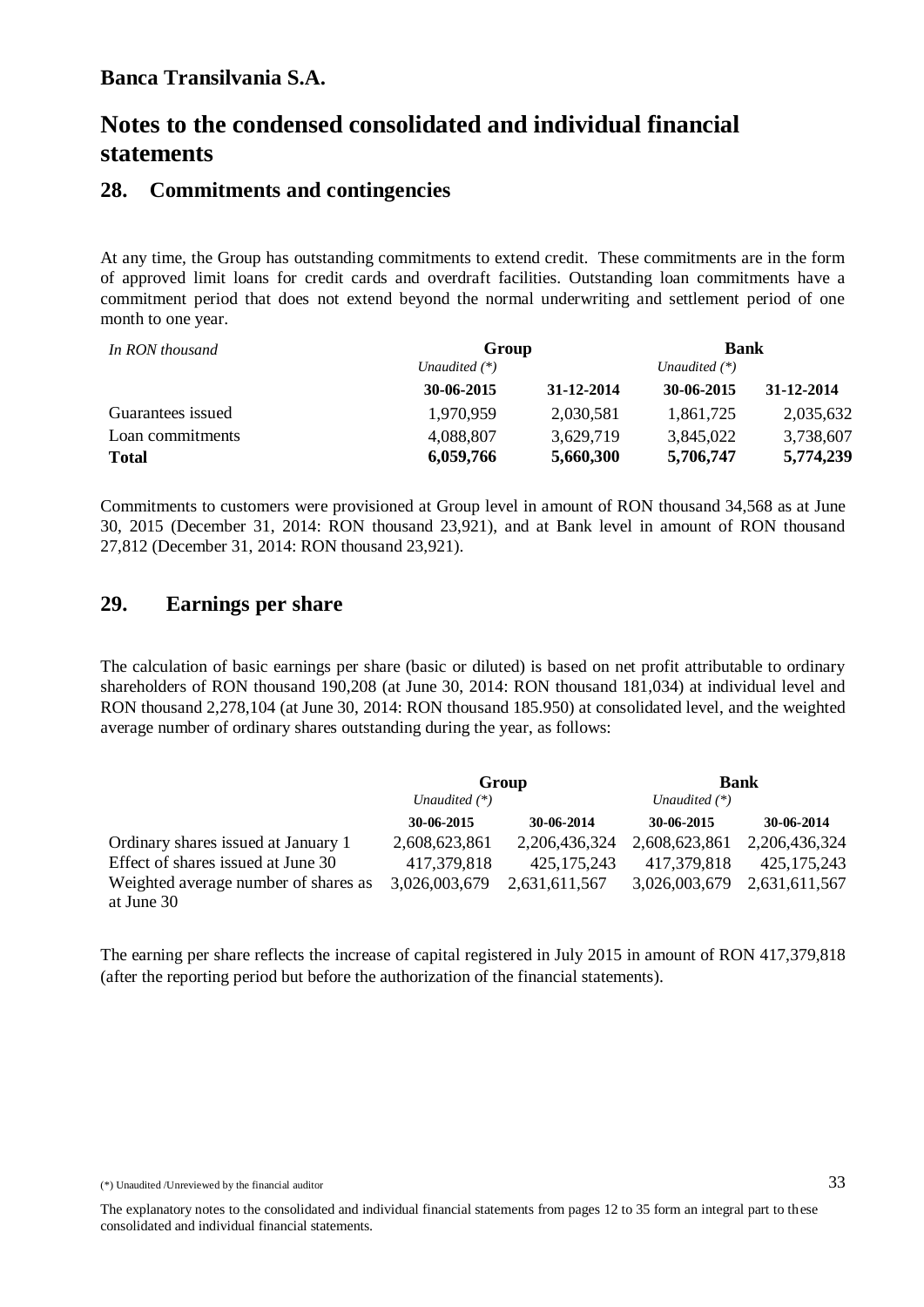### **28. Commitments and contingencies**

At any time, the Group has outstanding commitments to extend credit. These commitments are in the form of approved limit loans for credit cards and overdraft facilities. Outstanding loan commitments have a commitment period that does not extend beyond the normal underwriting and settlement period of one month to one year.

| In RON thousand   |                 | Group      |                 | <b>Bank</b> |  |
|-------------------|-----------------|------------|-----------------|-------------|--|
|                   | Unaudited $(*)$ |            | Unaudited $(*)$ |             |  |
|                   | 30-06-2015      | 31-12-2014 | 30-06-2015      | 31-12-2014  |  |
| Guarantees issued | 1,970,959       | 2,030,581  | 1,861,725       | 2,035,632   |  |
| Loan commitments  | 4,088,807       | 3,629,719  | 3,845,022       | 3,738,607   |  |
| <b>Total</b>      | 6,059,766       | 5,660,300  | 5,706,747       | 5,774,239   |  |

Commitments to customers were provisioned at Group level in amount of RON thousand 34,568 as at June 30, 2015 (December 31, 2014: RON thousand 23,921), and at Bank level in amount of RON thousand 27,812 (December 31, 2014: RON thousand 23,921).

### **29. Earnings per share**

The calculation of basic earnings per share (basic or diluted) is based on net profit attributable to ordinary shareholders of RON thousand 190,208 (at June 30, 2014: RON thousand 181,034) at individual level and RON thousand 2,278,104 (at June 30, 2014: RON thousand 185.950) at consolidated level, and the weighted average number of ordinary shares outstanding during the year, as follows:

|                                      | Group           |                  | <b>Bank</b>     |               |  |
|--------------------------------------|-----------------|------------------|-----------------|---------------|--|
|                                      | Unaudited $(*)$ |                  | Unaudited $(*)$ |               |  |
|                                      | 30-06-2015      | 30-06-2014       | 30-06-2015      | 30-06-2014    |  |
| Ordinary shares issued at January 1  | 2,608,623,861   | 2, 206, 436, 324 | 2,608,623,861   | 2,206,436,324 |  |
| Effect of shares issued at June 30   | 417,379,818     | 425, 175, 243    | 417,379,818     | 425, 175, 243 |  |
| Weighted average number of shares as | 3,026,003,679   | 2,631,611,567    | 3,026,003,679   | 2,631,611,567 |  |
| at June 30                           |                 |                  |                 |               |  |

The earning per share reflects the increase of capital registered in July 2015 in amount of RON 417,379,818 (after the reporting period but before the authorization of the financial statements).

<sup>(\*)</sup> Unaudited /Unreviewed by the financial auditor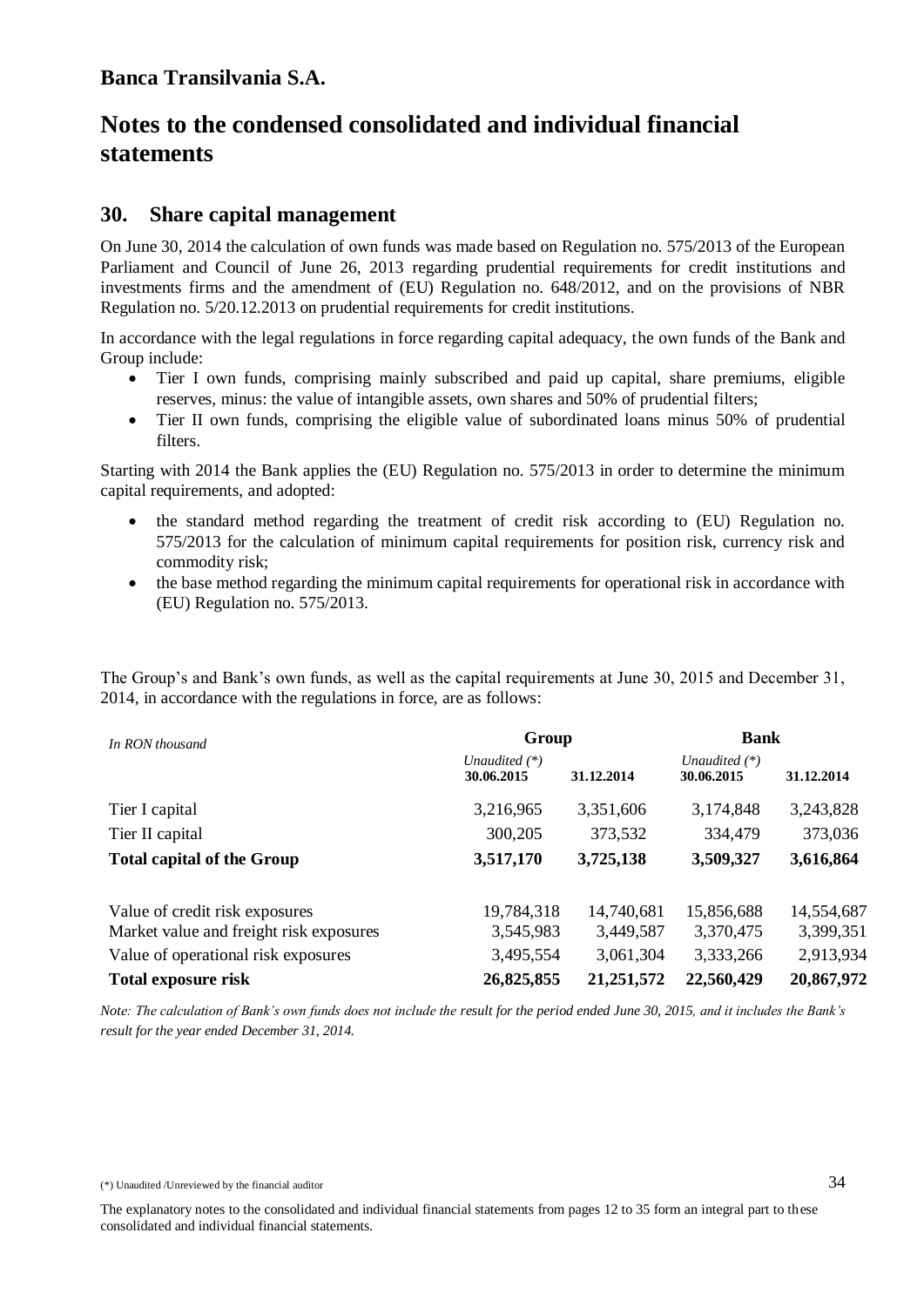### **30. Share capital management**

On June 30, 2014 the calculation of own funds was made based on Regulation no. 575/2013 of the European Parliament and Council of June 26, 2013 regarding prudential requirements for credit institutions and investments firms and the amendment of (EU) Regulation no. 648/2012, and on the provisions of NBR Regulation no. 5/20.12.2013 on prudential requirements for credit institutions.

In accordance with the legal regulations in force regarding capital adequacy, the own funds of the Bank and Group include:

- Tier I own funds, comprising mainly subscribed and paid up capital, share premiums, eligible reserves, minus: the value of intangible assets, own shares and 50% of prudential filters;
- Tier II own funds, comprising the eligible value of subordinated loans minus 50% of prudential filters.

Starting with 2014 the Bank applies the (EU) Regulation no. 575/2013 in order to determine the minimum capital requirements, and adopted:

- the standard method regarding the treatment of credit risk according to (EU) Regulation no. 575/2013 for the calculation of minimum capital requirements for position risk, currency risk and commodity risk;
- the base method regarding the minimum capital requirements for operational risk in accordance with (EU) Regulation no. 575/2013.

The Group's and Bank's own funds, as well as the capital requirements at June 30, 2015 and December 31, 2014, in accordance with the regulations in force, are as follows:

| In RON thousand                         | <b>Bank</b><br>Group          |            |                               |            |
|-----------------------------------------|-------------------------------|------------|-------------------------------|------------|
|                                         | Unaudited $(*)$<br>30.06.2015 | 31.12.2014 | Unaudited $(*)$<br>30.06.2015 | 31.12.2014 |
| Tier I capital                          | 3,216,965                     | 3,351,606  | 3,174,848                     | 3,243,828  |
| Tier II capital                         | 300,205                       | 373,532    | 334,479                       | 373,036    |
| <b>Total capital of the Group</b>       | 3,517,170                     | 3,725,138  | 3,509,327                     | 3,616,864  |
| Value of credit risk exposures          | 19,784,318                    | 14,740,681 | 15,856,688                    | 14,554,687 |
| Market value and freight risk exposures | 3,545,983                     | 3,449,587  | 3,370,475                     | 3,399,351  |
| Value of operational risk exposures     | 3,495,554                     | 3,061,304  | 3,333,266                     | 2,913,934  |
| Total exposure risk                     | 26,825,855                    | 21,251,572 | 22,560,429                    | 20,867,972 |

*Note: The calculation of Bank's own funds does not include the result for the period ended June 30, 2015, and it includes the Bank's result for the year ended December 31, 2014.*